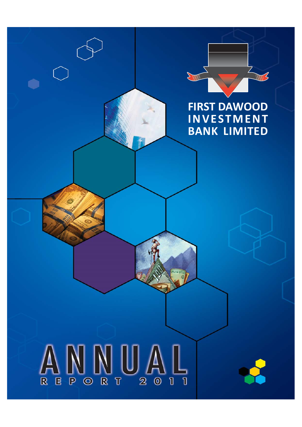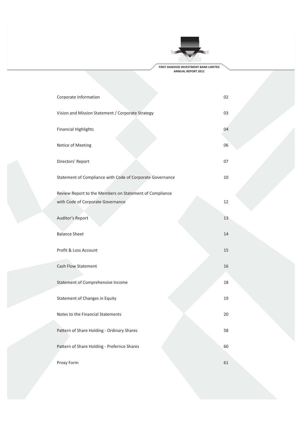

| Corporate Information                                     | 02 |
|-----------------------------------------------------------|----|
| Vision and Mission Statement / Corporate Strategy         | 03 |
| <b>Financial Highlights</b>                               | 04 |
| Notice of Meeting                                         | 06 |
| Directors' Report                                         | 07 |
| Statement of Compliance with Code of Corporate Governance | 10 |
| Review Report to the Members on Statement of Compliance   |    |
| with Code of Corporate Governance                         | 12 |
| Auditor's Report                                          | 13 |
| <b>Balance Sheet</b>                                      | 14 |
| Profit & Loss Account                                     | 15 |
| <b>Cash Flow Statement</b>                                | 16 |
| Statement of Comprehensive Income                         | 18 |
| Statement of Changes in Equity                            | 19 |
| Notes to the Financial Statements                         | 20 |
| Pattern of Share Holding - Ordinary Shares                | 58 |
| Pattern of Share Holding - Prefernce Shares               | 60 |
| Proxy Form                                                | 61 |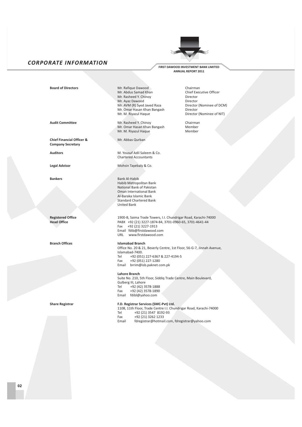### **CORPORATE INFORMATION**



FIRST DAWOOD INVESTMENT BANK LIMITED ANNUAL REPORT 2011

**Board of Directors** 

**Audit Committee** 

Chief Financial Officer & **Company Secretary** 

Auditors

**Legal Advisor** 

**Rankers** 

**Registered Office Head Office** 

**Branch Offices** 

**Share Registrar** 

Mr. Rafique Dawood Mr. Abdus Samad Khan Mr. Rasheed Y. Chinoy Mr. Ayaz Dawood Mr. AVM (R) Syed Javed Raza Mr. Omar Hasan Khan Bangash Mr. M. Riyazul Haque

Mr. Rasheed Y. Chinoy Mr. Omar Hasan Khan Bangash Mr. M. Riyazul Haque

Mr. Abbas Qurban

M. Yousuf Adil Saleem & Co. **Chartered Accountants** 

Mohsin Tayebaly & Co.

Bank Al-Habib Habib Metropolitan Bank National Bank of Pakistan Oman International Bank Al-Baraka Islamic Bank **Standard Chartered Bank United Bank** 

1900-B, Saima Trade Towers, I.I. Chundrigar Road, Karachi-74000 PABX +92 (21) 3227-1874-84, 3701-0960-65, 3701-4641-44 Fax  $+92(21)$  3227-1913 Email fdib@firstdawood.com URL www.firstdawood.com

### **Islamabad Branch**

Office No. 20 & 21, Beverly Centre, 1st Floor, 56-G-7, Jinnah Avenue, Islamabad-7400. Tel +92 (051) 227-6367 & 227-4194-5

 $+92(051) 227-1280$ Fax Email brrim@isb.paknet.com.pk

### Lahore Branch

Suite No. 210, 5th Floor, Siddiq Trade Centre, Main Boulevard, Gulberg III, Lahore +92 (42) 3578-1888 Tel +92 (42) 3578-1890 Fax Email fdibl@yahoo.com

### F.D. Registrar Services (SMC-Pvt) Ltd.

1108, 11th Floor, Trade Centre I.I. Chundrigar Road, Karachi-74000 +92 (21) 3547 8192-93 Tel Fax +92 (21) 3262 1233

fdregistrar@hotmail.com, fdregistrar@yahoo.com Email

Chairman Chief Executive Officer Director Director Director (Nominee of DCM) Director Director (Nominee of NIT)

> Chairman Member Member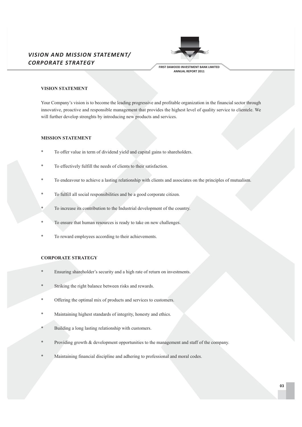### **VISION AND MISSION STATEMENT/ CORPORATE STRATEGY**



FIRST DAWOOD INVESTMENT BANK LIMITED ANNUAL REPORT 2011

### **VISION STATEMENT**

Your Company's vision is to become the leading progressive and profitable organization in the financial sector through innovative, proactive and responsible management that provides the highest level of quality service to clientele. We will further develop strenghts by introducing new products and services.

### **MISSION STATEMENT**

- To offer value in term of dividend yield and capital gains to shareholders.
- To effectively fulfill the needs of clients to their satisfaction.
- To endeavour to achieve a lasting relationship with clients and associates on the principles of mutualism.
- To fulfill all social responsibilities and be a good corporate citizen.
- To increase its contribution to the Industrial development of the country.
- To ensure that human resources is ready to take on new challenges.
- To reward employees according to their achievements.

### **CORPORATE STRATEGY**

- Ensuring shareholder's security and a high rate of return on investments.
- Striking the right balance between risks and rewards.
- $\ast$ Offering the optimal mix of products and services to customers.
- Maintaining highest standards of integrity, honesty and ethics.
- Building a long lasting relationship with customers.
- Providing growth & development opportunities to the management and staff of the company.
- Maintaining financial discipline and adhering to professional and moral codes.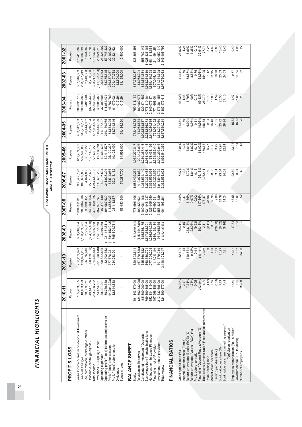$1.35\%$ <br>0.12 0.88<br>13.45<br>13.45 22, 102, 921<br>32, 821, 621 26.02%<br>1.24  $6.89%$ 32.64% 77.74 5.26<br>4.65  $9.98$ <br>4.98 20,924,216 558,762,143 214,494,254 422,952,110 270,416,368 7,771,706 279,232,440 25,426,207 53,745,837 336,366,896 1,028,835,165 1,684,311,868 200,060,396 1,044,366 12.500.000 2,345,408,793 2001-02 Rupees 208,377,249 26,464,943<br>163,375,645<br>280,857,037<br>304,497,738<br>12,500,000 617,782,237<br>13,058,304<br>834,551,564 11.64%<br>1.70<br>58.87%  $\begin{array}{c} 8.88\% \\ 0.76 \\ \hline 38.96\% \end{array}$  $11.73$ 54.05 10.70 23.53 1,918,254,819 869,410,398 607,045,488 1,381,334,698 3,977,730,083  $1.12$ 24.03 9.77 357,046,369 38,730,630 398,217,837 141,122,093 11.95 13.125.000 2002-03 **Rupees** 386,031,778<br>208,384,863<br>208,384,864,440<br>36,948,942,948,564,440<br>36,948,564,474<br>36,985,450<br>4,0717,789,2824<br>4,0717,782,2834 759,811,152<br>100,982,075 2,778,310,464<br>2,349,075,874 2,175,281,455<br>5,383,473,618 46.02%<br>1.45<br>6.79%<br>6.79%<br>0.17<br>0.883%<br>288.79  $\frac{11.19}{17.80}$  $\frac{1.59}{23.50}$ 14.47<br>27.86<br>28 1,139,874,587 771,668,064 2003-04 Rupees  $15.82$ <br> $15.18$ <br> $28$ 41,137,407<br>210,189,975 772,433,762<br>74,058,584<br>1,992,583,537 2,268,656,378<br>2,641,230,515 793,061,492<br>1,823,297,960<br>5,657,550,214  $31.86\%$ <br>  $1.59$ <br>  $6.99\%$ <br>  $0.97\%$ <br>  $0.11$ <br>  $0.11$ <br>  $0.95\%$ 1.65<br>23.72<br>26.24 458.88 16.40 463,342,333 315,706,127 20,444,982 83,246,194 567,033,509 146,445,129 53,563,395 63,744,846 9.94 29,436,320 2004-05 Rupees 562,596,085<br>30,737,223<br>133,142,166<br>133,142,166 60,659,608<br>152,413,577<br>125,129,337<br>140,423,499 1,062,270,817<br>221,425,098<br>3,230,387,416 2,951,406,148<br>3,153,431,196<br>2,393,862,440<br>2,020,292,946<br>8,092,540,359  $\begin{array}{r} 8.04\% \\ 1.24 \\ 13.64\% \\ 1.82\% \\ 0.18 \\ 0.18 \\ 61.02\% \end{array}$ 23.96<br>7.81<br>43 21.80<br>3.22<br>25.97<br>32.81 470.63 11,990,078 64,598.000 6.77 611,789,881 2005-06 Rupees  $7.47\%$ <br>  $1.38$ <br>  $1.32\%$ <br>  $1.34\%$ <br>  $0.15$ <br>  $0.15$ <br>
95.18% 23.84<br>34.03 22.80<br>8.24<br>45 28.95 272,187,653 1,244,642,733 149,610,232 74,287,700 1,685,492,234 410,971,882 4,353,534,149 5,274,333,488 2,836,595,098 4,824,224,870 3,918,546,732 1,032.41 7.60  $3.81$ 908,430,197 840,609,805 64,024,883 62,107,534 341, 925, 394 188,514,986 92,315,162 12,362,558,621 2006-07 Rupees  $\begin{array}{c} 0.97\% \\ 0.02 \\ 117.66\% \end{array}$ 1,034,311,018<br>980,004,506 1,778,996,406<br>390,820,631 5.25%<br>1.37<br>6.56% 69.95 2.00<br>24.37 34.98 46.58 178.37 31.24 13.01 3,469,081,168 2,125,405,950 343, 164, 156 ,471,469,325 357,975,763 97, 377, 189 394,087,630 56,953,900 5,021,946,037 4,379,990,281 3,558,838,529 93,994,151 113,655,423 11,064,195,261 36,111,867 2007-08 Rupees 47.54<br>7.88<br>35 94,049,058<br>(1,021,451,811)<br>(1,784,152,012)<br>(1,795,304,781)  $(115,444,739)$ <br>1,335,535,175<br>3,547,552,301<br>1,236,964,229 951,915,585<br>5,136,416,432  $-62.21\%$ <br>0.15<br>-283.13%  $-22.03%$ <br>(9.93)<br>130.48%  $\begin{array}{c} 2.11 \\ (0.11) \\ 3.07 \\ (28.00) \\ (6.32) \\ (8.16) \\ \end{array}$ 683,246,034<br>1,108,269,321<br>2,555,994  $(504, 935, 460)$ 180,866,568 773,852,970  $(518,690,869)$ 889, 128, 414 2008-09 Rupees 620, 692, 841<br>(67, 870, 526)<br>335, 566, 522<br>1, 668, 756, 721  $(60, 429, 390)$ <br> $256, 416, 843$ 260,269,623<br>123,891,205 601,779,989<br>3,148,108,347 52.40%<br>1.15<br>740.53%  $9.12\%$ <br>0.91<br>161.95% 52.97  $(201, 350, 448)$ 99,622,885  $\frac{1.78}{6.03}$ 56,576,610 32,902,753 1,077,906,208 27.19  $0.30$ 377,676,221 234,253,201 817,263,190 9.91 2009-10 Rupees 591, 143, 370.00<br>(24, 502, 432.00)<br>165, 500, 000.00<br>769, 890, 505.00<br>652, 334, 319.00 74,474,521<br>88,027,391<br>156,789,888<br>(44,284,588<br>12,644,688 213,833,608.00<br>1,824,890,877.00 18,403,423<br>78,569,971 49,447,376<br>263,220,702  $\frac{2.47}{-7.31\%}$  $-1.78%$ <br>0.05<br>262.49% 1.40<br>33.00  $1.59$  $(0.33)$ 3.79  $(4.82)$ 9.83 9.44 48.59 497,966,186.00 86.39% 35,203,355 2010-11 **Rupees** otal assets turnover ratio / Fixed assets turnover rat ease Income & Return on deposit & Investment Operating profit / (loss) before tax and provision 3ook value per share - including surplus / Employees remuneration (Rs. In Million) Financing / Deposit Ratio (Average) (%) /(deficit) on revaluation Return on Average Equity (ROE) (%)<br>Return on Average Assets (ROA) (%) Fee, commission, brokerage & others Borrowings from financial institutions Certificate of Investment / Deposits Vet Investment In Lease Finances Gross spread ratio (%)<br>Income / expense ratio (Times) Government tax (Rs. In Million) FINANCIAL RATIOS Provisions / (Surplus) / Deficit Dividend & capital gain/(loss) nvestment - net of provision Profit / (loss) before taxation BALANCE SHEET Financing - net of Provision Book value per share (Rs.) Profit / (loss) after taxation PROFIT & LOSS Market Value per share Earning per share (Rs.) Revaluation Reserves Profit before tax ratio Operating expenses Price Earning ratio Financial Charges sonus shares Total Income otal Assets **Dividends** Equity

52

**Jumber of employees** 

FINANCIAL HIGHLIGHTS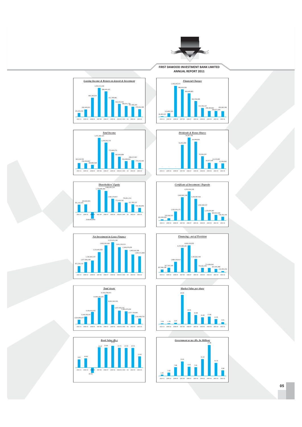

**FIRST DAWOOD INVESTMENT BANK LIMITED ANNUAL REPORT 2011** 























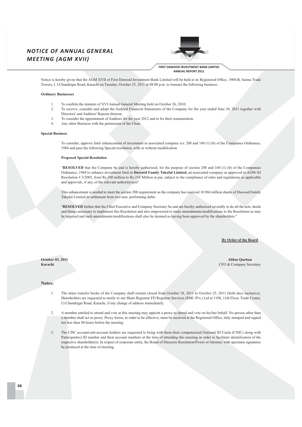### **NOTICE OF ANNUAL GENERAL MEETING (AGM XVII)**



**FIRST DAWOOD INVESTMENT BANK LIMITED** ANNUAL REPORT 2011

Notice is hereby given that the AGM XVII of First Dawood Investment Bank Limited will be held at its Registered Office, 1900-B, Saima Trade Towers, I. I.Chundrigar Road, Karachi on Tuesday, October 25, 2011 at 08:00 p.m. to transact the following business:

### **Ordinary Businesses**

- $\mathbf{1}$ . To confirm the minutes of XVI Annual General Meeting held on October 26, 2010.
- $\mathcal{L}$ To receive, consider and adopt the Audited Financial Statements of the Company for the year ended June 30, 2011 together with Directors' and Auditors' Reports thereon.
- To consider the appointment of Auditors for the year 2012 and to fix their remuneration.  $\mathcal{Z}$
- $\overline{4}$ Any other Business with the permission of the Chair.

### **Special Business**

To consider, approve limit enhancement of investment in associated company u/s. 208 and 160 (1) (b) of the Companies Ordinance, 1984 and pass the following Special resolution, with or without modification.

### **Proposed Special Resolution**

"RESOLVED that the Company be and is hereby authorized, for the purpose of section 208 and 160 (1) (b) of the Companies Ordinance, 1984 to enhance investment limit in Dawood Family Takaful Limited, an associated company as approved in AGM-XI Resolution #3/2005, from Rs.100 million to Rs.210 Million at par, subject to the compliance of rules and regulations as applicable and approvals, if any, of the relevant authority(ies)"

This enhancement is needed to meet the section 208 requirement as the company has received 10.966 million shares of Dawood Family Takaful Limited in settlement from two non- performing debts.

"RESOLVED further that the Chief Executive and Company Secretary be and are hereby authorized severally to do all the acts, deeds and things necessary to implement this Resolution and also empowered to make amendments/modifications to the Resolution as may be required and such amendments/modifications shall also be deemed as having been approved by the shareholders."

### **By Order of the Board**

October 03, 2011 Karachi

**Ahhas Ourhan** CFO & Company Secretary

### Notes:

- The share transfer books of the Company shall remain closed from October 18, 2011 to October 25, 2011 (both days inclusive).  $\mathbf{1}$ Shareholders are requested to notify to our Share Registrar FD Registrar Services (SMC-Pvt.) Ltd at 1108, 11th Floor, Trade Center, I.I.Chundrigar Road, Karachi, if any change of address immediately.
- A member entitled to attend and vote at this meeting may appoint a proxy to attend and vote on his/her behalf. No person other than  $\overline{2}$ a member shall act as proxy. Proxy forms, in order to be effective, must be received at the Registered Office, duly stamped and signed not less than 48 hours before the meeting.
- The CDC account/sub-account holders are requested to bring with them their computerized National ID Cards (CNIC) along with  $3.$ Participant(s) ID number and their account numbers at the time of attending this meeting in order to facilitate identification of the respective shareholder(s). In respect of corporate entity, the Board of Directors Resolution/Power of Attorney with specimen signatures be produced at the time of meeting.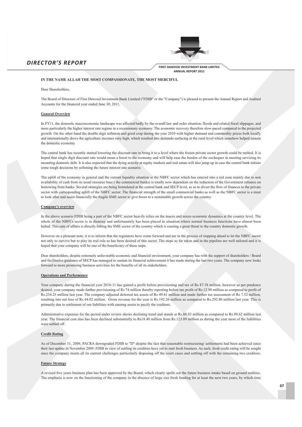



### IN THE NAME ALLAH THE MOST COMPASSIONATE, THE MOST MERCIFUL

Dear Shareholders

The Board of Directors of First Dawood Investment Bank Limited ("FDIB" or the "Company") is pleased to present the Annual Report and Audited Accounts for the financial year ended June 30, 2011.

### **General Overview**

In FY11, the domestic macroeconomic landscape was affected badly by the overall law and order situation, floods and related fiscal slippages, and more particularly the higher interest rate regime in a recessionary economy. The economic recovery therefore slow-paced compared to the projected growth. On the other hand the double digit inflation and good crop during the year 2010 with higher demand and commodity prices both locally and internationally drove the agriculture incomes very high, which resulted into demands surfacing at the rural level which somehow helped sustain the domestic economy.

The central bank has recently started lowering the discount rate to bring it to a level where the frozen private sector growth could be melted. It is hoped that single digit discount rate would mean a boost to the economy and will help ease the burden of the exchequer in meeting servicing its mounting domestic debt. It is also expected that the dying activity at equity markets and real estate will also jump up in case the central bank initiate some tough decisions by softening the future interest rate scenario.

The uplift of the economy in general and the current liquidity situation at the NBFC sector which has entered into a red zone mainly due to non availability of cash from its usual resource base (the commercial banks) is totally now dependent on the reduction of the Government reliance on borrowing from banks. Several strategies are being formulated at the central bank and SECP level, so as to divert the flow of finances to the private sector with corresponding uplift of the NBFC sector. The financial strength of the small commercial banks as well as the NBFC sector is a must to look after and assist financially the fragile SME sector to give boost to a sustainable growth across the country.

### **Company's overview**

In the above scenario FDIB being a part of the NBFC sector heavily relies on the macro and micro economic dynamics at the country level. The whole of the NBFCs sector is in disarray and unfortunately has been placed in situation where normal business functions have almost been halted. This sate of affairs is directly hitting the SME sector of the country which is causing a great threat to the country domestic growth.

However on a pleasant note, it is to inform that the regulators have come forward and are in the process of stepping ahead to let the NBFC sector not only to survive but to play its real role as has been desired of this sector. The steps so far taken and in the pipeline are well tailored and it is hoped that your company will be one of the beneficiary of these steps.

Dear shareholders, despite extremely unfavorable economic and financial environment, your company has with the support of shareholders / Board and facilitative guidance of SECP has managed to sustain its financial achievement it has made during the last two years. The company now looks forward to more promising business activities for the benefits of all its stakeholders.

### **Operations and Performance**

Your company during the financial year 2010-11 has gained a profit before provisioning and tax of Rs 87.38 million, however as per prudence desired, your company made further provisioning of Rs 74 million thereby reporting before tax profit of Rs.12.90 million as compared to profit of Rs.234.25 million last year. The company adjusted deferred tax assets of Rs 49.41 million and made further tax assessment of Rs 7.52 million, resulting into net loss of Rs 44.02 million. Gross revenue for the year is Rs.192.26 million as compared to Rs.292.80 million last year. This is primarily due to settlement of our liabilities with earning assets to pacify the creditors.

Administrative expenses for the period under review shows declining trend and stands at Rs.88.03 million as compared to Rs.99.62 million last year. The financial cost also has been declined substantially to Rs18.40 million from Rs.123.89 million as during the year most of the liabilities were settled off.

### **Credit Rating**

As of December 31, 2009, PACRA downgraded FDIB to "D" despite the fact that reasonable restructuring/settlements had been achieved since their last update in November 2009. FDIB in view of settling its creditors have yet to start fresh business. As such, fresh credit rating will be sought once the company meets all its current challenges particularly disposing off the court cases and settling off with the remaining two creditors.

### **Future Strategy**

A revised five years business plan has been approved by the Board, which clearly spells out the future business intake based on ground realities. The emphasis is now on the functioning of the company in the absence of large size fresh funding for at least the next two years, by which time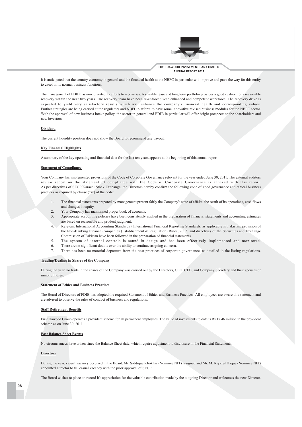

it is anticipated that the country economy in general and the financial health at the NBFC in particular will improve and pave the way for this entity to excel in its normal business functions.

The management of FDIB has now diverted its efforts to recoveries. A sizeable lease and long term portfolio provides a good cushion for a reasonable recovery within the next two years. The recovery team have been re-enforced with enhanced and competent workforce. The recovery drive is expected to yield very satisfactory results which will enhance the company's financial health and corresponding values. Further strategies are being carried at the regulators and NBFC platform to have some innovative revised business modules for the NBFC sector. With the approval of new business intake policy, the sector in general and FDIB in particular will offer bright prospects to the shareholders and new investors.

### **Dividend**

The current liquidity position does not allow the Board to recommend any payout.

### **Key Financial Highlights**

A summary of the key operating and financial data for the last ten years appears at the beginning of this annual report.

### **Statement of Compliance**

Your Company has implemented provisions of the Code of Corporate Governance relevant for the year ended June 30, 2011. The external auditors review report on the statement of compliance with the Code of Corporate Governance is annexed with this report. As per directives of SECP/Karachi Stock Exchange, the Directors hereby confirm the following code of good governance and ethical business practices as required by clause (xix) of the code:

- The financial statements prepared by management present fairly the Company's state of affairs, the result of its operations, cash flows  $\overline{1}$ . and changes in equity.
- $\gamma$ Your Company has maintained proper book of accounts.
- Appropriate accounting policies have been consistently applied in the preparation of financial statements and accounting estimates  $3.$ are based on reasonable and prudent judgment.
- 4. Relevant International Accounting Standards / International Financial Reporting Standards, as applicable in Pakistan, provision of the Non-Banking Finance Companies (Establishment & Regulation) Rules, 2003, and directives of the Securities and Exchange Commission of Pakistan have been followed in the preparation of financial statements.
- $\leq$ The system of internal controls is sound in design and has been effectively implemented and monitored.
- There are no significant doubts over the ability to continue as going concern. 6.
- $\tau$ There has been no material departure from the best practices of corporate governance, as detailed in the listing regulations.

### **Trading/Dealing in Shares of the Company**

During the year, no trade in the shares of the Company was carried out by the Directors, CEO, CFO, and Company Secretary and their spouses or minor children.

### **Statement of Ethics and Business Practices**

The Board of Directors of FDIB has adopted the required Statement of Ethics and Business Practices. All employees are aware this statement and are advised to observe the rules of conduct of business and regulations.

### **Staff Retirement Benefits**

First Dawood Group operates a provident scheme for all permanent employees. The value of investments to date is Rs.17.46 million in the provident scheme as on June 30, 2011.

### **Post Balance Sheet Events**

No circumstances have arisen since the Balance Sheet date, which require adjustment to disclosure in the Financial Statements.

### **Directors**

During the year, casual vacancy occurred in the Board. Mr. Siddique Khokhar (Nominee NIT) resigned and Mr. M. Riyazul Haque (Nominee NIT) appointed Director to fill casual vacancy with the prior approval of SECP

The Board wishes to place on record it's appreciation for the valuable contribution made by the outgoing Director and welcomes the new Director.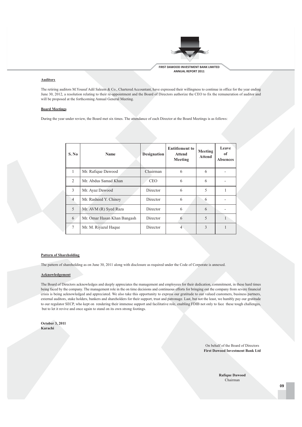

### **Auditors**

The retiring auditors M. Yousuf Adil Saleem & Co., Chartered Accountant, have expressed their willingness to continue in office for the year ending June 30, 2012, a resolution relating to their re-appointment and the Board of Directors authorize the CEO to fix the remuneration of auditor and will be proposed at the forthcoming Annual General Meeting.

### **Board Meetings**

During the year under review, the Board met six times. The attendance of each Director at the Board Meetings is as follows:

| S. No          | <b>Name</b>                 | <b>Designation</b> | <b>Entitlement to</b><br><b>Attend</b><br>Meeting | Meeting<br><b>Attend</b> | Leave<br><sub>of</sub><br><b>Absences</b> |
|----------------|-----------------------------|--------------------|---------------------------------------------------|--------------------------|-------------------------------------------|
| 1              | Mr. Rafique Dawood          | Chairman           | 6                                                 | 6                        |                                           |
| $\mathfrak{D}$ | Mr. Abdus Samad Khan        | <b>CEO</b>         | 6                                                 | 6                        |                                           |
| 3              | Mr. Ayaz Dawood             | Director           | 6                                                 | 5                        |                                           |
| $\overline{4}$ | Mr. Rasheed Y. Chinoy       | Director           | 6                                                 | 6                        |                                           |
| 5              | Mr. AVM (R) Syed Raza       | Director           | 6                                                 | 6                        |                                           |
| 6              | Mr. Omar Hasan Khan Bangash | Director           | 6                                                 | 5                        |                                           |
| $\tau$         | Mr. M. Riyazul Haque        | Director           | 4                                                 | 3                        |                                           |

### **Pattern of Shareholding**

The pattern of shareholding as on June 30, 2011 along with disclosure as required under the Code of Corporate is annexed.

### Acknowledgement

The Board of Directors acknowledges and deeply appreciates the management and employees for their dedication, commitment, in these hard times being faced by the company. The management role in the on time decisions and continuous efforts for bringing out the company from severe financial crisis is being acknowledged and appreciated. We also take this opportunity to express our gratitude to our valued customers, business partners, external auditors, stake holders, bankers and shareholders for their support, trust and patronage. Last, but not the least, we humbly pay our gratitude to our regulator SECP, who kept on rendering their immense support and facilitative role, enabling FDIB not only to face these tough challenges, but to let it revive and once again to stand on its own strong footings.

**October 3, 2011** Karachi

> On behalf of the Board of Directors **First Dawood Investment Bank Ltd**

> > **Rafique Dawood** Chairman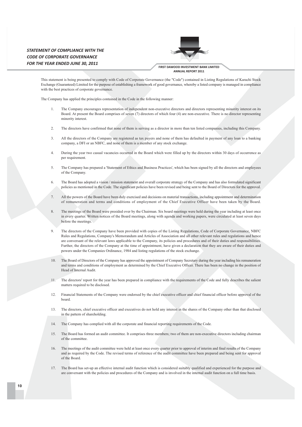### STATEMENT OF COMPLIANCE WITH THE **CODE OF CORPORATE GOVERNANCE** FOR THE YEAR ENDED JUNE 30, 2011



FIRST DAWOOD INVESTMENT BANK LIMITED ANNUAL REPORT 2011

This statement is being presented to comply with Code of Corporate Governance (the "Code") contained in Listing Regulations of Karachi Stock Exchange (Guaranteed) Limited for the purpose of establishing a framework of good governance, whereby a listed company is managed in compliance with the best practices of corporate governance.

The Company has applied the principles contained in the Code in the following manner:

- $\mathbf{1}$ . The Company encourages representation of independent non-executive directors and directors representing minority interest on its Board. At present the Board comprises of seven (7) directors of which four (4) are non-executive. There is no director representing minority interest.
- $\mathcal{L}$ The directors have confirmed that none of them is serving as a director in more than ten listed companies including this Company
- $\mathbf{3}$ All the directors of the Company are registered as tax payers and none of them has defaulted in payment of any loan to a banking company, a DFI or an NBFC, and none of them is a member of any stock exchange.
- During the year two casual vacancies occurred in the Board which were filled up by the directors within 30 days of occurrence as  $\overline{4}$ per requirement.
- The Company has prepared a 'Statement of Ethics and Business Practices', which has been signed by all the directors and employees  $5.$ of the Company.
- The Board has adopted a vision / mission statement and overall corporate strategy of the Company and has also formulated significant 6 policies as mentioned in the Code. The significant policies have been revised and being sent to the Board of Directors for the approval.
- All the powers of the Board have been duly exercised and decisions on material transactions, including appointment and determination  $\tau$ of remuneration and terms and conditions of employment of the Chief Executive Officer have been taken by the Board.
- The meetings of the Board were presided over by the Chairman. Six board meetings were held during the year including at least once 8. in every quarter. Written notices of the Board meetings, along with agenda and working papers, were circulated at least seven days before the meetings.
- $\Omega$ The directors of the Company have been provided with copies of the Listing Regulations. Code of Corporate Governance, NBFC Rules and Regulations, Company's Memorandum and Articles of Association and all other relevant rules and regulations and hence are conversant of the relevant laws applicable to the Company, its policies and procedures and of their duties and responsibilities. Further, the directors of the Company at the time of appointment, have given a declaration that they are aware of their duties and powers under the Companies Ordinance, 1984 and listing regulations of the stock exchange.
- $10<sup>1</sup>$ The Board of Directors of the Company has approved the appointment of Company Secretary during the year including his remuneration and terms and conditions of employment as determined by the Chief Executive Officer. There has been no change in the position of Head of Internal Audit
- The directors' report for the year has been prepared in compliance with the requirements of the Code and fully describes the salient  $11.$ matters required to be disclosed.
- $12<sup>°</sup>$ Financial Statements of the Company were endorsed by the chief executive officer and chief financial officer before approval of the board.
- $13$ The directors, chief executive officer and executives do not hold any interest in the shares of the Company other than that disclosed in the pattern of shareholding.
- The Company has complied with all the corporate and financial reporting requirements of the Code. 14.
- $15$ The Board has formed an audit committee. It comprises three members; two of them are non-executive directors including chairman of the committee.
- The meetings of the audit committee were held at least once every quarter prior to approval of interim and final results of the Company and as required by the Code. The revised terms of reference of the audit committee have been prepared and being sent for approval  $of the Board$
- $17$ The Board has set-up an effective internal audit function which is considered suitably qualified and experienced for the purpose and are conversant with the policies and procedures of the Company and is involved in the internal audit function on a full time basis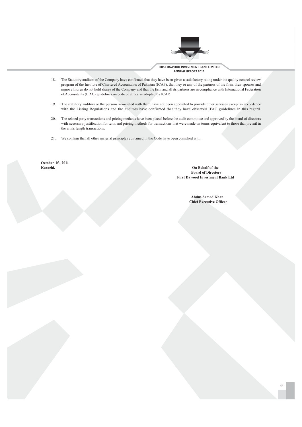

- 18. The Statutory auditors of the Company have confirmed that they have been given a satisfactory rating under the quality control review program of the Institute of Chartered Accountants of Pakistan (ICAP), that they or any of the partners of the firm, their spouses and minor children do not hold shares of the Company and that the firm and all its partners are in compliance with International Federation of Accountants (IFAC) guidelines on code of ethics as adopted by ICAP.
- The statutory auditors or the persons associated with them have not been appointed to provide other services except in accordance 19. with the Listing Regulations and the auditors have confirmed that they have observed IFAC guidelines in this regard.
- The related party transactions and pricing methods have been placed before the audit committee and approved by the board of directors 20. with necessary justification for term and pricing methods for transactions that were made on terms equivalent to those that prevail in the arm's length transactions.
- We confirm that all other material principles contained in the Code have been complied with. 21.

October 03, 2011 Karachi.

On Behalf of the **Board of Directors First Dawood Investment Bank Ltd** 

> **Abdus Samad Khan Chief Executive Officer**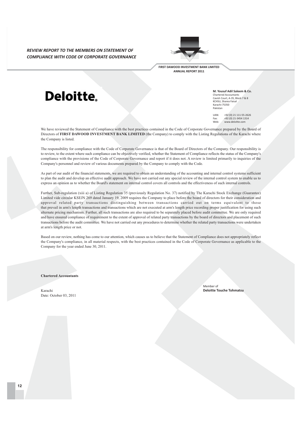**REVIEW REPORT TO THE MEMBERS ON STATEMENT OF** COMPLIANCE WITH CODE OF CORPORATE GOVERNANCE



FIRST DAWOOD INVESTMENT BANK LIMITED ANNUAL REPORT 2011

# Deloitte.

M. Yousuf Adil Saleem & Co. Chartered Accountants Cavish Court, A-35, Block 7 & 8 KCHSU, Sharea Faisal  $K$ arachi. 75250 Raracrin-

**HAN-**+92 (0) 21 111-55-2626  $+92(0)$  21-3454 1314 Fax:  $M_{\text{ph}}$ www.deloitte.com

We have reviewed the Statement of Compliance with the best practices contained in the Code of Corporate Governance prepared by the Board of Directors of FIRST DAWOOD INVESTMENT BANK LIMITED (the Company) to comply with the Listing Regulations of the Karachi where the Company is listed.

The responsibility for compliance with the Code of Corporate Governance is that of the Board of Directors of the Company. Our responsibility is to review, to the extent where such compliance can be objectively verified, whether the Statement of Compliance reflects the status of the Company's compliance with the provisions of the Code of Corporate Governance and report if it does not. A review is limited primarily to inquiries of the Company's personnel and review of various documents prepared by the Company to comply with the Code.

As part of our audit of the financial statements, we are required to obtain an understanding of the accounting and internal control systems sufficient to plan the audit and develop an effective audit approach. We have not carried out any special review of the internal control system to enable us to express an opinion as to whether the Board's statement on internal control covers all controls and the effectiveness of such internal controls.

Further, Sub-regulation (xiii a) of Listing Regulation 35 (previously Regulation No. 37) notified by The Karachi Stock Exchange (Guarantee) Limited vide circular KSEJN 269 dated January 19, 2009 requires the Company to place before the board of directors for their consideration and approval related party transactions distinguishing between transactions carried out on terms equivalent to those that prevail in arm's length transactions and transactions which are not executed at arm's length price recording proper justification for using such alternate pricing mechanism. Further, all such transactions are also required to be separately placed before audit committee. We are only required and have ensured compliance of requirement to the extent of approval of related party transactions by the board of directors and placement of such transactions before the audit committee. We have not carried out any procedures to determine whether the related party transactions were undertaken at arm's length price or not.

Based on our review, nothing has come to our attention, which causes us to believe that the Statement of Compliance does not appropriately reflect the Company's compliance, in all material respects, with the best practices contained in the Code of Corporate Governance as applicable to the Company for the year ended June 30, 2011.

**Chartered Accountants** 

Karachi Date: October 03, 2011 Member of **Deloitte Touche Tohmatsu**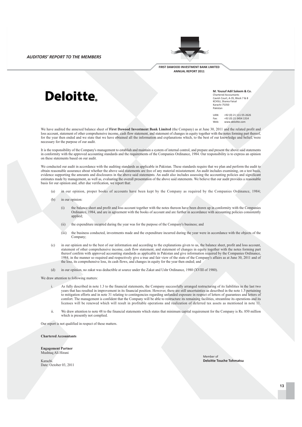**AUDITORS' REPORT TO THE MEMBERS** 



**FIRST DAWOOD INVESTMENT BANK LIMITED** ANNUAL REPORT 2011

# Deloitte.

M. Yousuf Adil Saleem & Co. Chartered Accountants Cavish Court, A-35, Block 7 & 8 KCHSU. Sharea Faisa  $K$ arachi. 75250 Pakistar

**TIAN-**+92 (0) 21 111-55-2626  $+92(0)$  21-3454 1314 Fax:  $M_{\text{ph}}$ www.deloitte.com

We have audited the annexed balance sheet of First Dawood Investment Bank Limited (the Company) as at June 30, 2011 and the related profit and loss account, statement of other comprehensive income, cash flow statement, and statement of changes in equity together with the notes forming part thereof, for the year then ended and we state that we have obtained all the information and explanations which, to the best of our knowledge and belief, were necessary for the purpose of our audit.

It is the responsibility of the Company's management to establish and maintain a system of internal control, and prepare and present the above said statements in conformity with the approved accounting standards and the requirements of the Companies Ordinance, 1984. Our responsibility is to express an opinion on these statements based on our audit.

We conducted our audit in accordance with the auditing standards as applicable in Pakistan. These standards require that we plan and perform the audit to obtain reasonable assurance about whether the above said statements are free of any material misstatement. An audit includes examining, on a test basis, evidence supporting the amounts and disclosures in the above said statements. An audit also includes assessing the accounting policies and significant estimates made by management, as well as, evaluating the overall presentation of the above said statements. We believe that our audit provides a reasonable basis for our opinion and, after due verification, we report that:

- in our opinion, proper books of accounts have been kept by the Company as required by the Companies Ordinance, 1984;  $(a)$
- $(b)$ in our opinion:
	- the balance sheet and profit and loss account together with the notes thereon have been drawn up in conformity with the Companies  $(i)$ Ordinance, 1984, and are in agreement with the books of account and are further in accordance with accounting policies consistently applied:
	- the expenditure incurred during the year was for the purpose of the Company's business; and  $(ii)$
	- $(iii)$ the business conducted, investments made and the expenditure incurred during the year were in accordance with the objects of the Company:
- in our opinion and to the best of our information and according to the explanations given to us, the balance sheet, profit and loss account.  $(c)$ statement of other comprehensive income, cash flow statement, and statement of changes in equity together with the notes forming part thereof confirm with approved accounting standards as applicable in Pakistan and give information required by the Companies Ordinance, 1984, in the manner so required and respectively give a true and fair view of the state of the Company's affairs as at June 30, 2011 and of the loss, its comprehensive loss, its cash flows, and changes in equity for the year then ended; and
- $(d)$ in our opinion, no zakat was deductible at source under the Zakat and Ushr Ordinance, 1980 (XVIII of 1980).

We draw attention to following matters:

- As fully described in note 1.3 to the financial statements, the Company successfully arranged restructuring of its liabilities in the last two  $\mathbf{i}$ vears that has resulted in improvement in its financial position. However, there are still uncertainties as described in the note 1.3 pertaining to mitigation efforts and in note 31 relating to contingencies regarding unfunded exposure in respect of letters of guarantees and letters of comfort. The management is confident that the Company will be able to restructure its remaining facilities, streamline its operations and its licenses will be renewed which will result in profitable operations and realization of deferred tax assets as mentioned in note 11.
- We draw attention to note 48 to the financial statements which states that minimum capital requirement for the Company is Rs. 850 million  $\mathbf{ii}$ which is presently not complied.

Our report is not qualified in respect of these matters.

**Chartered Accountants** 

**Engagement Partner** Mushtaq Ali Hirani

Karachi Date: October 03, 2011 Member of **Deloitte Touche Tohmatsu**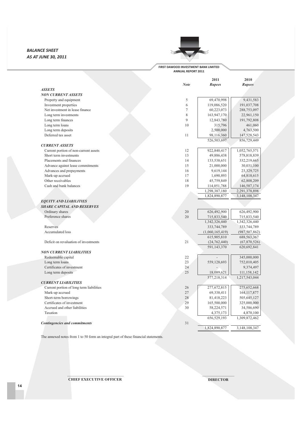### **BALANCE SHEET AS AT JUNE 30, 2011**



### **FIRST DAWOOD INVESTMENT BANK LIMITED ANNUAL REPORT 2011**

|                                          | Note         | 2011<br><b>Rupees</b>    | 2010<br><b>Rupees</b>        |
|------------------------------------------|--------------|--------------------------|------------------------------|
| <b>ASSETS</b>                            |              |                          |                              |
| <b>NON CURRENT ASSETS</b>                |              |                          |                              |
| Property and equipment                   | 5            | 69,470,998               | 9,431,583                    |
| Investment properties                    | 6            | 119,086,520              | 191,037,708                  |
| Net investment in lease finance          | $\tau$       | 60,223,073               | 288,753,097                  |
| Long term investments                    | 8            | 163,947,170              | 22,961,150                   |
| Long term finances                       | $\mathbf{Q}$ | 12,843,780               | 191,792,808                  |
| Long term loans                          | 10           | 315,796                  | 461,060                      |
| Long term deposits                       |              | 2,500,000                | 4,763,500                    |
| Deferred tax asset                       | 11           | 98,116,360               | 147,528,543                  |
|                                          |              | 526,503,697              | 856,729,449                  |
| <b>CURRENT ASSETS</b>                    |              |                          |                              |
| Current portion of non-current assets    | 12           | 922,840,417              | 1,052,765,571                |
| Short term investments                   | 13           | 49,886,438               | 578,818,839                  |
| Placements and finances                  | 14           | 133,538,651              | 332,219,665                  |
| Advance against lease commitments        | 15           | 21,000,000               | 30,031,100                   |
| Advances and prepayments                 | 16           | 9,619,144                | 23,329,725                   |
| Mark-up accrued                          | 17           | 1,690,893                | 64,818,615                   |
| Other receivables                        | 18           | 45,759,849               | 62,808,209                   |
| Cash and bank balances                   | 19           | 114,051,788              | 146,587,174                  |
|                                          |              | 1,298,387,180            | 2,291,378,898                |
|                                          |              | 1,824,890,877            | 3,148,108,347                |
| <b>EQUITY AND LIABILITIES</b>            |              |                          |                              |
| <b>SHARE CAPITAL AND RESERVES</b>        |              |                          |                              |
| Ordinary shares                          | 20           | 626,492,900              | 626,492,900                  |
| Preference shares                        | 20           | 715,833,540              | 715,833,540                  |
|                                          |              | 1,342,326,440            | 1,342,326,440                |
| Reserves                                 |              | 333,744,789              | 333,744,789                  |
| Accumulated loss                         |              | (1,060,165,419)          | (987, 507, 862)              |
|                                          |              | 615,905,810              | 688, 563, 367                |
| Deficit on revaluation of investments    | 21           | (24, 762, 440)           | (67,870,526)                 |
|                                          |              | 591,143,370              | 620,692,841                  |
| <b>NON CURRENT LIABILITIES</b>           |              |                          |                              |
| Redeemable capital                       | 22           |                          | 345,000,000                  |
| Long term loans                          | 23           | 559,128,693              | 752,010,405                  |
| Certificates of investment               | 24           |                          | 9,374,497                    |
| Long term deposits                       | 25           | 18,089,621               | 111,158,142                  |
| <b>CURRENT LIABILITIES</b>               |              | 577,218,314              | 1,217,543,044                |
| Current portion of long term liabilities | 26           | 277,672,815              |                              |
| Mark-up accrued                          | 27           | 69,338,411               | 275,652,668<br>164, 117, 877 |
| Short-term borrowings                    | 28           | 81,418,223               |                              |
| Certificates of investment               | 29           | 165,500,000              | 505,645,127<br>325,000,000   |
| Accrued and other liabilities            | 30           |                          |                              |
| Taxation                                 |              | 58,224,571               | 34,586,690                   |
|                                          |              | 4,375,173<br>656,529,193 | 4,870,100<br>1,309,872,462   |
| <b>Contingencies and commitments</b>     | 31           |                          |                              |
|                                          |              | 1,824,890,877            | 3,148,108,347                |
|                                          |              |                          |                              |

The annexed notes from 1 to 50 form an integral part of these financial statements.

<u>OOO OOOOOOOOOOOOOOOOOOOO</u>  $\mathbf{C}$ HIEF EXECUTIVE OFFICER

OOOOOOOOOOOOOOOOO **DIRECTOR**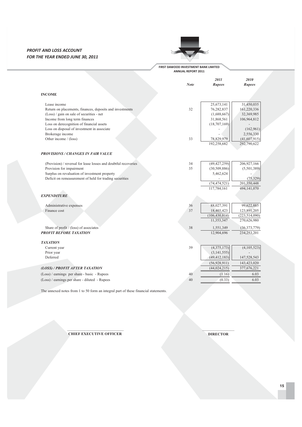### **PROFIT AND LOSS ACCOUNT FOR THE YEAR ENDED JUNE 30, 2011**



### **FIRST DAWOOD INVESTMENT BANK LIMITED ANNUAL REPORT 2011**

|                                                                 |             | 2011            | 2010            |
|-----------------------------------------------------------------|-------------|-----------------|-----------------|
|                                                                 | <b>Note</b> | <b>Rupees</b>   | <b>Rupees</b>   |
| <b>INCOME</b>                                                   |             |                 |                 |
| Lease income                                                    |             | 25,673,141      | 31,450,035      |
| Return on placements, finances, deposits and investments        | 32          | 76,282,837      | 161,220,336     |
| (Loss) / gain on sale of securities - net                       |             | (1,688,667)     | 32,369,985      |
| Income from long term finances                                  |             | 31,868,561      | 106,964,812     |
| Loss on derecognition of financial assets                       |             | (18,707,169)    |                 |
| Loss on disposal of investment in associate                     |             |                 | (162, 961)      |
| Brokerage income                                                |             |                 | 2,556,330       |
| Other income / (loss)                                           | 33          | 78,829,979      | (41,607,915)    |
|                                                                 |             | 192,258,682     | 292,790,622     |
| <b>PROVISIONS / CHANGES IN FAIR VALUE</b>                       |             |                 |                 |
| (Provision) / reversal for lease losses and doubtful recoveries | 34          | (49, 427, 259)  | 206,927,166     |
| Provision for impairment                                        | 35          | (30, 509, 886)  | (5,501,389)     |
| Surplus on revaluation of investment property                   |             | 5,462,624       |                 |
| Deficit on remeasurement of held for trading securities         |             |                 | (75,329)        |
|                                                                 |             | (74, 474, 521)  | 201,350,448     |
|                                                                 |             | 117,784,161     | 494,141,070     |
| <b>EXPENDITURE</b>                                              |             |                 |                 |
| Administrative expenses                                         | 36          | 88,027,391      | 99,622,885      |
| Finance cost                                                    | 37          | 18,403,423      | 123,891,205     |
|                                                                 |             | (106, 430, 814) | (223, 514, 090) |
|                                                                 |             | 11,353,347      | 270,626,980     |
| Share of profit / (loss) of associates                          | 38          | 1,551,349       | (36,373,779)    |
| <b>PROFIT BEFORE TAXATION</b>                                   |             | 12,904,696      | 234,253,201     |
| <b>TAXATION</b>                                                 |             |                 |                 |
| Current year                                                    | 39          | (4,375,173)     | (4,105,523)     |
| Prior year                                                      |             | (3, 141, 555)   |                 |
| Deferred                                                        |             | (49, 412, 183)  | 147,528,543     |
|                                                                 |             | (56,928,911)    | 143,423,020     |
| (LOSS) / PROFIT AFTER TAXATION                                  |             | (44, 024, 215)  | 377,676,221     |
| (Loss) / earnings per share - basic - Rupees                    | 40          | (1.16)          | 6.03            |
| (Loss) / earnings per share - diluted - Rupees                  | 40          | (0.33)          | 6.03            |
|                                                                 |             |                 |                 |

The annexed notes from 1 to 50 form an integral part of these financial statements.

OOOOOOOOOOOOOOOOOOOOOOOOOOOOOO **CHIEF EXECUTIVE OFFICER** 

OOOOOOOOOOOOOOOOO **DIRECTOR**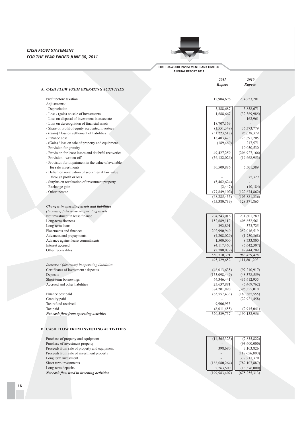### **CASH FLOW STATEMENT FOR THE YEAR ENDED JUNE 30, 2011**



### **FIRST DAWOOD INVESTMENT BANK LIMITED ANNUAL REPORT 2011**

*2011 2010* 

|                                                      | <b>Rupees</b>  | <b>Rupees</b>   |
|------------------------------------------------------|----------------|-----------------|
| A. CASH FLOW FROM OPERATING ACTIVITIES               |                |                 |
| Profit before taxation                               | 12,904,696     | 234,253,201     |
| Adjustments:                                         |                |                 |
| - Depreciation                                       | 5,388,687      | 3,858,671       |
| - Loss / (gain) on sale of investments               | 1,688,667      | (32,369,985)    |
| - Loss on disposal of investment in associate        |                | 162,961         |
| - Loss on derecognition of financial assets          | 18,707,169     |                 |
| - Share of profit of equity accounted investees      | (1, 551, 349)  | 36, 373, 779    |
| - (Gain) / loss on settlement of liabilities         | (51, 223, 518) | 95,638,379      |
| - Finance cost                                       | 18,403,423     | 123,891,205     |
| - (Gain) / loss on sale of property and equipment    | (189, 460)     | 217,571         |
| - Provision for gratuity                             |                | 10,050,530      |
| - Provision for lease losses and doubtful recoveries | 49, 427, 259   | (206, 927, 166) |
| - Provision - written-off                            | (56, 132, 026) | (19,668,953)    |
| - Provision for impairment in the value of available |                |                 |
| for sale investments                                 | 30,509,886     | 5,501,389       |
| - Deficit on revaluation of securities at fair value |                |                 |
| through profit or loss                               |                | 75,329          |
| - Surplus on revaluation of investment property      | (5,462,624)    |                 |
| - Exchange gain                                      | (2, 447)       | (10, 184)       |
| - Other income                                       | (77, 849, 102) | (122, 674, 862) |
|                                                      | (68, 285, 435) | (105, 881, 336) |
|                                                      | (55,380,739)   | 128,371,865     |
| Changes in operating assets and liabilities          |                |                 |
| (Increase) / decrease in operating assets            |                |                 |
| Net investment in lease finance                      | 204,243,016    | 231,601,289     |
| Long-term finances                                   | 152,689,112    | 408,652,561     |
| Long-term loans                                      | 392,891        | 373,725         |
| Placements and finances                              | 202,990,940    | 252,016,519     |
| Advances and prepayments                             | (4,208,029)    | (1,750,368)     |
| Advance against lease commitments                    | 1,500,000      | 8,733,800       |
| Interest accrued                                     | (4,117,460)    | (5,642,307)     |
| Other receivables                                    | (2,780,079)    | 89,444,209      |
|                                                      | 550,710,391    | 983,429,428     |
|                                                      | 495,329,652    | 1,111,801,293   |
| Increase / (decrease) in operating liabilities       |                |                 |
| Certificates of investment / deposits                | (46, 013, 635) | (97,210,917)    |
| Deposits                                             | (153,098,449)  | (48, 378, 559)  |
| Short-term borrowings                                | 64,346,441     | 435, 612, 955   |
| Accrued and other liabilities                        | 23,637,881     | (5,469,762)     |
|                                                      | 384,201,890    | 1,396,355,010   |
| Finance cost paid                                    | (65, 557, 433) | (180, 385, 555) |
| Gratuity paid                                        |                | (22, 921, 458)  |
| Tax refund received                                  | 9,906,955      |                 |
| Tax paid                                             | (8,011,655)    | (2,915,041)     |
| Net cash flow from operating activities              | 320,539,757    | 1,190,132,956   |
|                                                      |                |                 |
|                                                      |                |                 |
| <b>B. CASH FLOW FROM INVESTING ACTIVITIES</b>        |                |                 |
|                                                      |                |                 |

| (14, 565, 323)  | (7,835,822)     |
|-----------------|-----------------|
|                 | (93,600,000)    |
| 398,680         | 3,103,826       |
|                 | (118, 656, 800) |
|                 | 337, 217, 370   |
| (188,080,264)   | (782, 107, 887) |
| 2,263,500       | (13,376,000)    |
| (199, 983, 407) | (675, 255, 313) |

Purchase of property and equipment Purchase of investment property

Long term investment Short term investments Long-term deposits

Proceeds from sale of property and equipment Proceeds from sale of investment property

Net cash flow used in investing activities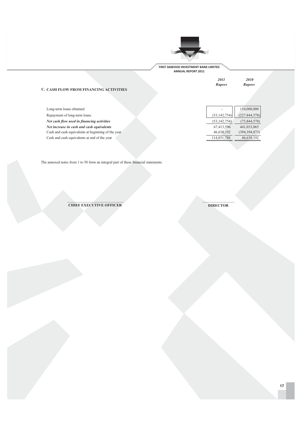

2010 Rupees

2011

Rupees

### C. CASH FLOW FROM FINANCING ACTIVITIES

| Long-term loans obtained                           |                | 154,000,000     |
|----------------------------------------------------|----------------|-----------------|
| Repayment of long-term loans                       | (53, 142, 754) | (227, 844, 578) |
| Net cash flow used in financing activities         | (53, 142, 754) | (73, 844, 578)  |
| Net increase in cash and cash equivalents          | 67,413,596     | 441,033,065     |
| Cash and cash equivalents at beginning of the year | 46,638,192     | (394, 394, 873) |
| Cash and cash equivalents at end of the year       | 114,051,788    | 46,638,192      |
|                                                    |                |                 |

The annexed notes from 1 to 50 form an integral part of these financial statements.

**CHIEF EXECUTIVE OFFICER** 

**DIRECTOR**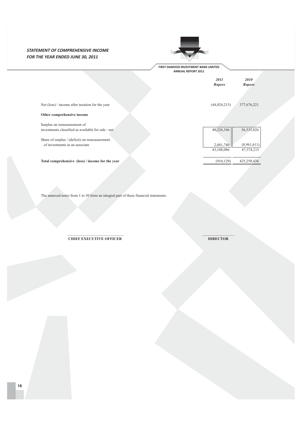## **STATEMENT OF COMPREHENSIVE INCOME** FOR THE YEAR ENDED JUNE 30, 2011



FIRST DAWOOD INVESTMENT BANK LIMITED

|                                                                                 | <b>ANNUAL KEPUKI ZULL</b> |                              |
|---------------------------------------------------------------------------------|---------------------------|------------------------------|
|                                                                                 | 2011<br>Rupees            | <i>2010</i><br><b>Rupees</b> |
| Net (loss) / income after taxation for the year                                 | (44, 024, 215)            | 377,676,221                  |
| Other comprehensive income                                                      |                           |                              |
| Surplus on remeasurement of                                                     |                           |                              |
| investments classified as available for sale - net                              | 40,226,346                | 56, 535, 826                 |
| Share of surplus / (deficit) on remeasurement<br>of investments in an associate | 2,881,740                 | (8,961,611)                  |
|                                                                                 | 43,108,086                | 47,574,215                   |

Total comprehensive (loss) / income for the year

The annexed notes from 1 to 50 form an integral part of these financial statements.

**CHIEF EXECUTIVE OFFICER** 

**DIRECTOR** 

 $(916, 129)$ 

425,250,436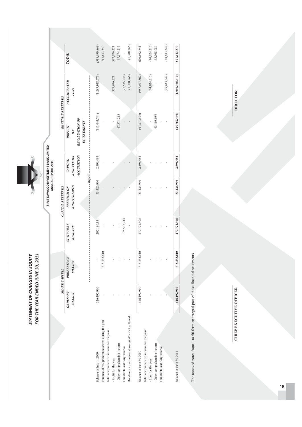|                                                     | STATEMENT OF CHANGES IN EQUITY<br>FOR THE YEAR ENDED JUNE 30, | 2011                        |                                    |                                   | FIRST DAWOOD INVESTMENT BANK LIMITED |                                      |                            |                 |
|-----------------------------------------------------|---------------------------------------------------------------|-----------------------------|------------------------------------|-----------------------------------|--------------------------------------|--------------------------------------|----------------------------|-----------------|
|                                                     |                                                               | <b>SHARE CAPITAL</b>        |                                    | <b>CAPITAL RESERVES</b>           | ANNUAL REPORT 2011                   | REVENUE RESERVES                     |                            |                 |
|                                                     | ORDINARY<br><b>SHARES</b>                                     | PREFERENCE<br><b>SHARES</b> | <b>STATUTORY</b><br><b>RESERVE</b> | <b>RIGHT SHARES</b><br>PREMIUM ON | RESERVE ON<br>CAPITAL                | <b>DEFICIT</b><br>$\infty$           | ACCUMULATED<br><b>LOSS</b> | тоти            |
|                                                     |                                                               |                             |                                    | $-$ - $Rupes-$                    | NOLISINON                            | REVALUATION OF<br><b>INVESTMENTS</b> |                            |                 |
| Balance at July 1, 2009                             | 626,492,900                                                   |                             | 202,186,151                        | 53,426,910                        | 2,596,484                            | (115, 444, 741)                      | (1,287,948,573)            | (518, 690, 869) |
| Issuance of 4% preference shares during the year    |                                                               | 5,833,540<br>$\overline{r}$ |                                    |                                   |                                      |                                      |                            | 715,833,540     |
| Total comprehensive income for the year             |                                                               |                             |                                    |                                   |                                      |                                      |                            |                 |
| - Profit for the year                               |                                                               |                             |                                    |                                   |                                      |                                      | 377,676,221                | 377,676,221     |
| - Other comprehensive income                        |                                                               |                             |                                    |                                   |                                      | 47,574,215                           |                            | 47,574,215      |
| Transfer to statutory reserve                       |                                                               |                             | 75,535,244                         |                                   |                                      |                                      | (75, 535, 244)             |                 |
| Dividend on preference shares $@$ 4% for the Period |                                                               |                             |                                    |                                   |                                      |                                      | (1,700,266)                | (1,700,266)     |
| Balance at June 30 2010                             | 626,492,900                                                   | 715,833,540                 | 277,721,395                        | 53,426,910                        | 2,596,484                            | (67, 870, 526)                       | (987, 507, 862)            | 620,692,841     |
| Total comprehensive income for the year             |                                                               |                             |                                    |                                   |                                      |                                      |                            |                 |
| -Loss for the year                                  |                                                               |                             |                                    |                                   |                                      |                                      | (44,024,215)               | (44, 024, 215)  |
| - Other comprehensive income                        |                                                               |                             |                                    |                                   |                                      | 43,108,086                           |                            | 43,108,086      |
| Transfer to statutory reserve                       |                                                               |                             |                                    |                                   |                                      |                                      |                            |                 |
|                                                     |                                                               |                             |                                    |                                   |                                      |                                      | (28, 633, 342)             | (28, 633, 342)  |
| Balance at June 30 2011                             | 626,492,900                                                   | 5,833,540<br>Ë              | 277,721,395                        | 53,426,910                        | 2,596,484                            | (24, 762, 440)                       | (1,060,165,419)            | 591,143,370     |
|                                                     |                                                               |                             |                                    |                                   |                                      |                                      |                            |                 |

The a mexed notes from  $1$  to 50 form a n integra l pa rt of these fina ncia  $s<sub>ta</sub>$ tements.

**CHIF # ; CHTTIVE OFFICE** 

**DIRE** CTOR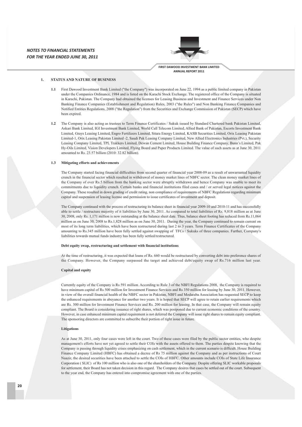

### $\mathbf{1}$ **STATUS AND NATURE OF BUSINESS**

- First Dawood Investment Bank Limited ("the Company") was incorporated on June 22, 1994 as a public limited company in Pakistan  $11<sub>1</sub>$ under the Companies Ordinance 1984 and is listed on the Karachi Stock Exchange. The registered office of the Company is situated in Karachi, Pakistan. The Company had obtained the licenses for Leasing Business and Investment and Finance Services under Non Banking Finance Companies (Establishment and Regulation) Rules, 2003 ("the Rules") and Non Banking Finance Companies and Notified Entities Regulations, 2008 ("the Regulation") from the Securities and Exchange Commission of Pakistan (SECP) which have been expired.
- 1.2 The Company is also acting as trustees to Term Finance Certificates / Sukuk issued by Standard Chartered bank Pakistan Limited, Askari Bank Limited JGJ Investment Bank Limited World Call Telecom Limited Allied Bank of Pakistan Escorts Investment Bank Limited, Grays Leasing Limited, Engro Fertilizers Limited, Sitara Energy Limited, KASB Securities Limited, Orix Leasing Pakistan Limited-1, Orix Leasing Pakistan Limited -2, Saudi Pak Leasing Company Limited, New Allied Electronics Industries (Pvt.), Security Leasing Company Limited, TPL Trakkers Limited, Dewan Cement Limited, House Building Finance Company, Bunn's Limited, Pak Hy-Oils Limited, Vision Developers Limited, Flying Board and Paper Products Limited. The value of such assets as at June 30, 2011 amounted to Rs. 23.57 billion (2010: 32.82 billion).

### 1.3 Mitigating efforts and achievements

The Company started facing financial difficulties from second quarter of financial year 2008-09 as a result of unwarranted liquidity crunch in the financial sector which resulted in withdrawal of money market lines of NBFC sector. The clean money market lines of the Company of over Rs.5 billion from the banking sector were abruptly withdrawn and hence Company was unable to meet its commitments due to liquidity crunch. Certain banks and financial institutions filed cases and / or served legal notices against the Company. These resulted in down grading of credit rating, non compliance of requirements of NBFC Regulations regarding minimum capital and suspension of leasing license and permission to issue certificates of investment and deposit.

The Company continued with the process of restructuring its balance sheet in financial year 2009-10 and 2010-11 and has successfully able to settle / restructure majority of it liabilities by June 30, 2011. As compared to total liabilities of Rs. 9,818 million as at June 30, 2008, only Rs. 1.171 million is now outstanding at the balance sheet date. Thus, balance sheet footing has reduced from Rs. 11.064 million as on June 30, 2008 to Rs.1,828 million as on June 30, 2011. During the year, the Company continued to remain current on most of its long term liabilities, which have been restructured during last 2 to 3 years. Term Finance Certificates of the Company amounting to Rs.345 million have been fully settled against swapping of TFCs / Sukuks of three companies. Further, Company's liabilities towards mutual funds industry has been fully settled/restructured.

### Debt equity swap, restructuring and settlement with financial institutions

At the time of restructuring, it was expected that loans of Rs. 660 would be restructured by converting debt into preference shares of the Company. However, the Company surpassed the target and achieved debt/equity swap of Rs.716 million last year.

### Capital and equity

Currently equity of the Company is Rs 591 million. According to Rule 3 of the NBFI Regulations 2008, the Company is required to have minimum capital of Rs 500 million for Investment Finance Services and Rs 350 million for leasing by June 30, 2011. However, in view of the overall financial health of the NBFC sector in Pakistan, NBFI and Modaraba Association has requested SECP to keep the enhanced requirements in abeyance for another two years. It is hoped that SECP will agree to retain earlier requirements which are Rs. 300 million for Investment Finance Services and Rs. 200 million for leasing. In that case, the Company will remain equity compliant. The Board is considering issuance of right shares, which was postponed due to current economic conditions of the country. However, in case enhanced minimum capital requirement is not deferred the Company will issue right shares to remain equity compliant. The sponsoring directors are committed to subscribe their portion of right issue in future.

### **Litigations**

As at June 30, 2011, only four cases were left in the court. Two of these cases were filed by the public sector entities, who despite management's efforts have not yet agreed to settle their COIs with the assets offered to them. The parties despite knowing that the Company is passing through liquidity crises emphasizing on cash settlement, which in the current scenario is difficult. House Building Finance Company Limited (HBFC) has obtained a decree of Rs 75 million against the Company and as per instructions of Court Naazir, the desired securities have been attached to settle the COIs of HBFC. Other amounts include COIs of State Life Insurance Corporation (SLIC) of Rs 100 million who is also one of the shareholders of the Company. Despite offering SLIC workable proposals for settlement, their Board has not taken decision in this regard. The Company desires that cases be settled out of the court. Subsequent to the year end, the Company has entered into compromise agreement with one of the parties.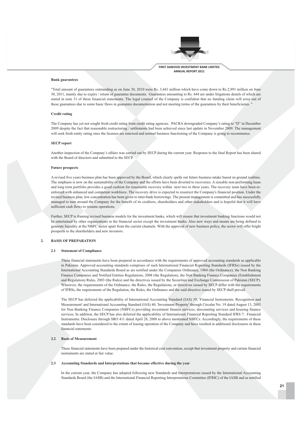

### **Bank** guarantees

"Total amount of guarantees outstanding as on June 30, 2010 were Rs. 3,441 million which have come down to Rs.2,991 million on June 30. 2011, mainly due to expiry / return of guarantee documents. Guarantees amounting to Rs. 644 are under litigations details of which are stated in note 31 of these financial statements. The legal counsel of the Company is confident that no funding claim will arise out of these guarantees due to some basic flaws in guarantee documentation and not meeting terms of the guarantees by their beneficiaries.

### **Credit rating**

The Company has yet not sought fresh credit rating from credit rating agencies. PACRA downgraded Company's rating to "D" in December 2009 despite the fact that reasonable restructuring / settlements had been achieved since last update in November 2009. The management will seek fresh entity rating once the licenses are renewed and normal business functioning of the Company is going to recommence.

### **SECP** report

Another inspection of the Company's affairs was carried out by SECP during the current year. Response to the final Report has been shared with the Board of directors and submitted to the SECP.

### **Future prospects**

A revised five years business plan has been approved by the Board, which clearly spells out future business intake based on ground realities. The emphasis is now on the sustainability of the Company and the efforts have been diverted to recoveries. A sizeable non-performing lease and long term portfolio provides a good cushion for reasonable recovery within next two to three years. The recovery team have been reenforced with enhanced and competent workforce. The recovery drive is expected to resurrect the Company's financial position. Under the revised business plan, low concentration has been given to inter-bank borrowings. The present management is committed and has successfully managed to turn around the Company for the benefit of its creditors, shareholders and other stakeholders and is hopeful that it will have sufficient cash flows to resume operations.

Further, SECP is framing revised business models for the investment banks, which will ensure that investment banking functions would not be entertained by other organizations in the financial sector except the investment banks. Also new ways and means are being defined to generate liquidity at the NBFC sector apart from the current channels. With the approval of new business policy, the sector will offer bright prospects to the shareholders and new investors.

### **BASIS OF PREPARATION**  $\overline{2}$

### 2.1 Statement of Compliance

These financial statements have been prepared in accordance with the requirements of approved accounting standards as applicable in Pakistan. Approved accounting standards comprises of such International Financial Reporting Standards (IFRSs) issued by the International Accounting Standards Board as are notified under the Companies Ordinance, 1984 (the Ordinance), the Non Banking Finance Companies and Notified Entities Regulations, 2008 (the Regulation), the Non Banking Finance Companies (Establishment and Regulation) Rules, 2003 (the Rules) and the directives issued by the Securities and Exchange Commission of Pakistan (SECP). Wherever, the requirements of the Ordinance, the Rules, the Regulations, or directives issued by SECP differ with the requirements of IFRSs, the requirements of the Regulation, the Rules, the Ordinance and the said directive issued by SECP shall prevail.

The SECP has deferred the applicability of International Accounting Standard (IAS) 39, 'Financial Instruments: Recognition and Measurement' and International Accounting Standard (IAS) 40, 'Investment Property' through Circular No. 19 dated August 13, 2003 for Non Banking Finance Companies (NBFCs) providing investment finance services, discounting services and housing finance services. In addition, the SECP has also deferred the applicability of International Financial Reporting Standard IFRS 7: Financial Instruments: Disclosure through SRO 411 dated April 28, 2008 to above mentioned NBFCs. Accordingly, the requirements of these standards have been considered to the extent of leasing operation of the Company and have resulted in additional disclosures in these financial statements

### $22$ **Basis of Measurement**

These financial statements have been prepared under the historical cost convention, except that investment property and certain financial instruments are stated at fair value.

### $2.3$ Accounting Standards and Interpretations that became effective during the year

In the current year, the Company has adopted following new Standards and Interpretations issued by the International Accounting Standards Board (the IASB) and the International Financial Reporting Interpretations Committee (IFRIC) of the IASB and as notified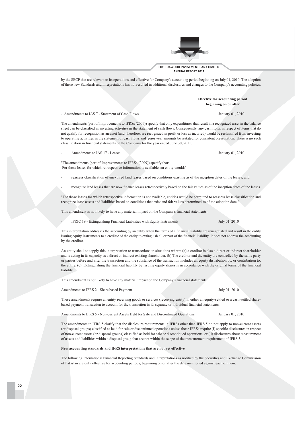The amendments (part of Improvements to IFRSs (2009)) specify that only expenditures that result in a recognized asset in the balance sheet can be classified as investing activities in the statement of cash flows. Consequently, any cash flows in respect of items that do not qualify for recognition as an asset (and, therefore, are recognized in profit or loss as incurred) would be reclassified from investing to operating activities in the statement of cash flows and prior year amounts be restated for consistent presentation. There is no such

by the SECP that are relevant to its operations and effective for Company's accounting period beginning on July 01, 2010. The adoption

Amendments to IAS 17 - Leases

"The amendments (part of Improvements to IFRSs (2009)) specify that: For those leases for which retrospective information is available, an entity would:"

- reassess classification of unexpired land leases based on conditions existing as of the inception dates of the leases; and
- recognize land leases that are now finance leases retrospectively based on the fair values as of the inception dates of the leases.

"For those leases for which retrospective information is not available, entities would be permitted to reassess lease classification and recognize lease assets and liabilities based on conditions that exist and fair values determined as of the adoption date."

This amendment is not likely to have any material impact on the Company's financial statements.

IFRIC 19 - Extinguishing Financial Liabilities with Equity Instruments

This interpretation addresses the accounting by an entity when the terms of a financial liability are renegotiated and result in the entity issuing equity instruments to a creditor of the entity to extinguish all or part of the financial liability. It does not address the accounting by the creditor.

An entity shall not apply this interpretation to transactions in situations where: (a) a creditor is also a direct or indirect shareholder and is acting in its capacity as a direct or indirect existing shareholder. (b) The creditor and the entity are controlled by the same party or parties before and after the transaction and the substance of the transaction includes an equity distribution by, or contribution to, the entity. (c) Extinguishing the financial liability by issuing equity shares is in accordance with the original terms of the financial liability.

This amendment is not likely to have any material impact on the Company's financial statements.

### Amendments to IFRS 2 - Share based Payment

These amendments require an entity receiving goods or services (receiving entity) in either an equity-settled or a cash-settled sharebased payment transaction to account for the transaction in its separate or individual financial statements.

Amendments to IFRS 5 - Non-current Assets Held for Sale and Discontinued Operations

The amendments to IFRS 5 clarify that the disclosure requirements in IFRSs other than IFRS 5 do not apply to non-current assets (or disposal groups) classified as held for sale or discontinued operations unless those IFRSs require (i) specific disclosures in respect of non-current assets (or disposal groups) classified as held for sale or discontinued operations, or (ii) disclosures about measurement of assets and liabilities within a disposal group that are not within the scope of the measurement requirement of IFRS 5.

### New accounting standards and IFRS interpretations that are not yet effective

The following International Financial Reporting Standards and Interpretations as notified by the Securities and Exchange Commission of Pakistan are only effective for accounting periods, beginning on or after the date mentioned against each of them.

**Effective for accounting period** beginning on or after

of these new Standards and Interpretations has not resulted in additional disclosures and changes to the Company's accounting policies.

- Amendments to IAS 7 - Statement of Cash Flows

classification in financial statements of the Company for the year ended June 30, 2011.

January 01, 2010

January 01, 2010

July 01, 2010

January 01, 2010

July 01, 2010

FIRST DAWOOD INVESTMENT BANK LIMITED ANNUAL REPORT 2011

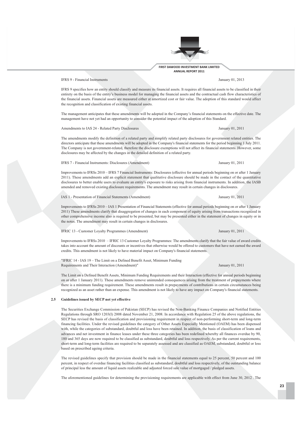

### **IFRS 9 - Financial Instruments**

January 01, 2013

January 01, 2011

January 01 2011

January 01, 2011

January 01, 2011

January 01, 2011

IFRS 9 specifies how an entity should classify and measure its financial assets. It requires all financial assets to be classified in their entirety on the basis of the entity's business model for managing the financial assets and the contractual cash flow characteristics of the financial assets. Financial assets are measured either at amortized cost or fair value. The adoption of this standard would affect the recognition and classification of existing financial assets.

The management anticipates that these amendments will be adopted in the Company's financial statements on the effective date. The management have not yet had an opportunity to consider the potential impact of the adoption of this Standard.

Amendments to IAS 24 - Related Party Disclosures

The amendments modify the definition of a related party and simplify related party disclosures for government related entities. The directors anticipate that these amendments will be adopted in the Company's financial statements for the period beginning 1 July 2011. The Company is not government-related, therefore the disclosure exemptions will not affect its financial statements. However, some disclosures may be affected by the changes in the detailed definition of a related party.

IFRS 7 - Financial Instruments: Disclosures (Amendment)

Improvements to IFRSs 2010 – IFRS 7 Financial Instruments: Disclosures (effective for annual periods beginning on or after 1 January 2011). These amendments add an explicit statement that qualitative disclosure should be made in the contact of the quantitative disclosures to better enable users to evaluate an entity's exposure to risks arising from financial instruments. In addition, the IASB amended and removed existing disclosure requirements. The amendment may result in certain changes in disclosures

### **IAS 1 - Presentation of Financial Statements (Amendment)**

Improvements to IFRSs 2010 – IAS 1 Presentation of Financial Statements (effective for annual periods beginning on or after 1 January 2011) These amendments clarify that disaggregation of changes in each component of equity arising from transactions recognized in other comprehensive income also is required to be presented, but may be presented either in the statement of changes in equity or in the notes. The amendment may result in certain changes in disclosures.

### IFRIC 13 - Customer Lovalty Programmes (Amendment)

Improvements to IFRSs 2010 - IFRIC 13 Customer Loyalty Programmes: The amendments clarify that the fair value of award credits takes into account the amount of discounts or incentives that otherwise would be offered to customers that have not earned the award credits. This amendment is not likely to have material impact on Company's financial statements.

"IFRIC 14 - IAS 19 - The Limit on a Defined Benefit Asset, Minimum Funding Requirements and Their Interaction (Amendment)"

The Limit on a Defined Benefit Assets, Minimum Funding Requirements and their Interaction (effective for annual periods beginning on or after 1 January 2011). These amendments remove unintended consequences arising from the treatment of prepayments where there is a minimum funding requirement. These amendments result in prepayments of contributions in certain circumstances being recognized as an asset rather than an expense. This amendment is not likely to have any impact on Company's financial statements.

### 2.5 Guidelines issued by SECP not vet effective

The Securities Exchange Commission of Pakistan (SECP) has revised the Non-Banking Finance Companies and Notified Entities Regulations through SRO 1203(I) 2008 dated November 21, 2008. In accordance with Regulation 25 of the above regulations, the SECP has revised the basis of classification and provisioning requirement in respect of non-performing short-term and long-term financing facilities. Under the revised guidelines the category of Other Assets Especially Mentioned (OAEM) has been dispensed with, while the categories of substandard, doubtful and loss have been retained. In addition, the basis of classification of loans and advances and net investment in finance leases under these three categories has been redefined whereby all finances overdue by 90, 180 and 365 days are now required to be classified as substandard, doubtful and loss respectively. As per the current requirements, short-term and long-term facilities are required to be separately assessed and are classified as OAEM, substandard, doubtful or loss based on prescribed ageing criteria.

The revised guidelines specify that provision should be made in the financial statements equal to 25 percent, 50 percent and 100 percent, in respect of overdue financing facilities classified as substandard, doubtful and loss respectively, of the outstanding balance of principal less the amount of liquid assets realizable and adjusted forced sale value of mortgaged / pledged assets.

The aforementioned guidelines for determining the provisioning requirements are applicable with effect from June 30, 2012. The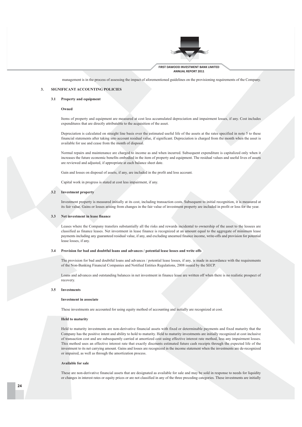

management is in the process of assessing the impact of aforementioned guidelines on the provisioning requirements of the Company.

### SIGNIFICANT ACCOUNTING POLICIES  $\overline{3}$ .

### 3.1 Property and equipment

### Owned

Items of property and equipment are measured at cost less accumulated depreciation and impairment losses, if any. Cost includes expenditures that are directly attributable to the acquisition of the asset.

Depreciation is calculated on straight line basis over the estimated useful life of the assets at the rates specified in note 5 to these financial statements after taking into account residual value, if significant. Depreciation is charged from the month when the asset is available for use and cease from the month of disposal.

Normal repairs and maintenance are charged to income as and when incurred. Subsequent expenditure is capitalized only when it increases the future economic benefits embodied in the item of property and equipment. The residual values and useful lives of assets are reviewed and adjusted, if appropriate at each balance sheet date.

Gain and losses on disposal of assets, if any, are included in the profit and loss account.

Capital work in progress is stated at cost less impairment, if any.

### 3.2 Investment property

Investment property is measured initially at its cost, including transaction costs. Subsequent to initial recognition, it is measured at its fair value. Gains or losses arising from changes in the fair value of investment property are included in profit or loss for the year.

### 3.3 Net investment in lease finance

Leases where the Company transfers substantially all the risks and rewards incidental to ownership of the asset to the lessees are classified as finance leases. Net investment in lease finance is recognized at an amount equal to the aggregate of minimum lease payments including any guaranteed residual value, if any, and excluding unearned finance income, write-offs and provision for potential lease losses, if any.

### 3.4 Provision for bad and doubtful loans and advances / potential lease losses and write offs

The provision for bad and doubtful loans and advances / potential lease losses, if any, is made in accordance with the requirements of the Non-Banking Financial Companies and Notified Entities Regulations, 2008 issued by the SECP.

Loans and advances and outstanding balances in net investment in finance lease are written off when there is no realistic prospect of recovery.

### $3.5$ Investments

### Investment in associate

These investments are accounted for using equity method of accounting and initially are recognized at cost.

### **Held to maturity**

Held to maturity investments are non-derivative financial assets with fixed or determinable payments and fixed maturity that the Company has the positive intent and ability to hold to maturity. Held to maturity investments are initially recognized at cost inclusive of transaction cost and are subsequently carried at amortized cost using effective interest rate method, less any impairment losses. This method uses an effective interest rate that exactly discounts estimated future cash receipts through the expected life of the investment to its net carrying amount. Gains and losses are recognized in the income statement when the investments are de-recognized or impaired, as well as through the amortization process.

### **Available for sale**

These are non-derivative financial assets that are designated as available for sale and may be sold in response to needs for liquidity or changes in interest rates or equity prices or are not classified in any of the three preceding categories. These investments are initially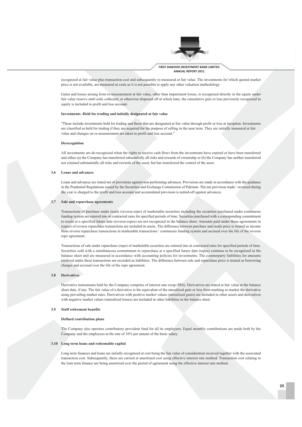

FIRST DAWOOD INVESTMENT BANK LIMITED ANNUAL REPORT 2011

recognized at fair value plus transaction cost and subsequently re-measured at fair value. The investments for which quoted market price is not available, are measured at costs as it is not possible to apply any other valuation methodology.

Gains and losses arising from re-measurement at fair value, other than impairment losses, is recognized directly in the equity under fair value reserve until sold, collected, or otherwise disposed off at which time, the cumulative gain or loss previously recognized in equity is included in profit and loss account.

### Investments -Held for trading and initially designated at fair value

"These include investments held for trading and those that are designated at fair value through profit or loss at inception. Investments are classified as held for trading if they are acquired for the purpose of selling in the near term. They are initially measured at fair value and changes on re-measurement are taken to profit and loss account."

### Derecognition

All investments are de-recognized when the rights to receive cash flows from the investments have expired or have been transferred and either (a) the Company has transferred substantially all risks and rewards of ownership or (b) the Company has neither transferred nor retained substantially all risks and rewards of the asset, but has transferred the control of the asset.

### 3.6 Loans and advances

Loans and advances are stated net of provisions against non-performing advances. Provisions are made in accordance with the guidance in the Prudential Regulations issued by the Securities and Exchange Commission of Pakistan. The net provision made / reversed during the year is charged to the profit and loss account and accumulated provision is netted-off against advances.

### 3.7 Sale and repurchase agreements

Transactions of purchase under resale (reverse-repo) of marketable securities including the securities purchased under continuous funding system are entered into at contracted rates for specified periods of time. Securities purchased with a corresponding commitment to resale at a specified future date (reverse-repos) are not recognized in the balance sheet. Amounts paid under these agreements in respect of reverse repurchase transactions are included in assets. The difference between purchase and resale price is treated as income from reverse repurchase transactions in marketable transactions / continuous funding system and accrued over the life of the reverse repo agreement.

Transactions of sale under repurchase (repo) of marketable securities are entered into at contracted rates for specified periods of time. Securities sold with a simultaneous commitment to repurchase at a specified future date (repos) continue to be recognized in the balance sheet and are measured in accordance with accounting policies for investments. The counterparty liabilities for amounts received under these transactions are recorded as liabilities. The difference between sale and repurchase price is treated as borrowing charges and accrued over the life of the repo agreement.

### 3.8 Derivatives

Derivative instruments held by the Company comprise of interest rate swap (IRS). Derivatives are stated at fair value at the balance sheet date, if any. The fair value of a derivative is the equivalent of the unrealized gain or loss from marking to market the derivative using prevailing market rates. Derivatives with positive market values (unrealized gains) are included in other assets and derivatives with negative market values (unrealized losses) are included in other liabilities in the balance sheet.

### $39$ Staff retirement henefits

### **Defined contribution plans**

The Company also operates contributory provident fund for all its employees. Equal monthly contributions are made both by the Company and the employees at the rate of 10% per annum of the basic salary.

### 3.10 Long term loans and redeemable capital

Long term finances and loans are initially recognized at cost being the fair value of consideration received together with the associated transaction cost. Subsequently, these are carried at amortized cost using effective interest rate method. Transaction cost relating to the loan term finance are being amortized over the period of agreement using the effective interest rate method.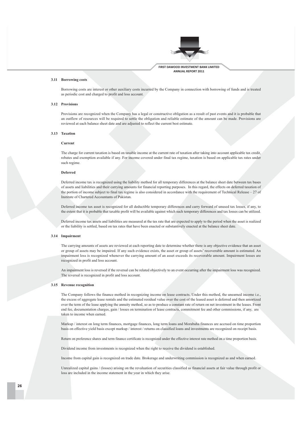

### 3.11 Borrowing costs

Borrowing costs are interest or other auxiliary costs incurred by the Company in connection with borrowing of funds and is treated as periodic cost and charged to profit and loss account.

### 3.12 Provisions

Provisions are recognized when the Company has a legal or constructive obligation as a result of past events and it is probable that an outflow of resources will be required to settle the obligation and reliable estimate of the amount can be made. Provisions are reviewed at each balance sheet date and are adjusted to reflect the current best estimate.

### 3.13 Taxation

### Current

The charge for current taxation is based on taxable income at the current rate of taxation after taking into account applicable tax credit, rebates and exemption available if any. For income covered under final tax regime, taxation is based on applicable tax rates under such regime

### Deferred

Deferred income tax is recognized using the liability method for all temporary differences at the balance sheet date between tax bases of assets and liabilities and their carrying amounts for financial reporting purposes. In this regard, the effects on deferred taxation of the portion of income subject to final tax regime is also considered in accordance with the requirement of Technical Release – 27 of Institute of Chartered Accountants of Pakistan

Deferred income tax asset is recognized for all deductible temporary differences and carry forward of unused tax losses, if any, to the extent that it is probable that taxable profit will be available against which such temporary differences and tax losses can be utilized.

Deferred income tax assets and liabilities are measured at the tax rate that are expected to apply to the period when the asset is realized or the liability is settled, based on tax rates that have been enacted or substantively enacted at the balance sheet date.

### 3.14 Impairment

The carrying amounts of assets are reviewed at each reporting date to determine whether there is any objective evidence that an asset or group of assets may be impaired. If any such evidence exists, the asset or group of assets' recoverable amount is estimated. An impairment loss is recognized whenever the carrying amount of an asset exceeds its recoverable amount. Impairment losses are recognized in profit and loss account.

An impairment loss is reversed if the reversal can be related objectively to an event occurring after the impairment loss was recognized. The reversal is recognized in profit and loss account.

### 3.15 Revenue recognition

The Company follows the finance method in recognizing income on lease contracts. Under this method, the unearned income i.e., the excess of aggregate lease rentals and the estimated residual value over the cost of the leased asset is deferred and then amortized over the term of the lease applying the annuity method, so as to produce a constant rate of return on net investment in the leases. Front end fee, documentation charges, gain / losses on termination of lease contracts, commitment fee and other commissions, if any, are taken to income when earned.

Markup / interest on long term finances, mortgage finances, long term loans and Morabaha finances are accrued on time proportion basis on effective yield basis except markup / interest / returns on classified loans and investments are recognized on receipt basis.

Return on preference shares and term finance certificate is recognized under the effective interest rate method on a time proportion basis.

Dividend income from investments is recognized when the right to receive the dividend is established.

Income from capital gain is recognized on trade date. Brokerage and underwriting commission is recognized as and when earned.

Unrealized capital gains / (losses) arising on the revaluation of securities classified as financial assets at fair value through profit or loss are included in the income statement in the year in which they arise.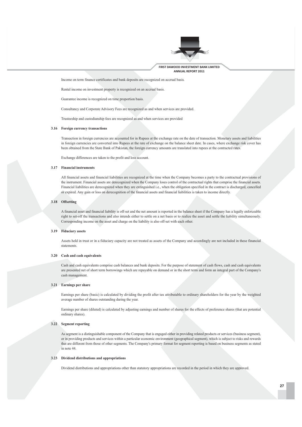

Income on term finance certificates and bank deposits are recognized on accrual basis.

Rental income on investment property is recognized on an accrual basis.

Guarantee income is recognized on time proportion basis.

Consultancy and Corporate Advisory Fees are recognized as and when services are provided.

Trusteeship and custodianship fees are recognized as and when services are provided

### 3.16 Foreign currency transactions

Transaction in foreign currencies are accounted for in Rupees at the exchange rate on the date of transaction. Monetary assets and liabilities in foreign currencies are converted into Rupees at the rate of exchange on the balance sheet date. In cases, where exchange risk cover has been obtained from the State Bank of Pakistan, the foreign currency amounts are translated into rupees at the contracted rates.

Exchange differences are taken to the profit and loss account.

### 3.17 Financial instruments

All financial assets and financial liabilities are recognized at the time when the Company becomes a party to the contractual provisions of the instrument. Financial assets are derecognized when the Company loses control of the contractual rights that comprise the financial assets. Financial liabilities are derecognized when they are extinguished i.e., when the obligation specified in the contract is discharged, cancelled or expired. Any gain or loss on derecognition of the financial assets and financial liabilities is taken to income directly.

### 3.18 Offsetting

A financial asset and financial liability is off-set and the net amount is reported in the balance sheet if the Company has a legally enforceable right to set-off the transactions and also intends either to settle on a net basis or to realize the asset and settle the liability simultaneously. Corresponding income on the asset and charge on the liability is also off-set with each other.

### 3.19 Fiduciary assets

Assets held in trust or in a fiduciary capacity are not treated as assets of the Company and accordingly are not included in these financial statements.

### 3.20 Cash and cash equivalents

Cash and cash equivalents comprise cash balances and bank deposits. For the purpose of statement of cash flows, cash and cash equivalents are presented net of short term borrowings which are repayable on demand or in the short term and form an integral part of the Company's cash management.

### 3.21 Earnings per share

Earnings per share (basic) is calculated by dividing the profit after tax attributable to ordinary shareholders for the year by the weighted average number of shares outstanding during the year.

Earnings per share (diluted) is calculated by adjusting earnings and number of shares for the effects of preference shares (that are potential ordinary shares).

### 3.22 Segment reporting

As segment is a distinguishable component of the Company that is engaged either in providing related products or services (business segment), or in providing products and services within a particular economic environment (geographical segment), which is subject to risks and rewards that are different from those of other segments. The Company's primary format for segment reporting is based on business segments as stated in note 44.

### 3.23 Dividend distributions and appropriations

Dividend distributions and appropriations other than statutory appropriations are recorded in the period in which they are approved.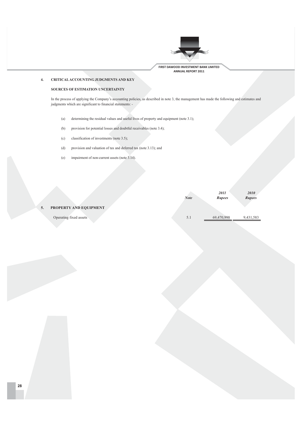

### $\overline{4}$ . CRITICAL ACCOUNTING JUDGMENTS AND KEY

### SOURCES OF ESTIMATION UNCERTAINTY

In the process of applying the Company's accounting policies, as described in note 3, the management has made the following and estimates and judgments which are significant to financial statements: -

- determining the residual values and useful lives of property and equipment (note 3.1);  $\left( \mathbf{a}\right)$
- provision for potential losses and doubtful receivables (note 3.4);  $(b)$
- classification of investments (note 3.5);  $(c)$
- $(d)$ provision and valuation of tax and deferred tax (note 3.13); and
- $(e)$ impairment of non-current assets (note 3.14).

|                        |             | 2011          | 2010          |
|------------------------|-------------|---------------|---------------|
|                        | <b>Note</b> | <b>Rupees</b> | <b>Rupees</b> |
|                        |             |               |               |
| PROPERTY AND EQUIPMENT |             |               |               |
|                        |             |               |               |
| Operating fixed assets | 5.1         | 69,470,998    | 9,431,583     |

 $\overline{5}$ .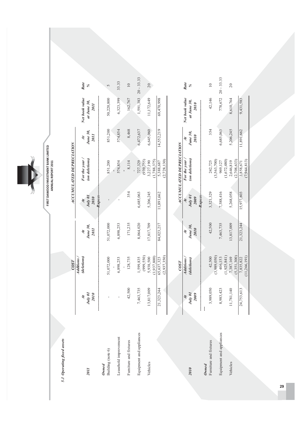FIRST DAWOOD INVESTMENT BANK LIMITED<br>ANNUAL REPORT 2011 Y Q 

5.1 Operating fixed assets

|                            |                                  | COST                                   |                                          |                                  | ACCUMULATED DEPRECIATION               |                                |                                              |                 |
|----------------------------|----------------------------------|----------------------------------------|------------------------------------------|----------------------------------|----------------------------------------|--------------------------------|----------------------------------------------|-----------------|
| <b>110z</b>                | July 01<br>2010<br>$\ddot{\tau}$ | (deletions)<br>Additions.              | June 30,<br><b>Z011</b><br>$\ddot{\tau}$ | July 01<br>2010<br>$\ddot{\tau}$ | For the year /<br>(on deletions)       | June 30,<br><b>2011</b><br>नें | Net book value<br>at June 30,<br><b>2011</b> | Rate<br>$\%$    |
| Building (note 6)<br>Owned |                                  | 51,072,000                             | 51,072,000                               | -Rupees                          | 851,200                                | 851,200                        | 50,220,800                                   | 5               |
| Leasehold improvement      | ı                                | 6,898,253                              | 6,898,253                                |                                  | 574,854                                | 574,854                        | 6,323,399                                    | 33.33           |
| Furniture and fixtures     | 42,500                           | 128,735                                | 171,235                                  | 354                              | 8,114                                  | 8,468                          | 162,767                                      | $\overline{10}$ |
| Equipment and appliances   | 7,463,735                        | 1,599,835                              | 8,064,020                                | 6,685,063                        | 727,329                                | 6,472,637                      | 1,591,383                                    | $20 - 33.33$    |
| Vehicles                   | 13,817,009                       | (999, 550)<br>(1,937,800)<br>5,938,500 | 17,817,709                               | 5,206,245                        | (939, 755)<br>(1,788,375)<br>3,227,190 | 6,645,060                      | 11,172,649                                   | $20\,$          |
|                            | 21,323,244                       | (2,937,350)<br>65,637,323              | 84,023,217                               | 11,891,662                       | (2,728,130)<br>5,388,687               | 14,552,219                     | 69,470,998                                   |                 |
|                            |                                  | COST                                   |                                          |                                  | ACCUMULATED DEPRECIATION               |                                |                                              |                 |
|                            | $\ddot{\tau}$                    | Additions                              | $\ddot{\tau}$                            | $\ddot{t}$                       | For the year                           | $\ddot{\tau}$                  | Net book value                               | Rate            |
| 2010                       | $July$ 01<br>2009                | (deletions)                            | June 30,<br>2010                         | July 01<br>2009                  | (on deletions)                         | June 30,<br>2010               | at June 30,<br>2010                          | $\%$            |
| Owned                      |                                  |                                        |                                          | -Rupees-                         |                                        |                                |                                              |                 |
| Furniture and fixtures     | 3,989,050                        | (3,989,050)<br>42,500                  | 42,500                                   | 3,321,329                        | (3,563,700)<br>242,725                 | 354                            | 42,146                                       | $\overline{10}$ |
| Equipment and appliances   | 8,983,423                        | (1,925,841)<br>406,153                 | 7,463,735                                | 7,388,416                        | (1,672,480)<br>969,127                 | 6,685,063                      | 778,672                                      | $20 - 33.33$    |
| Vehicles                   | '81,140<br>11,7                  | (5,351,300)<br>7,387,169               | 13,817,009                               | 5,268,058                        | (2,708,633)<br>2,646,819               | 5,206,245                      | 8,610,764                                    | $\overline{c}$  |
|                            | 753,613<br>24,7                  | (11, 266, 191)<br>7,835,822            | 21,323,244                               | 15,977,803                       | (7,944,813)<br>3,858,671               | 11,891,662                     | 9,431,583                                    |                 |

29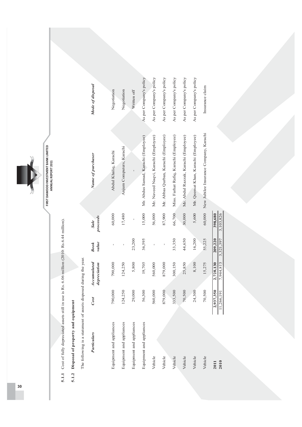

# 5.1.1 Cost of fully depreciated assets still in use is Rs. 6.06 million (2010: Rs.6.44 million).

# 5.1.2 Disposal of property and equipment

The following is a statement of assets disposed during the year.

| <b>Particulars</b>       | Cost                           | Accumulated<br>depreciation | value<br><b>Book</b> | proceeds<br><b>Sale</b> | Name of purchaser                             | Mode of disposal        |
|--------------------------|--------------------------------|-----------------------------|----------------------|-------------------------|-----------------------------------------------|-------------------------|
| Equipment and appliances | 790,000                        | 790,000                     |                      | 60,000                  | Abdul Khaliq, Karachi                         | Negotiation             |
| Equipment and appliances | 124,250                        | 124,250                     |                      | 17,480                  | Anjum Computers, Karachi                      | Negotiation             |
| Equipment and appliances | 29,000                         | 5,800                       | 23,200               | $\mathbf{I}$            |                                               | Written off             |
| Equipment and appliances | 56,300                         | 19,705                      | 36,595               | 15,000                  | Mr. Abdus Samad, Karachi (Employee)           | As per Company's policy |
| Vehicle                  | 560,000                        | 560,000                     |                      | 56,000                  | Mr. Naveed Naqvi, Karachi (Employee)          | As per Company's policy |
| Vehicle                  | 879,000                        | 879,000                     |                      | 87,900                  | Mr. Abbas Qurban, Karachi (Employee)          | As per Company's policy |
| Vehicle                  | 333,500                        | 300,150                     | 33,350               | 66,700                  | Miss. Farhat Rafiq, Karachi (Employee)        | As per Company's policy |
| Vehicle                  | 70,500                         | 25,850                      | 44,650               | 30,000                  | Mr. Abdul Razzak, Karachi (Employee)          | As per Company's policy |
| Vehicle                  | 24,300                         | 8,100                       | 16,200               | 5,600                   | Mr. Qeemat Khan, Karachi (Employee)           | As per Company's policy |
| Vehicle                  | 70,500                         | 15,275                      | 55,225               |                         | 60,000 New Jubilee Insurance Company, Karachi | Insurance claim         |
| 2010<br>2011             | $\frac{2,937,350}{11,266,191}$ | 2,728,130<br>7,944,813      | 209,220<br>3,321,397 | 3,103,826<br>398,680    |                                               |                         |

 $\frac{30}{2}$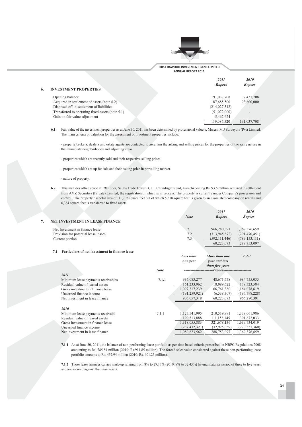

More than one

**Total** 

| <b>INVESTMENT PROPERTIES</b>                     | 2011<br><b>Rupees</b> | 2010<br><b>Rupees</b>        |
|--------------------------------------------------|-----------------------|------------------------------|
| Opening balance                                  | 191,037,708           | 97,437,708                   |
| Acquired in settlement of assets (note 6.2)      | 187,685,500           | 93,600,000                   |
| Disposed off in settlement of liabilities        | (214, 027, 312)       |                              |
| Transferred to operating fixed assets (note 5.1) | (51,072,000)          | $\overline{\phantom{0}}$     |
| Gain on fair value adjustment                    | 5,462,624             | $\qquad \qquad \blacksquare$ |
|                                                  | 119,086,520           | 191,037,708                  |

 $6.1$ Fair value of the investment properties as at June 30, 2011 has been determined by professional valuers, Mssers. M.J Surveyors (Pvt) Limited. The main criteria of valuation for the assessment of investment properties include:

- property brokers, dealers and estate agents are contacted to ascertain the asking and selling prices for the properties of the same nature in the immediate neighborhoods and adjoining areas.

- properties which are recently sold and their respective selling prices.

- properties which are up for sale and their asking price in prevailing market.

- nature of property.

 $\overline{7}$ .

6.2 This includes office space at 19th floor, Saima Trade Tower B, I. I. Chundrigar Road, Karachi costing Rs. 93.6 million acquired in settlement from AMZ Securities (Private) Limited, the registration of which is in process. The property is currently under Company's possession and control. The property has total area of 11,702 square feet out of which 5,318 square feet is given to an associated company on rentals and 6,384 square feet is transferred to fixed assets.

| <b>NET INVESTMENT IN LEASE FINANCE</b> | <b>Note</b> | 2011<br><b>Rupees</b> | 2010<br><b>Rupees</b> |
|----------------------------------------|-------------|-----------------------|-----------------------|
| Net Investment in finance lease        | 7.1         | 966,280,391           | 1,369,376,659         |
| Provision for potential lease losses   | 7.2         | (313,945,872)         | (291, 470, 451)       |
| Current portion                        | 7.3         | (592, 111, 446)       | (789, 153, 111)       |
|                                        |             | 60.223,073            | 288,753,097           |

### 7.1 Particulars of net investment in finance lease

| 2011                               | <b>Note</b> | one year        | year and less<br>than five years<br>-Rupees----------------------- |                 |
|------------------------------------|-------------|-----------------|--------------------------------------------------------------------|-----------------|
| Minimum lease payments receivables | 7.1.1       | 936,083,277     | 48,671,758                                                         | 984,755,035     |
| Residual value of leased assets    |             | 161,233,962     | 18,089,622                                                         | 179, 323, 584   |
| Gross investment in finance lease  |             | 1,097,317,239   | 66,761,380                                                         | 1,164,078,619   |
| Unearned finance income            |             | (191, 259, 921) | (6,538,307)                                                        | (197, 798, 228) |
| Net investment in lease finance    |             | 906,057,318     | 60,223,073                                                         | 966,280,391     |
| 2010                               |             |                 |                                                                    |                 |
| Minimum lease payments receivabl   | 7.1.1       | 1,127,541,995   | 210.519.991                                                        | 1,338,061,986   |
| Residual value of leased assets    |             | 190,513,888     | 111,158,145                                                        | 301,672,033     |
| Gross investment in finance lease  |             | 1,318,055,883   | 321,678,136                                                        | 1,639,734,019   |
| Unearned finance income            |             | (237, 432, 321) | (32, 925, 039)                                                     | (270, 357, 360) |
| Net investment in lease finance    |             | 1,080,623,562   | 288,753,097                                                        | 1,369,376,659   |
|                                    |             |                 |                                                                    |                 |

Less than

7.1.1 As at June 30, 2011, the balance of non-performing lease portfolio as per time based criteria prescribed in NBFC Regulations 2008 amounting to Rs. 785.84 million (2010: Rs.911.85 million). The forced sales value considered against these non-performing lease portfolio amounts to Rs. 457.94 million (2010: Rs. 601.25 million).

7.1.2 These lease finances carries mark-up ranging from 8% to 29.17% (2010: 8% to 32.43%) having maturity period of three to five years and are secured against the lease assets.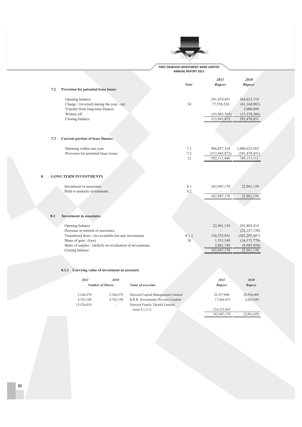

|     |                                                            | <b>Note</b> | 2011<br><b>Rupees</b> | 2010<br><b>Rupees</b> |
|-----|------------------------------------------------------------|-------------|-----------------------|-----------------------|
| 7.2 | Provision for potential lease losses                       |             |                       |                       |
|     | Opening balance                                            |             | 291,470,451           | 364,013,719           |
|     | Charge / (reversal) during the year - net                  | 34          | 77,558,526            | (61, 164, 882)        |
|     | Transfer from long term finance                            |             |                       | 2,000,000             |
|     | Written off                                                |             | (55,083,105)          | (13, 378, 386)        |
|     | Closing balance                                            |             | 313,945,872           | 291,470,451           |
|     |                                                            |             |                       |                       |
| 7.3 | Current portion of lease finance                           |             |                       |                       |
|     | Maturing within one year                                   | 7.1         | 906,057,318           | 1,080,623,562         |
|     | Provision for potential lease losses                       | 7.2         | (313, 945, 872)       | (291, 470, 451)       |
|     |                                                            | 12          | 592,111,446           | 789,153,111           |
| 8.  | <b>LONG TERM INVESTMENTS</b>                               |             |                       |                       |
|     | Investment in associates                                   | 8.1         | 163,947,170           | 22,961,150            |
|     | Held to maturity investments                               | 8.2         |                       |                       |
|     |                                                            |             | 163,947,170           | 22,961,150            |
|     |                                                            |             |                       |                       |
| 8.1 | <b>Investment in associates</b>                            |             |                       |                       |
|     | Opening balance                                            |             | 22,961,150            | 391,805,414           |
|     | Decrease in interest of associates                         |             |                       | (22, 187, 150)        |
|     | Transferred from / (to) available-for-sale investment      | 8.1.1       | 136,552,931           | (301, 297, 407)       |
|     | Share of gain / (loss)                                     | 38          | 1,551,349             | (36,373,779)          |
|     | Share of surplus / (deficit) on revaluation of investments |             | 2,881,740             | (8,985,928)           |
|     | Closing balance                                            |             | 163,947,170           | 22,961,150            |

### 8.1.1 Carrying value of investment in associate

| 2011       | 2010<br><b>Number of Shares</b> | Name of associate                    | 2011<br><b>Rupees</b> | <i>2010</i><br><b>Rupees</b> |
|------------|---------------------------------|--------------------------------------|-----------------------|------------------------------|
| 2,246,070  | 2.246,070                       | Dawood Capital Management Limited    | 22,357,890            | 20,936,005                   |
| 4,762,100  | 4.762.100                       | B.R.R. Investments (Private) Limited | 17.266.435            | 2,025,045                    |
| 15.526.010 | ÷                               | Dawood Family Takaful Limited        |                       |                              |
|            |                                 | (note 8.1.2.1)                       | 124,322,845           |                              |
|            |                                 |                                      | 163,947,170           | 22,961,050                   |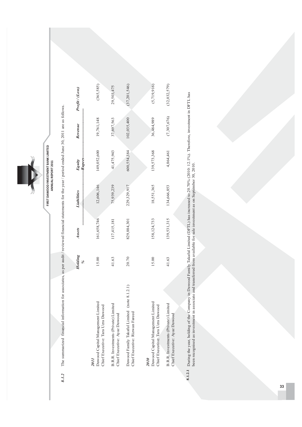

s follows. re a  $r/$  period ended June 30, 2011 a tements for the yea l sta ncia udit / reviewed fina s per a tes, a ssocia tion for a l informa ncia rized fina 8.1.2 The summa 8.1.2

|                                                                                       | Holding<br>$\frac{9}{6}$ | Assets        | Liabilities | $-Rupes-$<br>Equity | Revenue     | Profit (Loss) |
|---------------------------------------------------------------------------------------|--------------------------|---------------|-------------|---------------------|-------------|---------------|
| Dawood Capital Management Limited<br>Chief Executive: Tara Uzra Dawood<br><b>2011</b> | 15.00                    | 161,658,746   | 12,606,146  | 149,052,600         | 19,761,148  | (365, 585)    |
| B.R.R. Investments (Private) Limited<br>Chief Executive: Ayaz Dawood                  | 41.63                    | 117,415,181   | 75,939,239  | 41,475,943          | 37,697,563  | 29,503,475    |
| (note 8.1.2.1)<br>Dawood Family Takaful Limited<br>Chief Executive: Rizwan Fareed     | 20.70                    | 829,884,301   | 229,329,917 | 600,554,384         | 102,035,400 | (37,201,546)  |
| Dawood Capital Management Limited<br>Chief Executive: Tara Uzra Dawood<br>2010        | 15.00                    | 158, 124, 733 | 18,551,365  | 139,573,368         | 36,484,989  | (5, 719, 916) |
| B.R.R. Investments (Private) Limited<br>Chief Executive: Ayaz Dawood                  | 41.63                    | 139,531,315   | 134,666,853 | 4,864,461           | (7,307,676) | (32,032,579)  |
|                                                                                       |                          |               |             |                     |             |               |

**C8-8,8-** During the yea r, holding of the Compa ny in Da wood  $FA$ mily Taka ful Limited (DFTL) ha s increa sed to 20.70% (2010: 12.1%). Therefore, investment in DFTL ha w been recognised a s investment in a ssocia te a nd tra nsferred from a Σ ۳ļ. ble for sa le investment a s on September 30, 2010.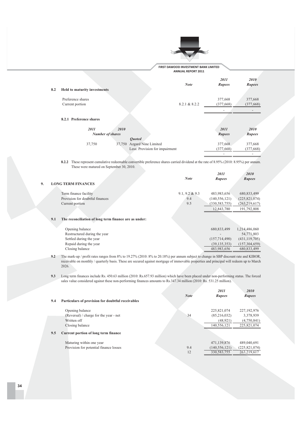

**FIRST DAWOOD INVESTMENT BANK LIMITED ANNUAL REPORT 2011** 

| 8.2 | <b>Held to maturity investments</b> |                         | <b>Note</b>                    | 2011<br><b>Rupees</b> | 2010<br><b>Rupees</b> |
|-----|-------------------------------------|-------------------------|--------------------------------|-----------------------|-----------------------|
|     |                                     |                         |                                |                       |                       |
|     | Preference shares                   |                         |                                | 377,668               | 377,668               |
|     | Current portion                     |                         | 8.2.1 & 8.2.2                  | (377, 668)            | (377, 668)            |
|     |                                     |                         |                                |                       |                       |
|     | 8.2.1 Preference shares             |                         |                                |                       |                       |
|     | 2011                                | 2010                    |                                | 2011                  | 2010                  |
|     |                                     | <b>Number of shares</b> |                                | <b>Rupees</b>         | <b>Rupees</b>         |
|     |                                     |                         | <b>Ouoted</b>                  |                       |                       |
|     | 37,750                              |                         | 37,750 Azgard Nine Limited     | 377,668               | 377,668               |
|     |                                     |                         | Less: Provision for impairment | (377, 668)            | (377, 668)            |
|     |                                     |                         |                                |                       |                       |

8.2.2 These represent cumulative redeemable convertible preference shares carried dividend at the rate of 8.95% (2010: 8.95%) per annum. These were matured on September 30, 2010.

|    |                                                              | <b>Note</b>    | 2011<br><b>Rupees</b> | 2010<br>Rupees  |
|----|--------------------------------------------------------------|----------------|-----------------------|-----------------|
| 9. | <b>LONG TERM FINANCES</b>                                    |                |                       |                 |
|    |                                                              |                |                       |                 |
|    | Term finance facility                                        | 9.1, 9.2 & 9.3 | 483,983,656           | 680, 833, 499   |
|    | Provision for doubtful finances                              | 9.4            | (140, 556, 121)       | (225, 821, 074) |
|    | Current portion                                              | 9.5            | (330, 583, 755)       | (263, 219, 617) |
|    |                                                              |                | 12,843,780            | 191,792,808     |
|    |                                                              |                |                       |                 |
|    | The reconciliation of long term finance are as under:<br>9.1 |                |                       |                 |
|    |                                                              |                |                       |                 |
|    | Opening balance                                              |                | 680,833,499           | 1,214,486,060   |
|    | Restructured during the year                                 |                |                       | 54,771,803      |
|    | Settled during the year                                      |                | (157, 714, 490)       | (431, 119, 705) |
|    | Repaid during the year                                       |                | (39, 135, 353)        | (157, 304, 659) |

**9.2** The mark-up / profit rates ranges from 8% to 19.27% (2010: 8% to 20.18%) per annum subject to change in SBP discount rate and KIBOR, receivable on monthly / quarterly basis. These are secured against mortgage of immovable properties and principal will redeem up to March 2026.

 $(157,304,659)$ 

483,983,656 680,833,499

Repaid during the year Closing balance

**9.3** Long term finances include Rs. 450.63 million (2010: Rs.657.93 million) which have been placed under non-performing status. The forced sales value considered against these non-performing finances amounts to Rs.347.34 million (2010: Rs. 531.25 million).

| 9.4 | Particulars of provision for doubtful receivables | <b>Note</b> | 2011<br><b>Rupees</b> | 2010<br><b>Rupees</b> |
|-----|---------------------------------------------------|-------------|-----------------------|-----------------------|
|     |                                                   |             |                       |                       |
|     | Opening balance                                   |             | 225,821,074           | 227, 192, 976         |
|     | (Reversal) / charge for the year - net            | 34          | (85,216,032)          | 3,378,939             |
|     | Written off                                       |             | (48, 921)             | (4,750,841)           |
|     | Closing balance                                   |             | 140.556.121           | 225,821,074           |
| 9.5 | Current portion of long term finance              |             |                       |                       |
|     | Maturing within one year                          |             | 471,139,876           | 489,040,691           |
|     | Provision for potential finance losses            | 9.4         | (140, 556, 121)       | (225, 821, 074)       |
|     |                                                   | 12          | 330, 583, 755         | 263.219.617           |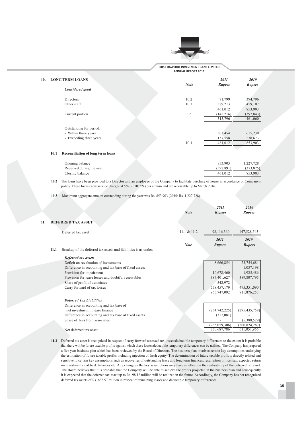

|      | <b>LONG TERM LOANS</b>                   |             | 2011       | 2010       |
|------|------------------------------------------|-------------|------------|------------|
|      |                                          | <b>Note</b> | Rupees     | Rupees     |
|      | Considered good                          |             |            |            |
|      | <b>Directors</b>                         | 10.2        | 71,799     | 394,796    |
|      | Other staff                              | 10.3        | 389,213    | 459,107    |
|      |                                          |             | 461,012    | 853,903    |
|      | Current portion                          | 12          | (145,216)  | (392, 843) |
|      |                                          |             | 315,796    | 461,060    |
|      | Outstanding for period:                  |             |            |            |
|      | - Within three years                     |             | 303,454    | 615,230    |
|      | - Exceeding three years                  |             | 157,558    | 238,673    |
|      |                                          | 10.1        | 461,012    | 853,903    |
|      |                                          |             |            |            |
| 10.1 | <b>Reconciliation of long term loans</b> |             |            |            |
|      | Opening balance                          |             | 853,903    | 1,227,728  |
|      | Received during the year                 |             | (392, 891) | (373, 825) |
|      | Closing balance                          |             | 461,012    | 853,903    |

10.2 The loans have been provided to a Director and an employee of the Company to facilitate purchase of house in accordance of Company's policy. These loans carry service charges at 5% (2010: 5%) per annum and are receivable up to March 2016.

10.3 Maximum aggregate amount outstanding during the year was Rs. 853,903 (2010: Rs. 1,227,728).

 $10.$ 

|     |      |                                                                 | <b>Note</b> | 2011<br><b>Rupees</b> | 2010<br>Rupees        |
|-----|------|-----------------------------------------------------------------|-------------|-----------------------|-----------------------|
| 11. |      | <b>DEFERRED TAX ASSET</b>                                       |             |                       |                       |
|     |      | Deferred tax asset                                              | 11.1 & 11.2 | 98,116,360            | 147,528,543           |
|     | 11.1 | Breakup of the deferred tax assets and liabilities is as under: | <b>Note</b> | 2011<br><b>Rupees</b> | 2010<br><b>Rupees</b> |
|     |      | Deferred tax assets                                             |             |                       |                       |
|     |      | Deficit on revaluation of investments                           |             | 8,666,854             | 23,754,684            |
|     |      | Difference in accounting and tax base of fixed assets           |             |                       | 1,037,198             |
|     |      | Provision for impairment                                        |             | 10,678,460            | 1,925,486             |
|     |      | Provision for lease losses and doubtful receivables             |             | 387,401,627           | 389,807,795           |
|     |      | Share of profit of associates                                   |             | 542,972               |                       |
|     |      | Carry forward of tax losses                                     |             | 558,457,179           | 495,351,090           |
|     |      |                                                                 |             | 965,747,092           | 911,876,253           |
|     |      | <b>Deferred Tax Liabilities</b>                                 |             |                       |                       |
|     |      | Difference in accounting and tax base of                        |             |                       |                       |
|     |      | net investment in lease finance                                 |             | (234, 742, 225)       | (295, 435, 758)       |
|     |      | Difference in accounting and tax base of fixed assets           |             | (317,081)             |                       |
|     |      | Share of loss from associates                                   |             |                       | (5,388,529)           |
|     |      |                                                                 |             | (235,059,306)         | (300, 824, 287)       |
|     |      | Net deferred tax asset                                          |             | 730,687,786           | 611,051,966           |

11.2 Deferred tax asset is recognized in respect of carry forward assessed tax losses/deductible temporary differences to the extent it is probable that there will be future taxable profits against which these losses/deductible temporary differences can be utilized. The Company has prepared a five year business plan which has been reviewed by the Board of Directors. The business plan involves certain key assumptions underlying the estimation of future taxable profits including injection of fresh equity. The determination of future taxable profit is directly related and sensitive to certain key assumptions such as recoveries of outstanding lease and long term finances, resumption of licenses, expected return on investments and bank balances etc. Any change in the key assumptions may have an effect on the realisability of the deferred tax asset. The Board believes that it is probable that the Company will be able to achieve the profits projected in the business plan and consequently it is expected that the deferred tax asset up to Rs. 98.12 million will be realized in the future. Accordingly, the Company has not recognized deferred tax assets of Rs. 632.57 million in respect of remaining losses and deductible temporary differences.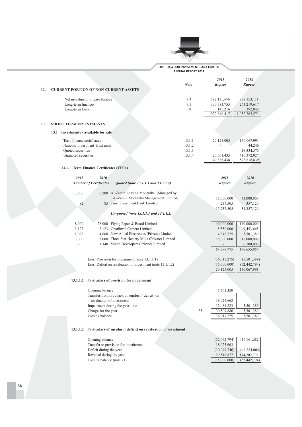

|                                       |                                                                                                    | <b>Note</b>      | 2011<br>Rupees                                       | 2010<br>Rupees                                         |
|---------------------------------------|----------------------------------------------------------------------------------------------------|------------------|------------------------------------------------------|--------------------------------------------------------|
| 12.                                   | <b>CURRENT PORTION OF NON-CURRENT ASSETS</b>                                                       |                  |                                                      |                                                        |
| Long-term finances<br>Long-term loans | Net investment in lease finance                                                                    | 7.3<br>9.5<br>10 | 592,111,446<br>330,583,755<br>145,216<br>922,840,417 | 789,153,111<br>263,219,617<br>392,843<br>1,052,765,571 |
|                                       |                                                                                                    |                  |                                                      |                                                        |
| <b>SHORT TERM INVESTMENTS</b><br>13.  |                                                                                                    |                  |                                                      |                                                        |
| 13.1 Investments - available for sale |                                                                                                    |                  |                                                      |                                                        |
| Term finance certificates             |                                                                                                    | 13.1.1           | 29,125,005                                           | 150,067,991                                            |
| Quoted securities                     | National Investment Trust units                                                                    | 13.1.2<br>13.1.3 |                                                      | 44,246<br>18,334,575                                   |
| Unquoted securities                   |                                                                                                    | 13.1.4           | 20,761,433                                           | 410,372,027                                            |
|                                       |                                                                                                    |                  | 49,886,438                                           | 578,818,839                                            |
|                                       | 13.1.1 Term Finance Certificates (TFCs)                                                            |                  |                                                      |                                                        |
| 2011                                  | 2010                                                                                               |                  | 2011                                                 | 2010                                                   |
|                                       | <b>Number of Certificates</b><br>Quoted (note 13.1.1.1 and 13.1.1.2)                               |                  | Rupees                                               | Rupees                                                 |
| 3,000                                 | 6,200 Al-Zamin Leasing Modaraba (Managed by                                                        |                  |                                                      |                                                        |
|                                       | Al-Zamin Modaraba Management Limited)                                                              |                  | 15,000,000                                           | 31,000,000                                             |
| 82                                    | 85 Trust Investment Bank Limited                                                                   |                  | 237,505                                              | 357,120                                                |
|                                       |                                                                                                    |                  | 15,237,505                                           | 31,357,120                                             |
|                                       | Un-quoted (note 13.1.1.1 and 13.1.1.2)                                                             |                  |                                                      |                                                        |
| 8,000                                 | 28,000 Flying Paper & Board Limited                                                                |                  | 40,000,000                                           | 140,000,000                                            |
| 1,123                                 | 3,123 Gharibwal Cement Limited                                                                     |                  | 5,550,000                                            | 9,453,665                                              |
| 1,023<br>3,000                        | 4,660 New Allied Electronics (Private) Limited<br>3,000 Three Star Hosiery Mills (Private) Limited |                  | 4,348,775<br>15,000,000                              | 5,501,389<br>15,000,000                                |
| $\overline{a}$                        | 1,340 Vision Developers (Private) Limited                                                          |                  |                                                      | 6,700,000                                              |
|                                       |                                                                                                    |                  | 64,898,775                                           | 176,655,054                                            |
|                                       | Less: Provision for impairment (note 13.1.1.1)                                                     |                  | (36,011,275)                                         | (5,501,389)                                            |
|                                       | Less: Deficit on revaluation of investment (note 13.1.1.2)                                         |                  | (15,000,000)                                         | (52, 442, 794)                                         |
|                                       |                                                                                                    |                  | 29,125,005                                           | 150,067,991                                            |
| 13.1.1.1                              | Particulars of provision for impairment                                                            |                  |                                                      |                                                        |
|                                       |                                                                                                    |                  |                                                      |                                                        |
|                                       | Opening balance<br>Transfer from provision of surplus / (deficit) on                               |                  | 5,501,389                                            |                                                        |
|                                       | revaluation of investment                                                                          |                  | 18,025,663                                           |                                                        |
|                                       | Impairment during the year - net                                                                   |                  | 12,484,223                                           | 5,501,389                                              |
|                                       | Charge for the year<br>Closing balance                                                             | 35               | 30,509,886<br>36,011,275                             | 5,501,389<br>5,501,389                                 |
|                                       |                                                                                                    |                  |                                                      |                                                        |
| 13.1.1.2                              | Particulars of surplus / (deficit) on revaluation of investment                                    |                  |                                                      |                                                        |
|                                       |                                                                                                    |                  |                                                      |                                                        |
|                                       | Opening balance<br>Transfer to provision for impairment                                            |                  | (52, 442, 794)<br>18,025,663                         | 116,961,582                                            |
|                                       | Deficit during the year                                                                            |                  | (10,099,746)                                         | (49, 684, 004)                                         |
|                                       | Reversal during the year                                                                           |                  | 29,516,877                                           | 114,202,792                                            |
|                                       | Closing balance (note 21)                                                                          |                  | (15,000,000)                                         | (52, 442, 794)                                         |
|                                       |                                                                                                    |                  |                                                      |                                                        |
|                                       |                                                                                                    |                  |                                                      |                                                        |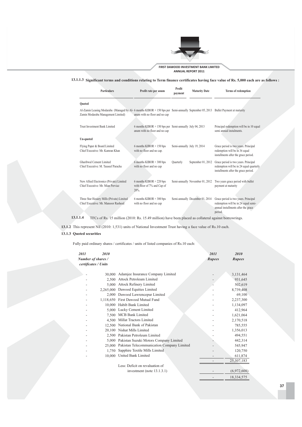

13.1.1.3 Significant terms and conditions relating to Term finance certificates having face value of Rs. 5,000 each are as follows :

| <b>Particulars</b>                                                                                                                                                       | Profit rate per anum                                                                      | Profit<br>payment           | <b>Maturity Date</b>            | Terms of redemption                                                                                                            |
|--------------------------------------------------------------------------------------------------------------------------------------------------------------------------|-------------------------------------------------------------------------------------------|-----------------------------|---------------------------------|--------------------------------------------------------------------------------------------------------------------------------|
| <b>Quoted</b>                                                                                                                                                            |                                                                                           |                             |                                 |                                                                                                                                |
| Al-Zamin Leasing Modaraba (Managed by Al- 6 months KIBOR + 150 bps per Semi-annually September 05, 2013 Bullet Payment at maturity<br>Zamin Modaraba Management Limited) | anum with no floor and no cap                                                             |                             |                                 |                                                                                                                                |
| Trust Investment Bank Limited                                                                                                                                            | 6 months KIBOR + 150 bps per Semi-annually July 04, 2013<br>anum with no floor and no cap |                             |                                 | Principal redemption will be in 10 equal<br>semi annual instalments.                                                           |
| Un-quoted                                                                                                                                                                |                                                                                           |                             |                                 |                                                                                                                                |
| Flying Paper & Board Limited<br>Chief Executive: Mr. Kamran Khan                                                                                                         | 6 months KIBOR $+ 150$ bps<br>with no floor and no cap.                                   | Semi-annually July 19, 2014 |                                 | Grace period is two years. Principal<br>redemption will be in 36 equal<br>installments after the grace period.                 |
| Gharibwal Cement Limited<br>Chief Executive: M. Tauseef Paracha                                                                                                          | $6$ months KIBOR + 300 bps<br>with no floor and no cap                                    | Quarterly                   | September 01, 2012              | Grace period is two years. Principal<br>redemption will be in 24 equal quarterly<br>installments after the grace period.       |
| New Allied Electronics (Private) Limited<br>Chief Executive: Mr. Mian Perviaz                                                                                            | 6 months KIBOR + 220 bps<br>with floor of 7% and Cap of<br>$20%$ .                        |                             | Semi-annually November 01, 2012 | Two years grace period with bullet<br>payment at maturity                                                                      |
| Three Star Hosiery Mills (Private) Limited<br>Chief Executive: Mr. Mansoor Rasheed                                                                                       | $6$ months KIBOR $+300$ bps<br>with no floor and no cap                                   |                             | Semi-annually December 01, 2014 | Grace period is two years. Principal<br>redemption will be in 24 equal semi-<br>annual installments after the grace<br>period. |

13.1.1.4 TFCs of Rs. 15 million (2010: Rs. 15.49 million) have been placed as collateral against borrowrings.

13.1.2 This represent Nil (2010: 1,531) units of National Investment Trust having a face value of Rs.10 each.

### 13.1.3 Quoted securities

Fully paid ordinary shares / certificates / units of listed companies of Rs.10 each:

| 2011 | 2010                 |                                            | 2011   | 2010          |
|------|----------------------|--------------------------------------------|--------|---------------|
|      | Number of shares /   |                                            | Rupees | <b>Rupees</b> |
|      | certificates / Units |                                            |        |               |
|      |                      |                                            |        |               |
|      | 30,000               | Adamjee Insurance Company Limited          |        | 3,131,464     |
|      | 2.500                | Attock Petroleum Limited                   |        | 931,645       |
|      | 5.000                | Attock Refinery Limited                    |        | 502,619       |
|      | 2.265,000            | Dawood Equities Limited                    |        | 8,739,408     |
|      | 2,000                | Dawood Lawrencepur Limited                 |        | 69,100        |
|      | 1,118,650            | First Dawood Mutual Fund                   |        | 2,237,300     |
|      | 10.000               | Habib Bank Limited                         |        | 1,134,097     |
|      | 5.000                | Lucky Cement Limited                       |        | 412,964       |
|      | 7.500                | MCB Bank Limited                           |        | 1,621,064     |
|      | 4.500                | Millat Tractors Limited                    |        | 2,170,518     |
|      | 12.500               | National Bank of Pakistan                  |        | 785,555       |
|      | 20.100               | Nishat Mills Limited                       |        | 1,356,013     |
|      | 2.500                | Pakistan Petroleum Limited                 |        | 494,551       |
|      | 5.000                | Pakistan Suzuki Motors Company Limited     |        | 442,314       |
|      | 25,000               | Pakistan Telecommunication Company Limited |        | 545,947       |
|      | 1.750                | Sapphire Textile Mills Limited             |        | 120,750       |
|      | 10,000               | United Bank Limited                        |        | 611,874       |
|      |                      |                                            |        | 25,307,183    |
|      |                      | Less: Deficit on revaluation of            |        |               |
|      |                      | investment (note $13.1.3.1$ )              |        | (6,972,608)   |
|      |                      |                                            |        | 18,334,575    |
|      |                      |                                            |        |               |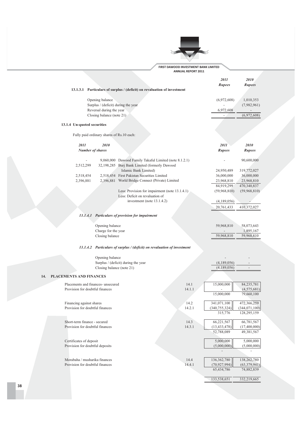

|                                    |                                                        | 13.1.3.1 Particulars of surplus / (deficit) on revaluation of investment                                                         |        | 2011<br>Rupees               | <i>2010</i><br>Rupees       |
|------------------------------------|--------------------------------------------------------|----------------------------------------------------------------------------------------------------------------------------------|--------|------------------------------|-----------------------------|
|                                    | Opening balance<br>Surplus / (deficit) during the year |                                                                                                                                  |        | (6,972,608)                  | 1,010,353<br>(7,982,961)    |
|                                    | Reversal during the year<br>Closing balance (note 21)  |                                                                                                                                  |        | 6,972,608                    | (6,972,608)                 |
| 13.1.4 Un-quoted securities        |                                                        |                                                                                                                                  |        |                              |                             |
|                                    | Fully paid ordinary shares of Rs.10 each:              |                                                                                                                                  |        |                              |                             |
|                                    |                                                        |                                                                                                                                  |        |                              |                             |
| 2011<br><b>Number of shares</b>    | 2010                                                   |                                                                                                                                  |        | 2011<br>Rupees               | 2010<br>Rupees              |
| 2,512,299                          |                                                        | 9,060,000 Dawood Family Takaful Limited (note 8.1.2.1)<br>32,198,285 Burj Bank Limited (formerly Dawood<br>Islamic Bank Limited) |        |                              | 90,600,000                  |
| 2,518,454                          |                                                        | 2,518,454 First Pakistan Securities Limited                                                                                      |        | 24,950,489<br>36,000,000     | 319,772,027<br>36,000,000   |
| 2,396,881                          |                                                        | 2,396,881 World Bridge Connect (Private) Limited                                                                                 |        | 23,968,810                   | 23,968,810                  |
|                                    |                                                        |                                                                                                                                  |        | 84,919,299                   | 470,340,837                 |
|                                    |                                                        | Less: Provision for impairment (note 13.1.4.1)<br>Less: Deficit on revaluation of                                                |        | (59,968,810)                 | (59,968,810)                |
|                                    |                                                        | investment (note $13.1.4.2$ )                                                                                                    |        | (4,189,056)                  |                             |
|                                    |                                                        |                                                                                                                                  |        | 20,761,433                   | 410,372,027                 |
|                                    |                                                        | 13.1.4.1 Particulars of provision for impairment                                                                                 |        |                              |                             |
|                                    | Opening balance<br>Charge for the year                 |                                                                                                                                  |        | 59,968,810                   | 58,073,643<br>1,895,167     |
|                                    | Closing balance                                        |                                                                                                                                  |        | 59,968,810                   | 59,968,810                  |
|                                    |                                                        | 13.1.4.2 Particulars of surplus / (deficit) on revaluation of investment                                                         |        |                              |                             |
|                                    | Opening balance                                        |                                                                                                                                  |        |                              |                             |
|                                    |                                                        | Surplus / (deficit) during the year                                                                                              |        | (4,189,056)                  |                             |
|                                    | Closing balance (note 21)                              |                                                                                                                                  |        | (4,189,056)                  |                             |
| <b>PLACEMENTS AND FINANCES</b>     |                                                        |                                                                                                                                  |        |                              |                             |
| Placements and finances- unsecured |                                                        |                                                                                                                                  | 14.1   | 15,000,000                   | 84,235,781                  |
| Provision for doubtful finances    |                                                        |                                                                                                                                  | 14.1.1 | 15,000,000                   | (4, 575, 681)<br>79,660,100 |
| Financing against shares           |                                                        |                                                                                                                                  | 14.2   | 341,071,100                  | 472,366,259                 |
| Provision for doubtful finances    |                                                        |                                                                                                                                  | 14.2.1 | (340, 755, 324)              | (344,071,100)               |
|                                    |                                                        |                                                                                                                                  |        | 315,776                      | 128,295,159                 |
| Short-term finance - secured       |                                                        |                                                                                                                                  | 14.3   | 66,221,567                   | 66,781,567                  |
| Provision for doubtful finances    |                                                        |                                                                                                                                  | 14.3.1 | (13, 433, 478)<br>52,788,089 | (17,400,000)<br>49,381,567  |
| Certificates of deposit            |                                                        |                                                                                                                                  |        | 5,000,000                    | 5,000,000                   |
| Provision for doubtful deposits    |                                                        |                                                                                                                                  |        | (5,000,000)                  | (5,000,000)                 |
| Morabaha / musharika finances      |                                                        |                                                                                                                                  | 14.4   | 136,362,780                  | 138,262,780                 |
| Provision for doubtful finances    |                                                        |                                                                                                                                  | 14.4.1 | (70, 927, 994)               | (63, 379, 941)              |
|                                    |                                                        |                                                                                                                                  |        | 65,434,786                   | 74,882,839                  |
|                                    |                                                        |                                                                                                                                  |        | 133,538,651                  | 332,219,665                 |
|                                    |                                                        |                                                                                                                                  |        |                              |                             |

 $14.$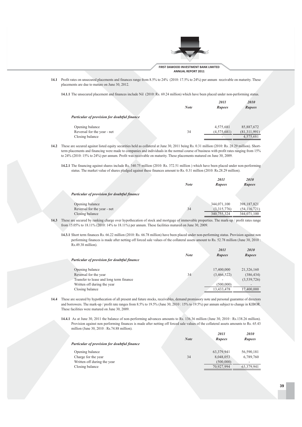

14.1 Profit rates on unsecured placements and finances range from 8.5% to 24% (2010: 17.5% to 24%) per annum receivable on maturity. These placements are due to mature on June 30, 2012.

14.1.1 The unsecured placement and finances include Nil (2010: Rs. 69.24 million) which have been placed under non-performing status.

|                                              | <b>Note</b> | 2011<br><b>Rupees</b> | 2010<br><b>Rupees</b> |
|----------------------------------------------|-------------|-----------------------|-----------------------|
| Particular of provision for doubtful finance |             |                       |                       |
| Opening balance                              |             | 4,575,681             | 85,887,672            |
| Reversal for the year - net                  | 34          | (4,575,681)           | (81,311,991)          |
| Closing balance                              |             |                       | 4,575,681             |

- 14.2 These are secured against listed equity securities held as collateral at June 30, 2011 being Rs. 0.31 million (2010: Rs. 28.29 million). Shortterm placements and financing were made to companies and individuals in the normal course of business with profit rates ranging from 15% to  $24\%$  (2010: 15% to  $24\%$ ) per annum. Profit was receivable on maturity. These placements matured on June 30, 2009.
	- 14.2.1 The financing against shares include Rs. 340.75 million (2010: Rs. 372.51 million) which have been placed under non-performing status. The market value of shares pledged against these finances amount to Rs. 0.31 million (2010: Rs.28.29 million).

|                                              | <b>Note</b> | 2011<br><b>Rupees</b> | 2010<br><b>Rupees</b> |
|----------------------------------------------|-------------|-----------------------|-----------------------|
| Particular of provision for doubtful finance |             |                       |                       |
| Opening balance                              |             | 344,071,100           | 398,187,821           |
| Reversal for the year - net                  | 34          | (3,315,776)           | (54, 116, 721)        |
| Closing balance                              |             | 340,755,324           | 344,071,100           |

- **14.3** These are secured by ranking charge over hypothecation of stock and mortgage of immovable properties. The mark-up / profit rates range from 15.05% to 18.11% (2010: 14% to 18.11%) per annum. These facilities matured on June 30, 2009.
	- 14.3.1 Short term finances Rs. 66.22 million (2010: Rs. 66.78 million) have been placed under non-performing status. Provision against non performing finances is made after netting off forced sale values of the collateral assets amount to Rs. 52.78 million (June 30, 2010) Rs.49.38 million).

| Particular of provision for doubtful finance | <b>Note</b> | 2011<br><b>Rupees</b> | 2010<br><b>Rupees</b> |
|----------------------------------------------|-------------|-----------------------|-----------------------|
| Opening balance                              |             | 17,400,000            | 21,326,160            |
| Reversal for the year                        | 34          | (3,466,522)           | (386, 434)            |
| Transfer to lease and long term finance      |             |                       | (3,539,726)           |
| Written off during the year                  |             | (500,000)             |                       |
| Closing balance                              |             | 13,433,478            | 17,400,000            |

- 14.4 These are secured by hypothecation of all present and future stocks, receivables, demand promissory note and personal guarantee of directors and borrowers. The mark-up / profit rate ranges from 8.5% to 19.5% (June 30, 2010 : 15% to 19.5%) per annum subject to change in KIBOR. These facilities were matured on June 30, 2009.
	- **14.4.1** As at June 30, 2011 the balance of non-performing advances amounts to Rs. 136.36 million (June 30, 2010 : Rs.138.26 million). Provision against non performing finances is made after netting off forced sale values of the collateral assets amounts to Rs. 65.43 million (June 30, 2010 : Rs.74.88 million).

| Particular of provision for doubtful finance | <b>Note</b> | 2011<br><b>Rupees</b> | <i>2010</i><br><b>Rupees</b> |
|----------------------------------------------|-------------|-----------------------|------------------------------|
| Opening balance                              |             | 63,379,941            | 56,590,181                   |
| Charge for the year                          | 34          | 8,048,053             | 6,789,760                    |
| Written off during the year                  |             | (500,000)             |                              |
| Closing balance                              |             | 70.927.994            | 63,379,941                   |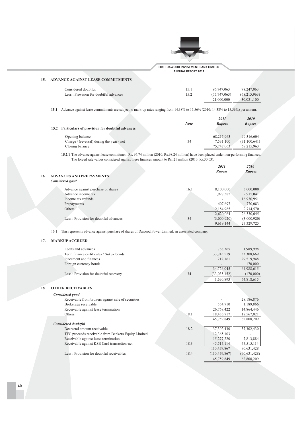

### 15. ADVANCE AGAINST LEASE COMMITMENTS

| Considered doubtful                   | 15.1 | 96.747.063   | 98,247,063   |
|---------------------------------------|------|--------------|--------------|
| Less: Provision for doubtful advances | 15.2 | (75.747.063) | (68.215.963) |
|                                       |      | 21,000,000   | 30.031.100   |
|                                       |      |              |              |

15.1 Advance against lease commitments are subject to mark-up rates ranging from 14.38% to 15.56% (2010: 14.38% to 15.56%) per annum.

|                                                     |             | 2011          | 2010           |
|-----------------------------------------------------|-------------|---------------|----------------|
|                                                     | <b>Note</b> | <b>Rupees</b> | <b>Rupees</b>  |
| 15.2 Particulars of provision for doubtful advances |             |               |                |
| Opening balance                                     |             | 68,215,963    | 99.316.604     |
| Charge / (reversal) during the year - net           | 34          | 7.531.100     | (31, 100, 641) |
| Closing balance                                     |             | 75,747,063    | 68,215,963     |

**15.2.1** The advance against lease commitment Rs. 96.74 million (2010: Rs.98.24 million) have been placed under non-performing finances. The forced sale values considered against these finances amount to Rs. 21 million (2010: Rs.30.03).

|     |                                       |      | 2011<br><b>Rupees</b> | 2010<br><b>Rupees</b> |
|-----|---------------------------------------|------|-----------------------|-----------------------|
| 16. | <b>ADVANCES AND PREPAYMENTS</b>       |      |                       |                       |
|     | Considered good                       |      |                       |                       |
|     | Advance against purchase of shares    | 16.1 | 8,100,000             | 3,000,000             |
|     | Advance income tax                    |      | 1,927,382             | 2,915,041             |
|     | Income tax refunds                    |      |                       | 16,930,951            |
|     | Prepayments                           |      | 407,697               | 770,083               |
|     | Others                                |      | 2,184,985             | 2,714,570             |
|     |                                       |      | 12,620,064            | 26,330,645            |
|     | Less: Provision for doubtful advances | 34   | (3,000,920)           | (3,000,920)           |
|     |                                       |      | 9,619,144             | 23,329,725            |

16.1 This represents advance against purchase of shares of Dawood Power Limited, an associated company.

### 17. MARKUP ACCRUED

| Considered good                         |    |                            |                         |
|-----------------------------------------|----|----------------------------|-------------------------|
| <b>OTHER RECEIVABLES</b>                |    |                            |                         |
|                                         |    | 1.690.893                  | 64,818,615              |
| Less: Provision for doubtful recovery   | 34 | 34,726,045<br>(33,035,152) | 64,988,615<br>(170,000) |
| Foreign currency bonds                  |    |                            | 170,000                 |
| Placement and finances                  |    | 212,161                    | 29,519,948              |
| Term finance certificates / Sukuk bonds |    | 33,745,519                 | 33,308,669              |
| Loans and advances                      |    | 768,365                    | 1,989,998               |
|                                         |    |                            |                         |

| Receivable from brokers against sale of securities  |      |                 | 28,186,876     |
|-----------------------------------------------------|------|-----------------|----------------|
| Brokerage receivable                                |      | 554,710         | 1,189,866      |
| Receivable against lease termination                |      | 26,768,422      | 14,864,446     |
| Others                                              | 18.1 | 18,436,717      | 18,567,021     |
|                                                     |      | 45,759,849      | 62,808,209     |
| <b>Considered doubtful</b>                          |      |                 |                |
| Decreetal amount receivable                         | 18.2 | 37,302,430      | 37,302,430     |
| TFC proceeds receivable from Bankers Equity Limited |      | 12,365,103      |                |
| Receivable against lease termination                |      | 15,277,220      | 7,813,884      |
| Receivable against KSE Card transaction-net         | 18.3 | 45,515,114      | 45,515,114     |
|                                                     |      | 110,459,867     | 90,631,428     |
| Less: Provision for doubtful receivables            | 18.4 | (110, 459, 867) | (90, 631, 428) |
|                                                     |      | 45.759.849      | 62,808,209     |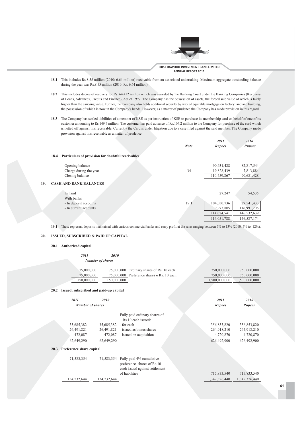

*6788 6787*

- 18.1 This includes Rs.8.55 million (2010: 6.64 million) receivable from an associated undertaking. Maximum aggregate outstanding balance during the year was  $Rs.8.55$  million  $(2010:Rs.6.64$  million).
- 18.2 This includes decree of recovery for Rs. 64.412 million which was awarded by the Banking Court under the Banking Companies (Recovery of Loans, Advances, Credits and Finance), Act of 1997. The Company has the possession of assets, the forced sale value of which is fairly higher than the carrying value. Further, the Company also holds additional security by way of equitable mortgage on factory land and building, the possession of which is now in the Company's hands. However, as a matter of prudence the Company has made provision in this regard.
- **18.3** The Company has settled liabilities of a member of KSE as per instruction of KSE to purchase its membership card on behalf of one of its customer amounting to Rs.149.7 million. The customer has paid advance of Rs.104.2 million to the Company for purchase of the card which is netted off against this receivable. Currently the Card is under litigation due to a case filed against the said member. The Company made provision against this receivable as a matter of prudence.

|                                                           | <b>Note</b> | <i>2011</i><br>Rupees | <i>2010</i><br>Rupees |
|-----------------------------------------------------------|-------------|-----------------------|-----------------------|
| Particulars of provision for doubtful receivables<br>18.4 |             |                       |                       |
| Opening balance                                           |             | 90,631,428            | 82,817,544            |
| Charge during the year                                    | 34          | 19,828,439            | 7,813,884             |
| Closing balance                                           |             | 110,459,867           | 90,631,428            |
| 19.<br><b>CASH AND BANK BALANCES</b>                      |             |                       |                       |
| In hand<br>With banks                                     |             | 27,247                | 54,535                |
| - In deposit accounts                                     | 19.1        | 104,050,736           | 29,541,433            |
| - In current accounts                                     |             | 9,973,805             | 116,991,206           |
|                                                           |             | 114,024,541           | 146,532,639           |
|                                                           |             | 114,051,788           | 146,587,174           |

**19.1** These represent deposits maintained with various commercial banks and carry profit at the rates ranging between 5% to 13% (2010: 5% to 12%).

### 20. ISSUED, SUBSCRIBED & PAID UP CAPITAL

### 20.1 Authorized capital

|      | 2011                                   | 2010                    |                                                                                          |               |               |
|------|----------------------------------------|-------------------------|------------------------------------------------------------------------------------------|---------------|---------------|
|      |                                        | <b>Number of shares</b> |                                                                                          |               |               |
|      | 75,000,000                             |                         | 75,000,000 Ordinary shares of Rs. 10 each                                                | 750,000,000   | 750,000,000   |
|      | 75,000,000                             |                         | 75,000,000 Preference shares o Rs. 10 each                                               | 750,000,000   | 750,000,000   |
|      | 150,000,000                            | 150,000,000             |                                                                                          | 1,500,000,000 | 1,500,000,000 |
| 20.2 | Issued, subscribed and paid-up capital |                         |                                                                                          |               |               |
|      | 2011                                   | 2010                    |                                                                                          | 2011          | 2010          |
|      | <b>Number of shares</b>                |                         |                                                                                          | <b>Rupees</b> | <b>Rupees</b> |
|      |                                        |                         | Fully paid ordinary shares of<br>Rs.10 each issued:                                      |               |               |
|      | 35,685,382                             | 35,685,382              | - for cash                                                                               | 356,853,820   | 356,853,820   |
|      | 26,491,821                             | 26.491.821              | - issued as bonus shares                                                                 | 264,918,210   | 264,918,210   |
|      | 472,087                                |                         | 472,087 - issued on acquisition                                                          | 4,720,870     | 4,720,870     |
|      | 62,649,290                             | 62,649,290              |                                                                                          | 626,492,900   | 626,492,900   |
| 20.3 | Preference share capital               |                         |                                                                                          |               |               |
|      | 71,583,354                             | 71,583,354              | Fully paid 4% cumulative<br>preference shares of Rs.10<br>each issued against settlement |               |               |
|      |                                        |                         | of liabilities                                                                           | 715,833,540   | 715,833,540   |
|      | 134,232,644                            | 134,232,644             |                                                                                          | 1,342,326,440 | 1,342,326,440 |
|      |                                        |                         |                                                                                          |               |               |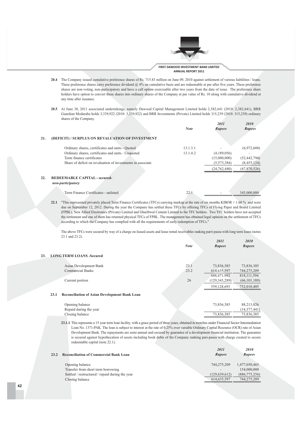

- 20.4 The Company issued cumulative preference shares of Rs. 715.83 million on June 09, 2010 against settlement of various liabilities / loans. These preference shares carry preference dividend  $@4\%$  on cumulative basis and are redeemable at par after five years. These preference shares are non-voting, non-participatory and have a call option exercisable after two years from the date of issue. The preference share holders have option to convert these shares into ordinary shares of the Company at par value of Rs. 10 along with cumulative dividend at any time after issuance.
- 20.5 At June 30, 2011 associated undertakings, namely Dawood Capital Management Limited holds 2,382,641 (2010: 2,382,641), BRR Guardian Modaraba holds 3,339,922 (2010: 3,339,922) and BRR Investments (Private) Limited holds 315,239 (2010: 315,239) ordinary shares of the Company.

|                                                             | <b>Note</b> | 2011<br><b>Rupees</b> | 2010<br><b>Rupees</b> |
|-------------------------------------------------------------|-------------|-----------------------|-----------------------|
| (DEFICIT) / SURPLUS ON REVALUATION OF INVESTMENT            |             |                       |                       |
| Ordinary shares, certificates and units - Quoted            | 13.1.3.1    |                       | (6,972,608)           |
| Ordinary shares, certificates and units - Unquoted          | 13.1.4.2    | (4,189,056)           |                       |
| Term finance certificates                                   |             | (15,000,000)          | (52, 442, 794)        |
| Share of deficit on revaluation of investments in associate |             | (5,573,384)           | (8,455,124)           |
|                                                             |             | (24, 762, 440)        | (67,870,526)          |
| <b>REDEEMABLE CAPITAL - secured-</b><br>non-participatory   |             |                       |                       |

| Term Finance Certificates - unlisted | $\sim$ | 0.000000<br>345 |
|--------------------------------------|--------|-----------------|
|                                      |        |                 |

**22.1** "This represented privately placed Term Finance Certificates (TFCs) carrying markup at the rate of six months KIBOR + 1.60 % and were due on September 12, 2012. During the year the Company has settled these TFCs by offering TFCs of Flying Paper and Board Limited (FPBL), New Allied Electronics (Private) Limited and Gharibwal Cement Limited to the TFC holders. Two TFC holders have not accepted the settlement and one of them has returned physical TFCs of FPBL. The management has obtained legal opinion on the settlement of TFCs according to which the Company has complied with all the requirements of early redemption of TFCs."

The above TFCs were secured by way of a charge on leased assets and lease rental receivables ranking parri passu with long term loans (notes 23.1 and 23.2). *6788 6787*

|     |                                                              | <b>Note</b> | $\overline{u}$<br><b>Rupees</b> | $\overline{u}$<br>Rupees |
|-----|--------------------------------------------------------------|-------------|---------------------------------|--------------------------|
| 23. | <b>LONG TERM LOANS -Secured</b>                              |             |                                 |                          |
|     | Asian Development Bank                                       | 23.1        | 73,836,385                      | 73,836,385               |
|     | <b>Commercial Banks</b>                                      | 23.2        | 614, 635, 597                   | 744,275,209              |
|     |                                                              |             | 688,471,982                     | 818, 111, 594            |
|     | Current portion                                              | 26          | (129, 343, 289)                 | (66, 101, 189)           |
|     |                                                              |             | 559,128,693                     | 752,010,405              |
|     | <b>Reconciliation of Asian Development Bank Loan</b><br>23.1 |             |                                 |                          |
|     | Opening balance                                              |             | 73,836,385                      | 88,213,826               |
|     | Repaid during the year                                       |             |                                 | (14,377,441)             |

23.1.1 This represents a 15 year term loan facility, with a grace period of three years, obtained in trenches under Financial Sector Intermediation Loan No. 1371-PAK. The loan is subject to interest at the rate of 0.25% over variable Ordinary Capital Resource (OCR) rate of Asian Development Bank. The repayments are semi-annual and secured by guarantee of a development financial institution. The guarantee is secured against hypothecation of assets including book debts of the Company ranking pari-passu with charge created to secure redeemable capital (note 22.1).

73,836,385 73,836,385

| 23.2 | <b>Reconciliation of Commercial Bank Loan</b>         | 2011<br><b>Rupees</b>                       | 2010<br><b>Rupees</b>        |
|------|-------------------------------------------------------|---------------------------------------------|------------------------------|
|      | Opening balance<br>Transfer from short term borrowing | 744,275,209                                 | 1,477,050,465                |
|      | Settled / restructured / repaid during the year       | $\overline{\phantom{a}}$<br>(129, 639, 612) | 154,000,000<br>(886,775,256) |
|      | Closing balance                                       | 614, 635, 597                               | 744,275,209                  |

**21.** 

 $22.$ 

Closing balance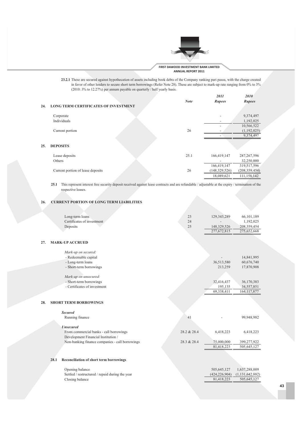

23.2.1 These are secured against hypothecation of assets including book debts of the Company ranking pari passu, with the charge created in favor of other lenders to secure short term borrowings (Refer Note 28). These are subject to mark-up rate ranging from 0% to 3% (2010: 3% to 12.27%) per annum payable on quarterly / half yearly basis.

| 24. | <b>LONG TERM CERTIFICATES OF INVESTMENT</b> | <b>Note</b> | <i>2011</i><br>Rupees | <i>2010</i><br><b>Rupees</b> |
|-----|---------------------------------------------|-------------|-----------------------|------------------------------|
|     | Corporate                                   |             |                       | 9,374,497                    |
|     | Individuals                                 |             |                       | 1,192,025                    |
|     |                                             |             |                       | 10,566,522                   |
|     | Current portion                             | 26          |                       | (1,192,025)                  |
|     |                                             |             |                       | 9,374,497                    |
| 25. | <b>DEPOSITS</b>                             |             |                       |                              |
|     | Lease deposits                              | 25.1        | 166,419,147           | 287, 267, 596                |
|     | Others                                      |             |                       | 32,250,000                   |
|     |                                             |             | 166,419,147           | 319,517,596                  |
|     | Current portion of lease deposits           | 26          | (148, 329, 526)       | (208, 359, 454)              |
|     |                                             |             | 18.089.621            | 111.158.142                  |

25.1 This represent interest free security deposit received against lease contracts and are refundable / adjustable at the expiry / termination of the respective leases.

### 26. **CURRENT PORTION OF LONG TERM LIABILITIES**

| Long-term loans            |    | 129,343,289              | 66,101,189    |
|----------------------------|----|--------------------------|---------------|
| Certificates of investment | 24 | $\overline{\phantom{0}}$ | 1.192.025     |
| Deposits                   |    | 148.329.526              | 208, 359, 454 |
|                            |    | 277,672,815              | 275,652,668   |

### 27. MARK-UP ACCRUED

| Mark-up on secured:          |                          |             |
|------------------------------|--------------------------|-------------|
| - Redeemable capital         | $\overline{\phantom{a}}$ | 14,841,995  |
| - Long-term loans            | 36,513,580               | 60,676,740  |
| - Short-term borrowings      | 213,259                  | 17,870,908  |
|                              |                          |             |
| Mark-up on unsecured:        |                          |             |
| - Short-term borrowings      | 32,416,437               | 36,170,383  |
| - Certificates of investment | 195.135                  | 34,557,851  |
|                              | 69,338,411               | 164.117.877 |

### 28. SHORT TERM BORROWINGS

| <b>Secured</b><br>Running finance               | 4 <sup>1</sup> | $\overline{\phantom{a}}$ | 99,948,982  |
|-------------------------------------------------|----------------|--------------------------|-------------|
| <b><i><u>Unsecured</u></i></b>                  |                |                          |             |
| From commercial banks - call borrowings         | 28.2 & 28.4    | 6.418.223                | 6.418.223   |
| Development Financial Institution /             |                |                          |             |
| Non-banking finance companies - call borrowings | 28.3 & 28.4    | 75,000,000               | 399.277.922 |
|                                                 |                | 81.418.223               | 505.645.127 |

### 28.1 Reconciliation of short term borrowings

Opening balance Settled / restructured / repaid during the year Closing balance

1,637,288,009

 $(1, 131, 642, 882)$ 

505,645,127

505,645,127

 $(424, 226, 904)$ 

81,418,223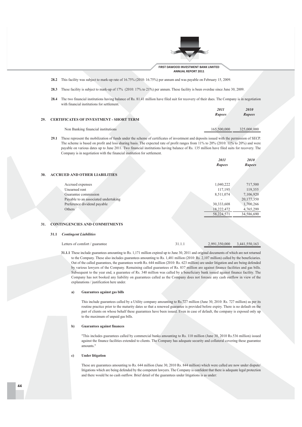

FIRST DAWOOD INVESTMENT BANK LIMITED ANNUAL REPORT 2011

28.2 This facility was subject to mark-up rate of 16.75% (2010: 16.75%) per annum and was payable on February 15, 2009.

- 28.3 These facility is subject to mark-up of 17% (2010: 17% to 21%) per annum. These facility is been overdue since June 30, 2009.
- 28.4 The two financial institutions having balance of Rs. 81.41 million have filed suit for recovery of their dues. The Company is in negotiation with financial institutions for settlement.

|                                             | <i>2011</i>   | <i>2010</i>   |
|---------------------------------------------|---------------|---------------|
|                                             | <b>Rupees</b> | <b>Rupees</b> |
| 29. CERTIFICATES OF INVESTMENT - SHORT TERM |               |               |
| Non Banking financial institutions          | 165,500,000   | 325,000,000   |

29.1 These represent the mobilization of funds under the scheme of certificates of investment and deposits issued with the permission of SECP. The scheme is based on profit and loss sharing basis. The expected rate of profit ranges from 11% to 20% (2010: 11% to 20%) and were payable on various dates up to June 2011. Two financial institutions having balance of Rs. 135 million have filed suits for recovery. The Company is in negotiation with the financial institution for settlement.

|    |                                      | 2011       | 2010          |
|----|--------------------------------------|------------|---------------|
|    |                                      | Rupees     | <b>Rupees</b> |
|    |                                      |            |               |
| 0. | <b>ACCRUED AND OTHER LIABILITIES</b> |            |               |
|    |                                      |            |               |
|    | Accrued expenses                     | 1,040,222  | 717,500       |
|    | Unearned rent                        | 117,195    | 119,355       |
|    | Guarantee commission                 | 8,511,074  | 7,106,920     |
|    | Payable to an associated undertaking |            | 20,177,350    |
|    | Preference dividend payable          | 30,333,608 | 1,700,266     |
|    | Others                               | 18,222,472 | 4,765,299     |
|    |                                      | 58,224,571 | 34,586,690    |
|    |                                      |            |               |

### **CONTINGENCIES AND COMMITMENTS**  $31.$

### 31.1 Contingent Liabilities

 $\overline{\mathbf{3}}$ 

| Letters of comfort / guarantee | 31.1.1 | 2,991,350,000 3,441,550,163 |  |
|--------------------------------|--------|-----------------------------|--|
|                                |        |                             |  |

31.1.1 These include guarantees amounting to Rs. 1,171 million expired up to June 30, 2011 and original documents of which are not returned to the Company. These also includes guarantees amounting to Rs. 1,481 million (2010: Rs. 2,107 million) called by the beneficiaries. Out of the called guarantees, the guarantees worth Rs. 644 million (2010: Rs. 623 million) are under litigation and are being defended by various lawyers of the Company. Remaining called guarantees of Rs. 837 million are against finance facilities and gas bills. Subsequent to the year end, a guarantee of Rs. 340 million was called by a beneficiary bank issued against finance facility. The Company has not booked any liability on guarantees called as the Company does not foresee any cash outflow in view of the explanations / justification here under.

### Guarantees against gas bills  $a)$

This include guarantees called by a Utility company amounting to Rs.727 million (June 30, 2010: Rs. 727 million) as per its routine practice prior to the maturity dates so that a renewed guarantee is provided before expiry. There is no default on the part of clients on whose behalf these guarantees have been issued. Even in case of default, the company is exposed only up to the maximum of unpaid gas bills.

### **Guarantees against finances**  $\mathbf{h}$

"This includes guarantees called by commercial banks amounting to Rs. 110 million (June 30, 2010 Rs.536 million) issued against the finance facilities extended to clients. The Company has adequate security and collateral covering these guarantee amounts."

### **Under litigation**  $\mathbf{c}$

These are guarantees amounting to Rs. 644 million (June 30, 2010 Rs. 844 million) which were called are now under dispute/ litigations which are being defended by the competent lawyers. The Company is confident that there is adequate legal protection and there would be no cash outflow. Brief detail of the guarantees under litigations is as under: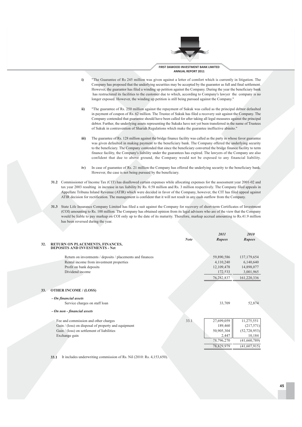

- $\ddot{a}$ "The Guarantee of Rs 245 million was given against a letter of comfort which is currently in litigation. The Company has proposed that the underlying securities may be accepted by the guarantor as full and final settlement. However, the guarantor has filed a winding up petition against the Company. During the year the beneficiary bank has restructured its facilities to the customer due to which, according to Company's lawyer the company is no longer exposed. However, the winding up petition is still being pursued against the Company."
- ii) "The guarantee of Rs. 250 million against the repayment of Sukuk was called as the principal debtor defaulted in payment of coupon of Rs. 62 million. The Trustee of Sukuk has filed a recovery suit against the Company. The Company contended that guarantee should have been called for after taking all legal measures against the principal debtor. Further, the underlying assets representing the Sukuks have not yet been transferred in the name of Trustees of Sukuk in contravention of Shariah Regulations which make the guarantee ineffective abinito."
- (iii The guarantee of Rs. 128 million against the bridge finance facility was called as the party in whose favor guarantee was given defaulted in making payment to the beneficiary bank. The Company offered the underlying security to the beneficiary. The Company contended that since the beneficiary converted the bridge finance facility to term finance facility, the Company's liability under the guarantees has expired. The lawyers of the Company are also confident that due to above ground, the Company would not be exposed to any financial liability.
- $iv)$ In case of guarantee of Rs. 21 million the Company has offered the underlying security to the beneficiary bank. However, the case is not being pursued by the beneficiary.
- 31.2 Commissioner of Income Tax (CIT) has disallowed certain expenses while allocating expenses for the assessment year 2001-02 and tax year 2003 resulting in increase in tax liability by Rs. 0.58 million and Rs. 3 million respectively. The Company filed appeals in Appellate Tribuna Inland Revenue (ATIR) which were decided in favor of the Company, however, the CIT has filed appeal against ATIR decision for rectification. The management is confident that it will not result in any cash outflow from the Company.
- 31.3 State Life Insurance Company Limited has filed a suit against the Company for recovery of short-term Certificates of Investment (COI) amounting to Rs. 100 million. The Company has obtained opinion from its legal advisors who are of the view that the Company would be liable to pay markup on COI only up to the date of its maturity. Therefore, markup accrual amounting to Rs.41.9 million has been reversed during the year.

|     |                                                                   |             | <i>2011</i> | <i>2010</i>    |
|-----|-------------------------------------------------------------------|-------------|-------------|----------------|
|     |                                                                   | <b>Note</b> | Rupees      | <b>Rupees</b>  |
| 32. | RETURN ON PLACEMENTS, FINANCES,<br>DEPOSITS AND INVESTMENTS - Net |             |             |                |
|     | Return on investments / deposits / placements and finances        |             | 59,890,586  | 137, 179, 654  |
|     | Rental income from investment properties                          |             | 4,110,240   | 6,140,640      |
|     | Profit on bank deposits                                           |             | 12,109,478  | 14,898,077     |
|     | Dividend income                                                   |             | 172,533     | 3,001,965      |
|     |                                                                   |             | 76,282,837  | 161,220,336    |
|     |                                                                   |             |             |                |
| 33. | <b>OTHER INCOME / (LOSS)</b>                                      |             |             |                |
|     | - On financial assets                                             |             |             |                |
|     | Service charges on staff loan                                     |             | 33,709      | 52,874         |
|     | - On non - financial assets                                       |             |             |                |
|     | Fee and commission and other charges                              | 33.1        | 27,699,059  | 11,275,551     |
|     | Gain / (loss) on disposal of property and equipment               |             | 189,460     | (217,571)      |
|     | Gain / (loss) on settlement of liabilities                        |             | 50,905,304  | (52, 728, 953) |
|     | Exchange gain                                                     |             | 2,447       | 10,184         |
|     |                                                                   |             | 78,796,270  | (41,660,789)   |
|     |                                                                   |             | 78,829,979  | (41, 607, 915) |

33.1 It includes underwriting commission of Rs. Nil (2010: Rs. 4,153,650).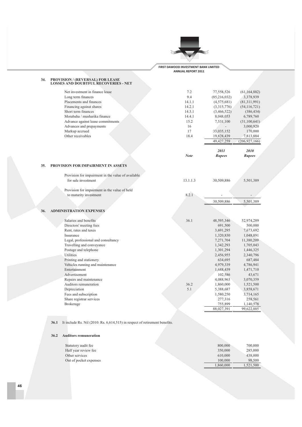

| 34. | <b>PROVISION / (REVERSAL) FOR LEASE</b><br><b>LOSSES AND DOUBTFUL RECOVERIES - NET</b> |             |                       |                 |
|-----|----------------------------------------------------------------------------------------|-------------|-----------------------|-----------------|
|     | Net investment in finance lease                                                        | 7.2         | 77,558,526            | (61, 164, 882)  |
|     | Long term finances                                                                     | 9.4         | (85,216,032)          | 3,378,939       |
|     | Placements and finances                                                                | 14.1.1      | (4,575,681)           | (81,311,991)    |
|     | Financing against shares                                                               | 14.2.1      | (3,315,776)           | (54, 116, 721)  |
|     | Short term finances                                                                    | 14.3.1      | (3,466,522)           | (386, 434)      |
|     | Morabaha / musharika finance                                                           | 14.4.1      | 8,048,053             | 6,789,760       |
|     | Advance against lease commitments                                                      | 15.2        | 7,531,100             | (31, 100, 641)  |
|     | Advances and prepayments                                                               | 16          |                       | 3,000,920       |
|     | Markup accrued                                                                         | 17          | 33,035,152            | 170,000         |
|     | Other receivables                                                                      | 18.4        | 19,828,439            | 7,813,884       |
|     |                                                                                        |             | 49, 427, 259          | (206, 927, 166) |
|     |                                                                                        | <b>Note</b> | 2011<br><b>Rupees</b> | 2010<br>Rupees  |
| 35. | PROVISION FOR IMPAIRMENT IN ASSETS                                                     |             |                       |                 |
|     |                                                                                        |             |                       |                 |
|     | Provision for impairment in the value of available                                     |             |                       |                 |
|     | for sale investment                                                                    | 13.1.1.3    | 30,509,886            | 5,501,389       |
|     | Provision for impairment in the value of held                                          |             |                       |                 |
|     | to maturity investment                                                                 | 8.2.1       |                       |                 |
|     |                                                                                        |             | 30,509,886            | 5,501,389       |
| 36. | <b>ADMINISTRATION EXPENSES</b>                                                         |             |                       |                 |
|     | Salaries and benefits                                                                  | 36.1        | 48,595,346            | 52,974,289      |
|     | Directors' meeting fees                                                                |             | 691,500               | 500,000         |
|     | Rent, rates and taxes                                                                  |             | 3,691,295             | 7,673,692       |
|     | Insurance                                                                              |             | 1,320,830             | 1,048,891       |
|     | Legal, professional and consultancy                                                    |             | 7,271,704             | 11,380,209      |
|     | Travelling and conveyance                                                              |             | 1,342,293             | 1,705,043       |
|     | Postage and telephone                                                                  |             | 1,301,294             | 1,446,325       |
|     | Utilities                                                                              |             | 2,456,955             | 2,340,796       |
|     | Printing and stationery                                                                |             | 634,695               | 687,484         |
|     | Vehicles running and maintenance                                                       |             | 4,979,339             | 4,786,941       |
|     | Entertainment                                                                          |             | 1,688,439             | 1,471,710       |
|     | Advertisement                                                                          |             | 102,586               | 43,671          |
|     | Repairs and maintenance                                                                |             | 4,088,963             | 3,070,359       |
|     | Auditors remuneration                                                                  | 36.2        | 1,860,000             | 1,521,500       |
|     | Depreciation                                                                           | 5.1         | 5,388,687             | 3,858,671       |
|     | Fees and subscription                                                                  |             | 1,580,250             | 3,714,165       |
|     | Share registrar services                                                               |             | 277,316               | 258,561         |
|     | <b>Brokerage</b>                                                                       |             | 755,899               | 1,140,578       |
|     |                                                                                        |             | 88,027,391            | 99,622,885      |

36.1 It include Rs. Nil (2010: Rs. 6,614,515) in respect of retirement benefits.

### 36.2 Auditors remuneration

| Statutory audit fee    | 800,000   | 700,000   |
|------------------------|-----------|-----------|
| Half year review fee   | 350,000   | 285,000   |
| Other services         | 610,000   | 438,000   |
| Out of pocket expenses | 100,000   | 98,500    |
|                        | 1.860,000 | 1.521.500 |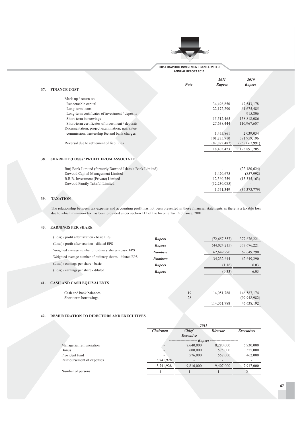

*6788 6787*

*Note Rupees Rupees Rupees* 

### 37. **FINAN**

| <b>NCE COST</b>                                  |                |               |
|--------------------------------------------------|----------------|---------------|
| Mark-up / return on:                             |                |               |
| Redeemable capital                               | 34,496,850     | 47,543,178    |
| Long-term loans                                  | 22,172,290     | 61,675,485    |
| Long-term certificates of investment / deposits  |                | 915,806       |
| Short-term borrowings                            | 15,512,465     | 158,818,086   |
| Short-term certificates of investment / deposits | 27,638,444     | 110,967,607   |
| Documentation, project examination, guarantee    |                |               |
| commission, trusteeship fee and bank charges     | 1,455,861      | 2,039,034     |
|                                                  | 101,275,910    | 381,959,196   |
| Reversal due to settlement of liabilities        | (82, 872, 487) | (258,067,991) |
|                                                  | 18,403,423     | 123,891,205   |

### **38. SHARE OF (LOSS) / PROFIT FROM ASSOCIATE**

| Buri Bank Limited (formerly Dawood Islamic Bank Limited) | $\overline{\phantom{a}}$ | (22,180,624) |
|----------------------------------------------------------|--------------------------|--------------|
| Dawood Capital Management Limited                        | 1.420.675                | (857,992)    |
| B.R.R. Investment (Private) Limited                      | 12.360.759               | (13,335,163) |
| Dawood Family Takaful Limited                            | (12, 230, 085)           |              |
|                                                          | 1.551.349                | (36,373,779) |

### 39. **TAXATION**

 $41.$ 

The relationship between tax expense and accounting profit has not been presented in these financial statements as there is a taxable loss due to which minimum tax has been provided under section 113 of the Income Tax Ordinance, 2001.

### 40. EARNINGS PER SHARE

| (Loss) / profit after taxation - basic EPS               | <b>Rupees</b>  |    | (72,657,557)   | 377,676,221  |
|----------------------------------------------------------|----------------|----|----------------|--------------|
| (Loss) / profit after taxation - diluted EPS             | <b>Rupees</b>  |    | (44, 024, 215) | 377,676,221  |
| Weighted average number of ordinary shares - basic EPS   | <b>Numbers</b> |    | 62,649,290     | 62,649,290   |
| Weighted average number of ordinary shares - diluted EPS | <b>Numbers</b> |    | 134,232,644    | 62,649,290   |
| (Loss) / earnings per share - basic                      | <b>Rupees</b>  |    | (1.16)         | 6.03         |
| (Loss) / earnings per share - diluted                    | <b>Rupees</b>  |    | (0.33)         | 6.03         |
| <b>CASH AND CASH EQUIVALENTS</b>                         |                |    |                |              |
| Cash and bank balances                                   |                | 19 | 114,051,788    | 146,587,174  |
| Short term borrowings                                    |                | 28 |                | (99.948.982) |

### 42. REMUNERATION TO DIRECTORS AND EXECUTIVES

|                           |           | 2011         |                 |                   |
|---------------------------|-----------|--------------|-----------------|-------------------|
|                           | Chairman  | <b>Chief</b> | <b>Director</b> | <b>Executives</b> |
|                           |           | Executive    |                 |                   |
|                           |           | -- Rupees ·  |                 |                   |
| Managerial remuneration   |           | 8,640,000    | 8,280,000       | 6,930,000         |
| <b>Bonus</b>              |           | 600,000      | 575,000         | 525,000           |
| Provident fund            |           | 576,000      | 552,000         | 462,000           |
| Reimbursement of expenses | 3,741,928 |              |                 |                   |
|                           | 3,741,928 | 9,816,000    | 9,407,000       | 7,917,000         |
| Number of persons         |           |              |                 |                   |

 $(99, 948, 982)$ 

114,051,788 46,638,192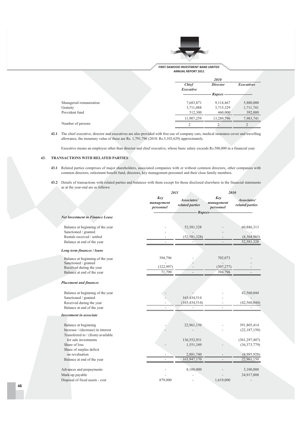

**FIRST DAWOOD INVESTMENT BANK LIMITED ANNUAL REPORT 2011** 

|                         | 2010         |                                |                   |
|-------------------------|--------------|--------------------------------|-------------------|
|                         | <b>Chief</b> | <b>Director</b>                | <b>Executives</b> |
|                         | Executive    |                                |                   |
|                         |              | Rupees ----------------------- |                   |
| Managerial remuneration | 7,683,871    | 9,114,467                      | 5,880,000         |
| Gratuity                | 3,711,088    | 3,715,329                      | 1,711,741         |
| Provident fund          | 512,300      | 460,000                        | 392,000           |
|                         | 11,907,259   | 13,289,796                     | 7,983,741         |
| Number of persons       |              |                                |                   |
|                         |              |                                |                   |

42.1 The chief executive, director and executives are also provided with free use of company cars, medical insurance cover and travelling allowance, the monetary value of these are Rs.  $1,791,796$  (2010: Rs.5,103,629) approximately.

Executive means an employee other than director and chief executive, whose basic salary exceeds Rs.500,000 in a financial year.

### 43. TRANSACTIONS WITH RELATED PARTIES

- 43.1 Related parties comprises of major shareholders, associated companies with or without common directors, other companies with common directors, retirement benefit fund, directors, key management personnel and their close family members.
- 43.2 Details of transactions with related parties and balances with them except for those disclosed elsewhere in the financial statements as at the year-end are as follows:

|                                                                        | 2011                           |                                | 2010                           |                                |
|------------------------------------------------------------------------|--------------------------------|--------------------------------|--------------------------------|--------------------------------|
|                                                                        | Key<br>management<br>personnel | Associates/<br>related parties | Key<br>management<br>personnel | Associates/<br>related parties |
|                                                                        |                                | $- R upees -$                  |                                |                                |
| <b>Net Investment in Finance Lease</b>                                 |                                |                                |                                |                                |
| Balance at beginning of the year                                       |                                | 52,581,328                     |                                | 60,886,313                     |
| Sanctioned / granted                                                   |                                |                                |                                |                                |
| Rentals received / settled                                             |                                | (52, 581, 328)                 |                                | (8,304,985)                    |
| Balance at end of the year                                             |                                |                                |                                | 52,581,328                     |
| Long term finances / loans                                             |                                |                                |                                |                                |
| Balance at beginning of the year                                       | 394,796                        |                                | 702,073                        |                                |
| Sanctioned / granted                                                   |                                |                                |                                |                                |
| Received during the year                                               | (322, 997)                     |                                | (307, 277)                     |                                |
| Balance at end of the year                                             | 71,799                         |                                | 394,796                        |                                |
| <b>Placement and finances</b>                                          |                                |                                |                                |                                |
| Balance at beginning of the year                                       |                                |                                |                                | 42,560,044                     |
| Sanctioned / granted                                                   |                                | 165,434,514                    |                                |                                |
| Received during the year                                               |                                | (165, 434, 514)                |                                | (42, 560, 044)                 |
| Balance at end of the year                                             |                                |                                |                                |                                |
| <b>Investment in associate</b>                                         |                                |                                |                                |                                |
| Balance at beginning                                                   |                                | 22,961,150                     |                                | 391,805,414                    |
| Increase / (decrease) in interest<br>Transferred to / (from) available |                                |                                |                                | (22, 187, 150)                 |
| for sale investments                                                   |                                | 136,552,931                    |                                | (301, 297, 407)                |
| Share of loss                                                          |                                | 1,551,349                      |                                | (36,373,779)                   |
| Share of surplus deficit                                               |                                |                                |                                |                                |
| on revaluation                                                         |                                | 2,881,740                      |                                | (8,985,928)                    |
| Balance at end of the year                                             |                                | 163,947,170                    |                                | 22,961,150                     |
| Advances and prepayments                                               |                                | 8,100,000                      |                                | 3,100,000                      |
| Mark-up payable                                                        |                                |                                |                                | 24,917,808                     |
| Disposal of fixed assets - cost                                        | 879,000                        |                                | 1,619,000                      |                                |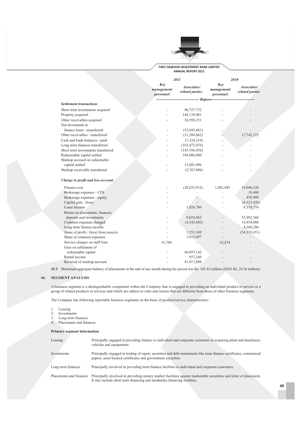

|                                       |                                | 2011                           |                                | 2010                           |  |
|---------------------------------------|--------------------------------|--------------------------------|--------------------------------|--------------------------------|--|
|                                       | Key<br>management<br>personnel | Associates/<br>related parties | Key<br>management<br>personnel | Associates/<br>related parties |  |
|                                       |                                | - Rupees--                     |                                |                                |  |
| <b>Settlement transactions</b>        |                                |                                |                                |                                |  |
| Short term investments acquired       |                                | 96,727,732                     |                                |                                |  |
| Property acquired                     |                                | 144,138,001                    |                                |                                |  |
| Other receivables acquired            |                                | 26,950,351                     |                                |                                |  |
| Net investment in                     |                                |                                |                                |                                |  |
| finance lease - transferred           |                                | (53,695,681)                   |                                |                                |  |
| Other receivables - transferred       |                                | (31,204,862)                   |                                | 17,742,225                     |  |
| Cash and bank balances - paid         |                                | (7,324,319)                    |                                |                                |  |
| Long term finances transferred        |                                | (163, 472, 076)                |                                |                                |  |
| Short term investments transferred    |                                | (145,396,950)                  |                                |                                |  |
| Redeemable capital settled            |                                | 194,000,000                    |                                |                                |  |
| Markup accrued on redeemable          |                                |                                |                                |                                |  |
| capital settled                       |                                | 13,881,896                     |                                |                                |  |
| Markup receivable transferred         |                                | (2,767,896)                    |                                |                                |  |
| Charge to profit and loss account     |                                |                                |                                |                                |  |
| Finance cost                          |                                | (28,035,912)                   | 1,082,985                      | 34,946,528                     |  |
| Brokerage expenses - CFS              |                                |                                |                                | 10,400                         |  |
| Brokerage expenses - equity           |                                |                                |                                | 420,400                        |  |
| Capital gain / (loss)                 |                                |                                |                                | (6,323,426)                    |  |
| Lease Income                          |                                | 1,026,786                      |                                | 8,174,376                      |  |
| Return on placements, finances,       |                                |                                |                                |                                |  |
| deposits and investments              |                                | 9,024,962                      |                                | 52,992,368                     |  |
| Common expenses charged               |                                | (4,545,682)                    |                                | 14,454,880                     |  |
| Long term finance income              |                                |                                |                                | 4,260,286                      |  |
| Share of profit / (loss) from associa |                                | 1,551,349                      |                                | (54, 355, 451)                 |  |
| Share of common expenses              |                                | 1,612,607                      |                                |                                |  |
| Service charges on staff loan         | 33,709                         |                                | 52,874                         |                                |  |
| Gain on settlement of                 |                                |                                |                                |                                |  |
| redeemable capital                    |                                | 40,897,142                     |                                |                                |  |
| Rental income                         |                                | 957,240                        |                                |                                |  |
| Reversal of markup accrued            |                                | 41,917,808                     |                                |                                |  |

**43.3** Maximum aggregate balance of placements at the end of any month during the period was Rs. 165.43 million (2010: Rs. 24.56 million).

### 44. SEGMENT ANALYSIS

A business segment is a distinguishable component within the Company that is engaged in providing an individual product or service or a<br>group of related products or services and which are subject to risks and returns that

The Company has following reportable business segments on the basis of product/service characteristics:

- 1. Leasing
- 2. Investments
- 3. Long term finances
- 4. Placements and finances

### **Primary segment information**

| Leasing                 | Principally engaged in providing finance to individual and corporate customers in acquiring plant and machinery,<br>vehicles and equipments.                                                 |
|-------------------------|----------------------------------------------------------------------------------------------------------------------------------------------------------------------------------------------|
| Investments             | Principally engaged in trading of equity securities and debt instruments like term finance certificates, commercial<br>papers, asset backed certificates and government securities.          |
| Long term finances      | Principally involved in providing term finance facilities to individual and corporate customers.                                                                                             |
| Placements and finances | Principally involved in providing money market facilities against marketable securities and letter of placement.<br>It also include short term financing and musharika financing facilities. |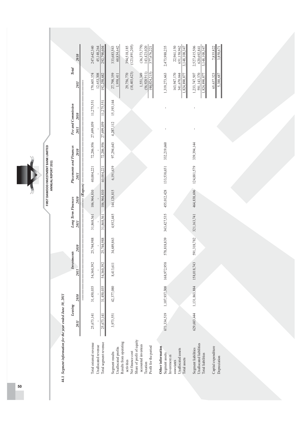|                                                                                       |               |               |                 |             |                           |              | FIRST DAWOOD INVESTMENT BANK LIMITED |             |                           |            |                                               |                                               |
|---------------------------------------------------------------------------------------|---------------|---------------|-----------------|-------------|---------------------------|--------------|--------------------------------------|-------------|---------------------------|------------|-----------------------------------------------|-----------------------------------------------|
|                                                                                       |               |               |                 |             |                           |              | ANNUAL REPORT 2011                   |             |                           |            |                                               |                                               |
| 44.1 Segment information for the year ended June 30, 2011                             |               |               |                 |             |                           |              |                                      |             |                           |            |                                               |                                               |
|                                                                                       | Leasing       |               | nvestments      |             | <b>Long Term Finances</b> |              | <b>Placements and Finances</b>       |             | <b>Fee and Commission</b> |            | <b>Total</b>                                  |                                               |
|                                                                                       | 2011          | 2010          | 2011            | 2010        | 2011                      | 2010         | 2011                                 | 2010        | 2011                      | 2010       | 2011                                          | 2010                                          |
|                                                                                       |               |               |                 |             |                           | $-$ (Rupees) |                                      |             |                           |            |                                               |                                               |
| Total external revenue                                                                | 25,673,141    | 31,450,035    | 54,360,392      | 25,744,988  | 31,868,561                | 106,964,810  | 40,004,221                           | 72,206,956  | 27,699,059                | 11,275,551 | 179,605,374                                   | 247,642,340                                   |
| Unallocated revenue                                                                   |               |               |                 |             |                           |              |                                      |             |                           |            | 12,653,308                                    | 45,148,264                                    |
| Total segment revenue                                                                 | 25,673,141    | 31,450,035    | ,392<br>54,360, | 25,744,988  | 31,868,561                | 106,964,810  | 40,004,221                           | 72,206,956  | 27,699,059                | 11,275,551 | 192,258,682                                   | 292,790,604                                   |
| Unallocated profits<br>Segment results                                                | 3,973,551     | 42,377,080    | 8,413,611       | 34,689,863  | 4,932,445                 | 144,128,815  | 6,191,639                            | 97,294,643  | 4,287,112                 | 15,193,144 | 27,798,359<br>1,958,411                       | 333,683,543<br>60,834,642                     |
| Results from operating<br>Net finance cost<br>activities                              |               |               |                 |             |                           |              |                                      |             |                           |            | (18, 403, 423)<br>29,756,770                  | 394,518,185<br>(123,891,205)                  |
| Share of profit of equity<br>accounted investees<br>Profit for the period<br>Taxation |               |               |                 |             |                           |              |                                      |             |                           |            | (56,928,911)<br>(44,024,215)<br>1,551,349     | (36,373,779)<br>143,423,020<br>377,676,221    |
| Other information<br>Segment assets                                                   | 673,334,519   | 1,107,937,308 | 168,972,958     | 578,818,839 | 343,427,535               | 455,012,428  | 133,538,651                          | 332,219,660 |                           |            | 1,319,273,663                                 | 2,473,988,235                                 |
| Unallocated assets<br>Investment in<br>associates                                     |               |               |                 |             |                           |              |                                      |             |                           |            | 163,947,170<br>341,670,044                    | 22,961,150<br>651,158,962                     |
| Total assets                                                                          |               |               |                 |             |                           |              |                                      |             |                           |            | 1,824,890,877                                 | 3,148,108,347                                 |
| Unallocated liabilities<br>Segment liabilities<br>Total liabilities                   | 629, 683, 444 | 1,131,863,884 | 158,018,743     | 591,318,782 | 321,163,741               | 464,838,696  | 124,881,579                          | 339,394,144 |                           |            | 1,233,747,507<br>591,143,370<br>1,824,890,877 | 2,527,415,506<br>3,148,108,347<br>620,692,841 |
| Capital expenditure<br>Depreciation                                                   |               |               |                 |             |                           |              |                                      |             |                           |            | 65,637,323<br>5,388,687                       | 7,835,822<br>3,858,671                        |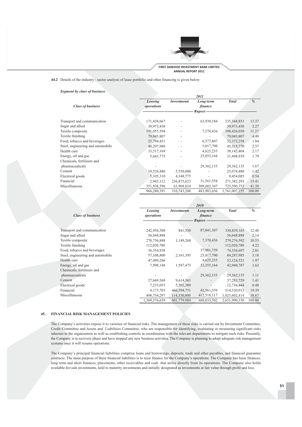

44.2 Details of the industry / sector analysis of lease portfolio and other financing is given below:

### **Segment by class of business**

|                                   |             |                    | 2011        |               |        |
|-----------------------------------|-------------|--------------------|-------------|---------------|--------|
|                                   | Leasing     | <i>Investments</i> | Long-term   | <b>Total</b>  | %      |
| <b>Class of business</b>          | operations  |                    | finance     |               |        |
|                                   |             |                    |             |               |        |
| Transport and communication       | 171,438,667 |                    | 63,930,184  | 235,368,851   | 13.37  |
| Sugar and allied                  | 39,973,450  |                    |             | 39,973,450    | 2.27   |
| Textile composite                 | 191,055,594 |                    | 7,370,436   | 198,426,030   | 11.27  |
| Textile finishing                 | 79,045,807  |                    |             | 79,045,807    | 4.49   |
| Food, tobacco and beverages       | 25,794,451  |                    | 6,577,807   | 32,372,258    | 1.84   |
| Steel, engineering and automobile | 40,297,980  |                    | 5,017,790   | 45, 315, 770  | 2.57   |
| Health care                       | 33,517,169  |                    | 4,625,235   | 38,142,404    | 2.17   |
| Energy, oil and gas               | 5,643,775   |                    | 25,855,164  | 31,498,939    | 1.79   |
| Chemicals, fertilizers and        |             |                    |             |               |        |
| pharmaceuticals                   |             |                    | 29,362,135  | 29, 362, 135  | 1.67   |
| Cement                            | 19,524,480  | 5,550,000          |             | 25,074,480    | 1.42   |
| Electrical goods                  | 5,105,310   | 4,348,775          |             | 9,454,085     | 0.54   |
| Financial                         | 2,945,112   | 236,875,623        | 31,561,558  | 271,382,293   | 15.41  |
| Miscellaneous                     | 351,938,596 | 63,968,810         | 309,683,347 | 725,590,753   | 41.20  |
|                                   | 966,280,391 | 310,743,208        | 483,983,656 | 1,761,007,255 | 100.00 |

|                                   |               |                    | 2010          |               |        |
|-----------------------------------|---------------|--------------------|---------------|---------------|--------|
|                                   | Leasing       | <b>Investments</b> | Long-term     | <b>Total</b>  | %      |
| <b>Class of business</b>          | operations    |                    | finance       |               |        |
|                                   |               |                    | Rupees --     |               |        |
| Transport and communication       | 242,956,508   | 841,350            | 87,041,307    | 330,839,165   | 12.48  |
| Sugar and allied                  | 56,648,888    |                    |               | 56,648,888    | 2.14   |
| Textile composite                 | 270,756,888   | 1,149,268          | 7,370,436     | 279,276,592   | 10.53  |
| Textile finishing                 | 112,020,780   |                    |               | 112,020,780   | 4.22   |
| Food, tobacco and beverages       | 36,554,938    |                    | 37,981,759    | 74,536,697    | 2.81   |
| Steel, engineering and automobile | 57,108,800    | 2,161,395          | 25,017,790    | 84,287,985    | 3.18   |
| Health care                       | 47,499,286    |                    | 4,625,235     | 52,124,521    | 1.97   |
| Energy, oil and gas               | 7,998,148     | 1,587,475          | 33, 355, 164  | 42,940,787    | 1.62   |
| Chemicals, fertilizers and        |               |                    |               |               |        |
| pharmaceuticals                   |               |                    | 29,362,135    | 29, 362, 135  | 1.11   |
| Cement                            | 27,669,368    | 9,614,361          |               | 37, 283, 729  | 1.41   |
| Electrical goods                  | 7,235,055     | 5,501,389          |               | 12,736,444    | 0.48   |
| Financial                         | 4,173,703     | 466,594,751        | 43,561,559    | 514,330,013   | 19.39  |
| Miscellaneous                     | 498,754,297   | 114,330,000        | 412,518,117   | 1,025,602,414 | 38.67  |
|                                   | 1,369,376,659 | 601,779,989        | 680, 833, 502 | 2,651,990,150 | 100.00 |

### 45. FINANCIAL RISK MANAGEMENT POLICIES

The Company's activities expose it to varieties of financial risks. The management of these risks is carried out by Investment Committee, Credit Committee and Assets and Liabilities Committee, who are responsible for identifying, evaluating or measuring significant risks inherent in the organization as well as establishing controls in coordination with the relevant departments to mitigate such risks. Presently, the Company is in recovery phase and have stopped any new business activities. The Company is planning to adopt adequate risk management systems once it will resume operations.

The Company's principal financial liabilities comprise loans and borrowings, deposits, trade and other payables, and financial guarantee contracts. The main purpose of these financial liabilities is to raise finance for the Company's operations. The Company has lease finances, long term and short finances, placements, other receivables and cash that arrive directly from its operations. The Company also holds available-for-sale investments, held to maturity investments and initially designated as investments at fair value through profit and loss.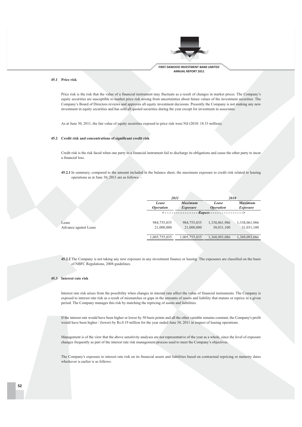

### 45.1 Price risk

Price risk is the risk that the value of a financial instrument may fluctuate as a result of changes in market prices. The Company's equity securities are susceptible to market price risk arising from uncertainties about future values of the investment securities. The Company's Board of Directors reviews and approves all equity investment decisions. Presently the Company is not making any new investment in equity securities and has sold all quoted securities during the year except for investment in associates.

As at June 30, 2011, the fair value of equity securities exposed to price risk were Nil (2010: 18.33 million).

### 45.2 Credit risk and concentrations of significant credit risk

Credit risk is the risk faced when one party to a financial instrument fail to discharge its obligations and cause the other party to incur a financial loss.

**45.2.1** In summary, compared to the amount included in the balance sheet, the maximum exposure to credit risk related to leasing operations as at June 30, 2011 are as follows: -

|                       | 2011                             |                                   | 2010                             |                            |
|-----------------------|----------------------------------|-----------------------------------|----------------------------------|----------------------------|
|                       | Lease<br><i><b>Operation</b></i> | <b>Maximum</b><br><i>Exposure</i> | Lease<br><i><b>Operation</b></i> | Maximum<br><i>Exposure</i> |
|                       | $\prec$ - - - - - - - - - - .    | $- Rupees -$                      |                                  |                            |
| Lease                 | 984,755,035                      | 984,755,035                       | 1,338,061,986                    | 1,338,061,986              |
| Advance against Lease | 21,000,000                       | 21,000,000                        | 30,031,100                       | 31,031,100                 |
|                       | 1,005,755,035                    | 1,005,755,035                     | 1,368,093,086                    | 1,369,093,086              |

45.2.2 The Company is not taking any new exposure in any investment finance or leasing The exposures are classified on the basis of NBFC Regulations, 2008 guidelines.

### 45.3 Interest rate risk

Interest rate risk arises from the possibility when changes in interest rate affect the value of financial instruments. The Company is exposed to interest rate risk as a result of mismatches or gaps in the amounts of assets and liability that mature or reprice in a given period. The Company manages this risk by matching the repricing of assets and liabilities.

If the interest rate would have been higher or lower by 50 basis points and all the other variable remains constant, the Company's profit would have been higher / (lower) by Rs.0.19 million for the year ended June 30, 2011 in respect of leasing operations.

Management is of the view that the above sensitivity analyses are not representative of the year as a whole, since the level of exposure changes frequently as part of the interest rate risk management process used to meet the Company's objectives.

The Company's exposure to interest rate risk on its financial assets and liabilities based on contractual repricing or maturity dates whichever is earlier is as follows: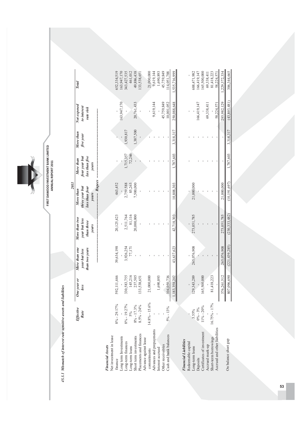FIRST DAWOOD INVESTMENT BANK LIMITED<br>ANNUAL REPORT 2011  $\sum$ 

45.3.1 Mismatch of interest rate sensitive assets and liabilities

|                                                    |                   |                     |                                                  |                                                       | <b>2011</b>                                                      |                                                       |                        |                                         |               |  |
|----------------------------------------------------|-------------------|---------------------|--------------------------------------------------|-------------------------------------------------------|------------------------------------------------------------------|-------------------------------------------------------|------------------------|-----------------------------------------|---------------|--|
|                                                    | Effective<br>Rate | One year or<br>less | More than one<br>than two years<br>year but less | More than two<br>year but less<br>than three<br>years | Rupees<br>three year but<br>less than four<br>More than<br>years | four year but<br>less than five<br>More than<br>years | More than<br>five year | Not exposed<br>to interest<br>rate risk | Total         |  |
| Net investment in lease<br><b>Financial Assets</b> |                   |                     |                                                  |                                                       |                                                                  |                                                       |                        |                                         |               |  |
| finance                                            | $8\% - 29.17\%$   | 1,446<br>592,111    | 39,634,198                                       | 20,125,423                                            | 463,452                                                          |                                                       |                        |                                         | 652,334,519   |  |
| Long term Investments                              |                   |                     |                                                  |                                                       |                                                                  |                                                       |                        | 163,947,170                             | 163,947,170   |  |
| Long-term finances                                 | $8\% - 19.27\%$   | 330,583,755         | 3,926,254                                        | 2,511,764                                             | 2,759,588                                                        | 1,715,357                                             | 1,930,817              |                                         | 343,427,535   |  |
| Long-term loans                                    | $5\%$             | 145,216             | 77,171                                           | 81,116                                                | 85,263                                                           | 72,246                                                |                        |                                         | 461,012       |  |
| Short term investments                             | $8\% - 17.3\%$    | 237,505             |                                                  | 20,000,000                                            | 7,500,000                                                        |                                                       | 1,387,500              | 20,761,433                              | 49,886,438    |  |
| Placements and finances                            | $8.5\% - 24\%$    | 133,538,651         |                                                  |                                                       |                                                                  |                                                       |                        |                                         | 133,538,651   |  |
| Advance against lease                              |                   |                     |                                                  |                                                       |                                                                  |                                                       |                        |                                         |               |  |
| commitments                                        | $14.8\% - 15.6\%$ | 21,000,000          |                                                  |                                                       |                                                                  |                                                       |                        |                                         | 21,000,000    |  |
| Advances and prepayments                           |                   |                     |                                                  |                                                       |                                                                  |                                                       |                        | 9,619,144                               | 9,619,144     |  |
| Interest accrued                                   |                   | 1,690,893           |                                                  |                                                       |                                                                  |                                                       |                        |                                         | 1,690,893     |  |
| Other receivables                                  |                   |                     |                                                  |                                                       |                                                                  |                                                       |                        | 45,759,849                              | 45,759,849    |  |
| Cash and bank balances                             | $5\% - 13\%$      | 104,050,736         |                                                  |                                                       |                                                                  |                                                       |                        | 10,001,052                              | 114,051,788   |  |
|                                                    |                   | .,183,358,202       | 43,637,623                                       | 42,718,303                                            | 10,808,303                                                       | 1,787,603                                             | 3,318,317              | 250,088,648                             | 1,535,716,999 |  |
| <b>Financial Liabilities</b>                       |                   |                     |                                                  |                                                       |                                                                  |                                                       |                        |                                         |               |  |
| Redeemable capital                                 |                   |                     |                                                  |                                                       |                                                                  |                                                       |                        |                                         |               |  |
| Long-term loans                                    | 3.55%             | 129,343,289         | 265,076,908                                      | 273,051,785                                           | 21,000,000                                                       |                                                       |                        |                                         | 688,471,982   |  |
| Deposits                                           | $0\% - 3\%$       |                     |                                                  |                                                       |                                                                  |                                                       |                        | 166,419,147                             | 166,419,147   |  |
| Certificates of investment                         | $11\% - 20\%$     | 165,500,000         |                                                  |                                                       |                                                                  |                                                       |                        |                                         | 65,500,000    |  |
| Accrued mark-up                                    |                   |                     |                                                  |                                                       |                                                                  |                                                       |                        | 69,338,411                              | 69,338,411    |  |
| Short-term borrowings                              | $16.75\% - 17\%$  | 81,418,223          |                                                  |                                                       |                                                                  |                                                       |                        |                                         | 81,418,223    |  |
| Accrued and other liabilities                      |                   |                     |                                                  |                                                       |                                                                  |                                                       |                        | 58,224,571                              | 58,224,57     |  |
|                                                    |                   | 376,261,512         | 265,076,908                                      | 273,051,785                                           | 21,000,000                                                       |                                                       |                        | 293,982,129                             | ,229,372,334  |  |
| On balance sheet gap                               |                   | 807,096,690         | (221, 439, 285)                                  | (230, 333, 482)                                       | (10, 191, 697)                                                   | 1,787,603                                             | 3,318,317              | (43,893,481)                            | 306,344,665   |  |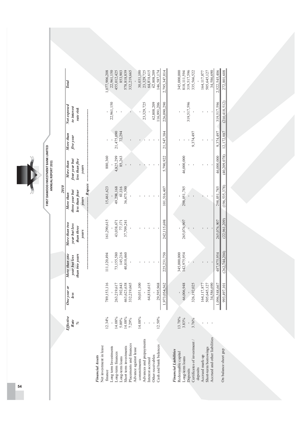**Total** Not exposed to interest rate risk More than five year four year but less than five More than years -- Rupes 2010 three year but less than four More than years More than two year but less than three years More than one than two years year but less One year or less Effective Rate  $\frac{6}{6}$ 

**Financial Assets** 

| Net investment in lease      |          |                 |             |                          |                      |            |                      |             |               |
|------------------------------|----------|-----------------|-------------|--------------------------|----------------------|------------|----------------------|-------------|---------------|
| finance                      | 12.34%   | 53,116<br>789,1 | 11,120,494  | 161,290,615              | 15,461,623           | 880,360    |                      |             | 077,906,208   |
| Long term Investments        |          |                 |             |                          |                      |            |                      | 22,961,150  | 22,961,150    |
| Long-term finances           | 14.08%   | 263,219,617     | 73,155,580  |                          |                      | 4,825,299  | 21,475,090           |             | 455,012,425   |
| Long-term loans              | $5.00\%$ | 392,843         | 145,216     | $43,038,671$<br>$77,171$ | 49,298,168<br>81,116 | 85,263     | 72,294               |             | 853,903       |
| Short term investments       | 14.08%   | 463,623,638     | 40,810,460  | 37,709,241               | 36,675,500           |            |                      |             | 578,818,839   |
| Placements and finances      | 7.29%    | 332,219,665     |             |                          |                      |            |                      |             | 32,219,665    |
| Advance against lease        |          |                 |             |                          |                      |            |                      |             |               |
| commitments                  | 14.08%   | 001,13<br>30,0  |             |                          |                      |            |                      |             | 30,031,100    |
| Advances and prepayments     |          |                 |             |                          |                      |            |                      | 23,329,725  | 23,329,725    |
| Interest accrued             |          | 64,818,615      |             |                          |                      |            |                      |             | 64,818,615    |
| Other receivables            |          |                 |             |                          |                      |            |                      | 62,808,209  | 62,808,209    |
| Cash and bank balances       | 12.50%   | 29,595,968      |             |                          |                      |            |                      | 16,991,206  | 46,587,174    |
|                              |          | 1,973,054,562   | 225.231.750 | 242,115,698              | 101.516.407          |            | 5.790.922 21.547.384 | 226,090,290 | 2,795,347,014 |
| <b>Financial Liabilities</b> |          |                 |             |                          |                      |            |                      |             |               |
| Redeemable capital           | 13.78%   |                 | 345,000,000 |                          |                      |            |                      |             | 345,000,000   |
| Long-term loans              | 3.83%    | 66,006,948      | 42,975,954  | 265,076,907              | 298,051,785          | 46,000,000 |                      |             | 818,111,594   |
| Deposits                     |          |                 |             |                          |                      |            |                      | 319,517,596 | 319,517,596   |
| Certificates of investment / | 3.76%    | 92,025<br>326,1 |             |                          |                      |            | 9,374,497            |             | 335,566,522   |
| deposits                     |          |                 |             |                          |                      |            |                      |             |               |

On balance sheet gap

Short-term borrowings<br>Accrued and other liabilities

Accrued mark-up

deposits

164,117,877 505,645,127 34,586,690 2,522,545,406 272,801,608

ï

J.

l,

164,117,877 505,645,127

 $(210, 418, 512)$ 319,517,596

 $12,172,887$ 9,374,497

 $(40, 209, 078)$ 46,000,000

 $(196, 535, 378)$ 298,051,785

 $(22,961,209)$ 265,076,907

 $(262, 744, 204)$ 487,975,954

1,096,548,667 34,586,690

993,497,101

54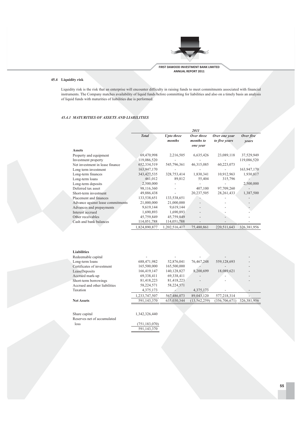

### 45.4 Liquidity risk

Liquidity risk is the risk that an enterprise will encounter difficulty in raising funds to meet commitments associated with financial instruments. The Company matches availability of liquid funds before committing for liabilities and also on a timely basis an analysis of liquid funds with maturities of liabilities due is performed.

### 45.4.1 MATURITIES OF ASSETS AND LIABILITIES

|                                   |               |                             | 2011                                |                                |                    |
|-----------------------------------|---------------|-----------------------------|-------------------------------------|--------------------------------|--------------------|
|                                   | <b>Total</b>  | <b>Upto three</b><br>months | Over three<br>months to<br>one year | Over one year<br>to five years | Over five<br>years |
| <b>Assets</b>                     |               |                             |                                     |                                |                    |
| Property and equipment            | 69,470,998    | 2,216,505                   | 6,635,426                           | 23,089,118                     | 37,529,949         |
| Investment property               | 119,086,520   |                             |                                     |                                | 119,086,520        |
| Net investment in lease finance   | 652, 334, 519 | 545,796,361                 | 46, 315, 085                        | 60,223,073                     |                    |
| Long term investment              | 163,947,170   |                             |                                     |                                | 163,947,170        |
| Long-term finances                | 343, 427, 535 | 328,753,414                 | 1,830,341                           | 10,912,963                     | 1,930,817          |
| Long-term loans                   | 461,012       | 89,812                      | 55,404                              | 315,796                        |                    |
| Long-term deposits                | 2,500,000     |                             |                                     |                                | 2,500,000          |
| Deferred tax asset                | 98,116,360    |                             | 407,100                             | 97,709,260                     |                    |
| Short-term investment             | 49,886,438    |                             | 20,237,505                          | 28, 261, 433                   | 1,387,500          |
| Placement and finances            | 133,538,651   | 133,538,651                 |                                     |                                |                    |
| Advance against lease commitments | 21,000,000    | 21,000,000                  |                                     |                                |                    |
| Advances and prepayments          | 9,619,144     | 9,619,144                   |                                     |                                |                    |
| Interest accrued                  | 1,690,893     | 1,690,893                   |                                     |                                |                    |
| Other receivables                 | 45,759,849    | 45,759,849                  |                                     |                                |                    |
| Cash and bank balances            | 114,051,788   | 114,051,788                 |                                     |                                |                    |
|                                   | 1,824,890,877 | 1,202,516,417               | 75,480,861                          | 220,511,643                    | 326, 381, 956      |
|                                   |               |                             |                                     |                                |                    |

| <b>Liabilities</b>            |               |             |                |                 |               |
|-------------------------------|---------------|-------------|----------------|-----------------|---------------|
| Redeemable capital            |               |             |                |                 |               |
| Long-term loans               | 688,471,982   | 52,876,041  | 76,467,248     | 559,128,693     |               |
| Certificates of investment    | 165,500,000   | 165,500,000 |                |                 |               |
| LeaseDeposits                 | 166,419,147   | 140.128.827 | 8,200,699      | 18,089,621      |               |
| Accrued mark-up               | 69,338,411    | 69,338,411  |                |                 |               |
| Short-term borrowings         | 81.418.223    | 81,418,223  |                |                 |               |
| Accrued and other liabilities | 58,224,571    | 58,224,571  |                |                 |               |
| Taxation                      | 4,375,173     |             | 4,375,173      |                 |               |
|                               | 1,233,747,507 | 567,486,073 | 89,043,120     | 577,218,314     |               |
| <b>Net Assets</b>             | 591.143.370   | 635,030,344 | (13, 562, 259) | (356, 706, 671) | 326, 381, 956 |
|                               |               |             |                |                 |               |
| Share capital                 | 1,342,326,440 |             |                |                 |               |
| Reserves net of accumulated   |               |             |                |                 |               |

Reserves net of accumula ted

loss

 $(751,183,070)$ 591,143,370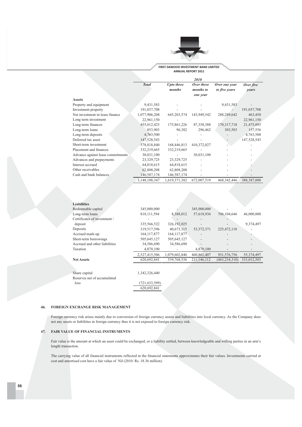

FIRST DAWOOD INVESTMENT BANK LIMITED ANNUAL REPORT 2011

|                                   |               |                      | <i>2010</i>             |                                |                    |
|-----------------------------------|---------------|----------------------|-------------------------|--------------------------------|--------------------|
|                                   | <b>Total</b>  | Upto three<br>months | Over three<br>months to | Over one year<br>to five years | Over five<br>years |
|                                   |               |                      | one year                |                                |                    |
| <b>Assets</b>                     |               |                      |                         |                                |                    |
| Property and equipment            | 9,431,583     |                      |                         | 9,431,583                      |                    |
| Investment property               | 191,037,708   |                      |                         |                                | 191,037,708        |
| Net investment in lease finance   | 1,077,906,208 | 645, 203, 574        | 143,949,542             | 288,289,642                    | 463,450            |
| Long term investment              | 22,961,150    |                      |                         |                                | 22,961,150         |
| Long-term finances                | 455,012,425   | 175,861,226          | 87,358,388              | 170,317,718                    | 21,475,093         |
| Long-term loans                   | 853,903       | 96,382               | 296,462                 | 303,503                        | 157,556            |
| Long-term deposits                | 4,763,500     |                      |                         |                                | 4,763,500          |
| Deferred tax asset                | 147,528,543   |                      |                         |                                | 147,528,543        |
| Short-term investment             | 578,818,840   | 168,446,813          | 410,372,027             |                                |                    |
| Placement and finances            | 332,219,665   | 332,219,665          |                         |                                |                    |
| Advance against lease commitments | 30,031,100    |                      | 30,031,100              |                                |                    |
| Advances and prepayments          | 23,329,725    | 23,329,725           |                         |                                |                    |
| Interest accrued                  | 64,818,615    | 64,818,615           |                         |                                |                    |
| Other receivables                 | 62,808,208    | 62,808,208           |                         |                                |                    |
| Cash and bank balances            | 146,587,174   | 146,587,174          |                         |                                |                    |
|                                   | 3,148,108,347 | 1,619,371,382        | 672,007,519             | 468, 342, 446                  | 388,387,000        |

| <b>Liabilities</b>            |               |               |              |                 |             |
|-------------------------------|---------------|---------------|--------------|-----------------|-------------|
| Redeemable capital            | 345,000,000   |               | 345,000,000  |                 |             |
| Long-term loans               | 818, 111, 594 | 8,388,012     | 57,618,936   | 706,104,646     | 46,000,000  |
| Certificates of investment /  |               |               |              |                 |             |
| deposit                       | 335,566,522   | 326,192,025   |              |                 | 9,374,497   |
| Deposits                      | 319,517,596   | 40.673.115    | 53, 372, 371 | 225,472,110     |             |
| Accrued mark-up               | 164, 117, 877 | 164, 117, 877 |              |                 |             |
| Short-term borrowings         | 505,645,127   | 505,645,127   |              |                 |             |
| Accrued and other liabilities | 34,586,690    | 34,586,690    |              |                 |             |
| Taxation                      | 4,870,100     |               | 4,870,100    |                 |             |
|                               | 2,527,415,506 | 1,079,602,846 | 460,861,407  | 931, 576, 756   | 55,374,497  |
| <b>Net Assets</b>             | 620,692,841   | 539,768,536   | 211,146,112  | (463, 234, 310) | 333,012,503 |
|                               |               |               |              |                 |             |
|                               |               |               |              |                 |             |
| Share capital                 | 1.342.326.440 |               |              |                 |             |

Reserves net of accumulated loss

 $(721, 633, 599)$ 620,692,841

### 46. FOREIGN EXCHANGE RISK MANAGEMENT

Foreign currency risk arises mainly due to conversion of foreign currency assets and liabilities into local currency. As the Company does not any assets or liabiliites in foreign currency thus it is not exposed to foreign currency risk.

### 47. FAIR VALUE OF FINANCIAL INSTRUMENTS

Fair value is the amount at which an asset could be exchanged, or a liability settled, between knowledgeable and willing parties in an arm's length transaction.

The carrying value of all financial instruments reflected in the financial statements approximates their fair values. Investments carried at cost and amortised cost have a fair value of Nil (2010: Rs. 18.36 million).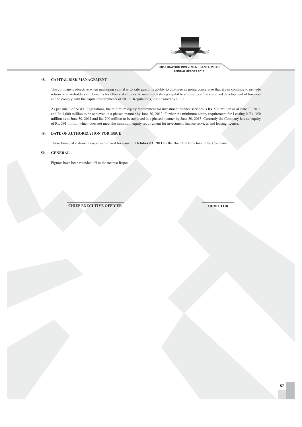

### 48. **CAPITAL RISK MANAGEMENT**

The company's objective when managing capital is to safe guard its ability to continue as going concern so that it can continue to provide returns to shareholders and benefits for other stakeholdes, to maintain a strong capital base to support the sustained development of business and to comply with the capital requirements of NBFC Regulations, 2008 issued by SECP.

As per rule 3 of NBFC Regulations, the minimum equity requirement for investment finance services is Rs. 500 million as at June 30, 2011 and Rs.1,000 million to be achieved in a phased manner by June 30, 2013. Further the minimum equity requirement for Leasing is Rs. 350 million as at June 30, 2011 and Rs. 700 million to be achieved in a phased manner by June 30, 2013. Currently the Company has net equity of Rs. 591 million which does not meet the minimum equity requirement for investment finance services and leasing license.

### 49. DATE OF AUTHORIZATION FOR ISSUE

These financial statements were authorized for issue on October 03, 2011 by the Board of Directors of the Company.

### **GENERAL** 50.

Figures have been rounded off to the nearest Rupee.

**CHIEF EXECUTIVE OFFICER** 

**DIRECTOR**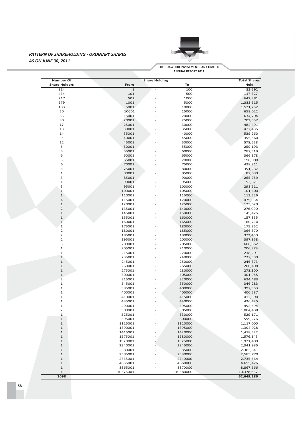### **PATTERN OF SHAREHOLDING - ORDINARY SHARES AS ON JUNE 30, 2011**



**FIRST DAWOOD INVESTMENT BANK LIMITED ANNUAL REPORT 2011** 

| Number Of            |             | <b>Share Holding</b> |          | <b>Total Shares</b> |
|----------------------|-------------|----------------------|----------|---------------------|
| <b>Share Holders</b> | From        |                      | To       | Held                |
| 914                  | $\mathbf 1$ |                      | 100      | 32,592              |
| 434                  | 101         |                      | 500      | 117,327             |
| 717                  | 501         |                      | 1000     | 642,381             |
| 579                  | 1001        |                      | 5000     | 1,383,515           |
| 183                  | 5001        |                      | 10000    | 1,521,752           |
| 50                   | 10001       |                      | 15000    | 658,022             |
| 35                   | 15001       |                      | 20000    | 634,704             |
| 30                   | 20001       |                      | 25000    | 702,657             |
|                      |             |                      |          |                     |
| 17                   | 25001       |                      | 30000    | 482,491             |
| 13                   | 30001       |                      | 35000    | 427,485             |
| 14                   | 35001       |                      | 40000    | 539,260             |
| $\mathsf 9$          | 40001       |                      | 45000    | 395,560             |
| 12                   | 45001       |                      | 50000    | 578,628             |
| 5                    | 50001       |                      | 55000    | 259,193             |
| 5                    | 55001       |                      | 60000    |                     |
|                      |             |                      |          | 287,519             |
| 6                    | 60001       |                      | 65000    | 366,178             |
| 3                    | 65001       |                      | 70000    | 198,000             |
| 6                    | 70001       |                      | 75000    | 438,211             |
| 5                    | 75001       |                      | 80000    | 391,237             |
| $\mathbf 1$          | 80001       |                      | 85000    | 82,699              |
| 3                    | 85001       |                      | 90000    | 265,759             |
| $\mathbf 1$          |             |                      |          |                     |
|                      | 90001       |                      | 95000    | 92,621              |
| 3                    | 95001       |                      | 100000   | 298,511             |
| $1\,$                | 100001      |                      | 105000   | 101,400             |
| $\mathbf 1$          | 110001      |                      | 115000   | 113,526             |
| $\overline{4}$       | 115001      |                      | 120000   | 475,034             |
| $\mathbf 1$          | 120001      |                      | 125000   | 123,620             |
| $\mathsf{2}$         | 135001      |                      | 140000   | 276,090             |
| $\mathbf 1$          |             |                      |          |                     |
|                      | 145001      |                      | 150000   | 145,475             |
| $\mathbf 1$          | 155001      |                      | 160000   | 157,855             |
| $\mathbf 1$          | 160001      |                      | 165000   | 160,710             |
| $\mathbf 1$          | 175001      |                      | 180000   | 175,352             |
| $\overline{2}$       | 180001      |                      | 185000   | 366,370             |
| $\overline{2}$       | 185001      |                      | 190000   | 373,450             |
| $\overline{2}$       | 195001      |                      | 200000   | 397,858             |
| 3                    |             |                      |          |                     |
|                      | 200001      |                      | 205000   | 608,852             |
| $\mathbf 1$          | 205001      |                      | 210000   | 206,373             |
| $\mathbf 1$          | 215001      |                      | 220000   | 218,291             |
| $\,1\,$              | 235001      |                      | 240000   | 237,500             |
| $\mathbf 1$          | 245001      |                      | 250000   | 246,373             |
| $\mathbf 1$          | 260001      |                      | 265000   | 260,408             |
| $\mathbf 1$          |             |                      |          |                     |
|                      | 275001      |                      | 280000   | 278,300             |
| $\mathbf 1$          | 300001      |                      | 305000   | 301,955             |
| $\overline{2}$       | 315001      |                      | 320000   | 634,483             |
| $\mathbf 1$          | 345001      |                      | 350000   | 346,283             |
| $\mathbf 1$          | 395001      |                      | 400000   | 397,963             |
| $\mathbf 1$          | 400001      |                      | 405000   | 400,537             |
| $\mathbf 1$          | 410001      |                      | 415000   | 412,390             |
| $\mathbf{1}$         |             |                      |          |                     |
|                      | 435001      |                      | 440000   | 436,425             |
| $\mathbf 1$          | 490001      |                      | 495000   | 492,594             |
| $\overline{2}$       | 500001      |                      | 505000   | 1,004,438           |
| $\mathbf 1$          | 525001      |                      | 530000   | 529,171             |
| $\,1\,$              | 595001      |                      | 600000   | 599,276             |
| $\mathbf 1$          | 1115001     |                      | 1120000  | 1,117,000           |
| $\mathbf 1$          |             |                      | 1395000  |                     |
|                      | 1390001     |                      |          | 1,394,028           |
| $\mathbf 1$          | 1415001     |                      | 1420000  | 1,418,522           |
| $\mathbf 1$          | 1575001     |                      | 1580000  | 1,576,143           |
| $\mathbf 1$          | 1920001     |                      | 1925000  | 1,921,400           |
| $\mathbf 1$          | 2340001     |                      | 2345000  | 2,341,935           |
| $\mathbf 1$          | 2380001     |                      | 2385000  |                     |
|                      |             |                      |          | 2,382,641           |
| $1\,$                | 2585001     |                      | 2590000  | 2,585,770           |
| $\mathbf 1$          | 2735001     |                      | 2740000  | 2,735,564           |
| $\mathbf 1$          | 4655001     |                      | 4660000  | 4,655,426           |
| $\mathbf 1$          | 8865001     |                      | 8870000  | 8,867,566           |
| $\mathbf 1$          | 10375001    |                      | 10380000 | 10,378,637          |
|                      |             |                      |          | 62,649,286          |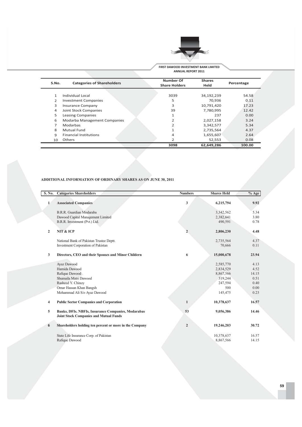

FIRST DAWOOD INVESTMENT BANK LIMITED **ANNUAL REPORT 2011** 

| S.No. | <b>Categories of Shareholders</b>   | Number Of<br><b>Share Holders</b> | <b>Shares</b><br>Held | Percentage |
|-------|-------------------------------------|-----------------------------------|-----------------------|------------|
|       |                                     |                                   |                       |            |
| 1     | Individual Local                    | 3039                              | 34,192,239            | 54.58      |
| 2     | <b>Investment Companies</b>         | 5                                 | 70.936                | 0.11       |
| 3     | <b>Insurance Company</b>            | 3                                 | 10.791.420            | 17.23      |
| 4     | Joint Stock Companies               | 39                                | 7,780,995             | 12.42      |
| 5.    | <b>Leasing Companies</b>            | $\mathbf{1}$                      | 237                   | 0.00       |
| 6     | <b>Modarba Management Companies</b> |                                   | 2,027,158             | 3.24       |
|       | Modarbas                            | $\overline{2}$                    | 3,342,577             | 5.34       |
| 8     | Mutual Fund                         |                                   | 2,735,564             | 4.37       |
| 9     | <b>Financial Institutions</b>       | 4                                 | 1,655,607             | 2.64       |
| 10    | Others                              | 2                                 | 52,553                | 0.08       |
|       |                                     | 3098                              | 62,649,286            | 100.00     |

### ADDITIONAL INFORMATION OF ORDINARY SHARES AS ON JUNE 30, 2011

 $\overline{\phantom{a}}$ 

| S. No.         | <b>Categories Shareholders</b>                          | <b>Numbers</b> | <b>Shares Held</b> | $%$ Age |
|----------------|---------------------------------------------------------|----------------|--------------------|---------|
|                |                                                         |                |                    | 9.92    |
| $\mathbf{1}$   | <b>Associated Companies</b>                             | 3              | 6,215,794          |         |
|                | B.R.R. Guardian Modaraba                                |                | 3,342,562          | 5.34    |
|                | Dawood Capital Management Limited                       |                | 2,382,641          | 3.80    |
|                | B.R.R. Investment (Pvt.) Ltd.                           |                | 490,591            | 0.78    |
|                |                                                         |                |                    |         |
| $\overline{2}$ | NIT & ICP                                               | $\overline{2}$ | 2,806,230          | 4.48    |
|                |                                                         |                |                    |         |
|                | National Bank of Pakistan Trustee Deptt.                |                | 2,735,564          | 4.37    |
|                | Investment Corporation of Pakistan                      |                | 70,666             | 0.11    |
| 3              | Directors, CEO and their Spouses and Minor Childern     | 6              | 15,000,678         | 23.94   |
|                |                                                         |                |                    |         |
|                | Ayaz Dawood                                             |                | 2,585,770          | 4.13    |
|                | Hamida Dawood                                           |                | 2,834,529          | 4.52    |
|                | Rafique Dawood                                          |                | 8,867,566          | 14.15   |
|                | Shumaila Matri Dawood                                   |                | 319,244            | 0.51    |
|                | Rasheed Y. Chinoy                                       |                | 247,594            | 0.40    |
|                | Omar Hassan Khan Bangsh                                 |                | 500                | 0.00    |
|                | Mohammad Ali S/o Ayaz Dawood                            |                | 145,475            | 0.23    |
|                |                                                         |                |                    |         |
| 4              | <b>Public Sector Companies and Corporation</b>          | $\mathbf{1}$   | 10,378,637         | 16.57   |
| 5              | Banks, DFIs. NBFIs, Insurance Companies, Modarabas      | 53             | 9,056,386          | 14.46   |
|                | <b>Joint Stock Companies and Mutual Funds</b>           |                |                    |         |
|                |                                                         |                |                    |         |
| 6              | Shareholders holding ten percent or more in the Company | $\mathbf 2$    | 19,246,203         | 30.72   |
|                |                                                         |                |                    |         |
|                | State Life Insurance Corp. of Pakistan                  |                | 10,378,637         | 16.57   |
|                | Rafique Dawood                                          |                | 8,867,566          | 14.15   |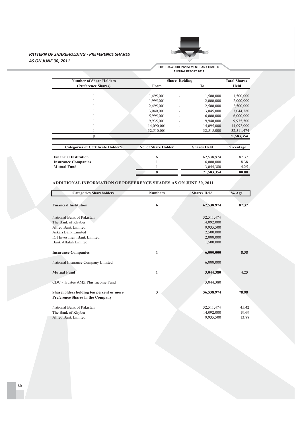### **PATTERN OF SHAREHOLDING - PREFERENCE SHARES** AS ON JUNE 30, 2011



FIRST DAWOOD INVESTMENT BANK LIMITED<br>ANNUAL REPORT 2011

| <b>Number of Share Holders</b>            |                            | <b>Share Holding</b>     |                    | <b>Total Shares</b> |
|-------------------------------------------|----------------------------|--------------------------|--------------------|---------------------|
| (Preference Shares)                       | From                       |                          | Тo                 | Held                |
|                                           |                            |                          |                    |                     |
|                                           | 1,495,001                  |                          | 1,500,000          | 1,500,000           |
|                                           | 1,995,001                  |                          | 2,000,000          | 2,000,000           |
|                                           | 2,495,001                  |                          | 2,500,000          | 2,500,000           |
|                                           | 3,040,001                  |                          | 3,045,000          | 3,044,380           |
|                                           | 5,995,001                  | $\overline{\phantom{0}}$ | 6,000,000          | 6,000,000           |
|                                           | 9,935,001                  |                          | 9,940,000          | 9,935,500           |
|                                           | 14,090,001                 |                          | 14,095,000         | 14,092,000          |
|                                           | 32,510,001                 |                          | 32,515,000         | 32,511,474          |
| 8                                         |                            |                          |                    | 71,583,354          |
| <b>Categories of Certificate Holder's</b> | <b>No. of Share Holder</b> |                          | <b>Shares Held</b> | Percentage          |
| <b>Financial Institution</b>              | 6                          |                          | 62,538,974         | 87.37               |
| <b>Insurance Companies</b>                |                            |                          | 6,000,000          | 8.38                |
| <b>Mutual Fund</b>                        |                            |                          | 3,044,380          | 4.25                |
|                                           | 8                          |                          | 71,583,354         | 100.00              |

### ADDITIONAL INFORMATION OF PREFERENCE SHARES AS ON JUNE 30, 2011

| <b>Categories Shareholders</b>                                               | <b>Numbers</b> | <b>Shares Held</b> | $%$ Age |
|------------------------------------------------------------------------------|----------------|--------------------|---------|
|                                                                              |                |                    |         |
| <b>Financial Institution</b>                                                 | 6              | 62,538,974         | 87.37   |
|                                                                              |                |                    |         |
| National Bank of Pakistan                                                    |                | 32,511,474         |         |
| The Bank of Khyber                                                           |                | 14,092,000         |         |
| Allied Bank Limited                                                          |                | 9,935,500          |         |
| Askari Bank Limited                                                          |                | 2,500,000          |         |
| <b>IGI Investment Bank Limited</b>                                           |                | 2,000,000          |         |
| Bank Alfalah Limited                                                         |                | 1,500,000          |         |
| <b>Insurance Companies</b>                                                   | 1              | 6,000,000          | 8.38    |
| National Insurance Company Limited                                           |                | 6,000,000          |         |
| <b>Mutual Fund</b>                                                           | 1              | 3,044,380          | 4.25    |
| CDC - Trustee AMZ Plus Income Fund                                           |                | 3,044,380          |         |
| Shareholders holding ten percent or more<br>Preference Shares in the Company | 3              | 56,538,974         | 78.98   |
| National Bank of Pakistan                                                    |                | 32,511,474         | 45.42   |
| The Bank of Khyber                                                           |                | 14,092,000         | 19.69   |
| Allied Bank Limited                                                          |                | 9,935,500          | 13.88   |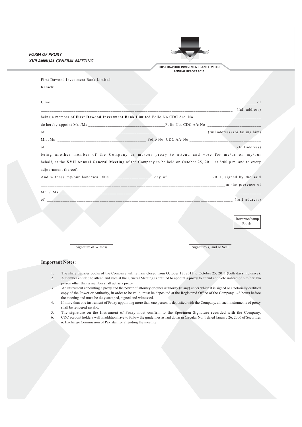|                                  | FIRST DAWOOD INVESTMENT BANK LIMITED | XVII ANNUAL GENERAL MEETING                                                                                        |
|----------------------------------|--------------------------------------|--------------------------------------------------------------------------------------------------------------------|
|                                  | <b>ANNUAL REPORT 2011</b>            |                                                                                                                    |
|                                  |                                      | First Dawood Investment Bank Limited                                                                               |
|                                  |                                      | Karachi.                                                                                                           |
| of                               |                                      |                                                                                                                    |
|                                  |                                      |                                                                                                                    |
|                                  |                                      | being a member of First Dawood Investment Bank Limited Folio No CDC A/c. No. _________________________________     |
|                                  |                                      |                                                                                                                    |
|                                  |                                      |                                                                                                                    |
|                                  |                                      |                                                                                                                    |
|                                  |                                      |                                                                                                                    |
| of (full address) (full address) |                                      |                                                                                                                    |
|                                  |                                      | being another member of the Company as my/our proxy to attend and vote for me/us on my/our                         |
|                                  |                                      | behalf, at the XVII Annual General Meeting of the Company to be held on October 25, 2011 at 8:00 p.m. and to every |
|                                  |                                      | adjournment thereof.                                                                                               |
|                                  |                                      |                                                                                                                    |
|                                  |                                      |                                                                                                                    |
|                                  |                                      |                                                                                                                    |
|                                  |                                      |                                                                                                                    |
|                                  |                                      |                                                                                                                    |
|                                  |                                      |                                                                                                                    |
| Revenue Stamp                    |                                      |                                                                                                                    |
| $Rs. 5/-$                        |                                      |                                                                                                                    |

- $1\,.$ The share transfer books of the Company will remain closed from October 18, 2011 to October 25, 2011 (both days inclusive).
- A member entitled to attend and vote at the General Meeting is entitled to appoint a proxy to attend and vote instead of him/her. No  $\overline{2}$ . person other than a member shall act as a proxy.
- $\overline{\mathcal{L}}$ An instrument appointing a proxy and the power of attorney or other Authority (if any) under which it is signed or a notarially certified copy of the Power or Authority, in order to be valid, must be deposited at the Registered Office of the Company, 48 hours before the meeting and must be duly stamped, signed and witnessed.
- If more than one instrument of Proxy appointing more than one person is deposited with the Company, all such instruments of proxy  $\overline{4}$ . shall be rendered invalid.
- 5. The signature on the Instrument of Proxy must confirm to the Specimen Signature recorded with the Company.
- CDC account holders will in addition have to follow the guidelines as laid down in Circular No. 1 dated January 26, 2000 of Securities 6. & Exchange Commission of Pakistan for attending the meeting.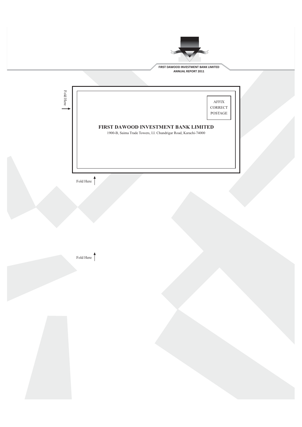



Fold Here  $\bigcap$